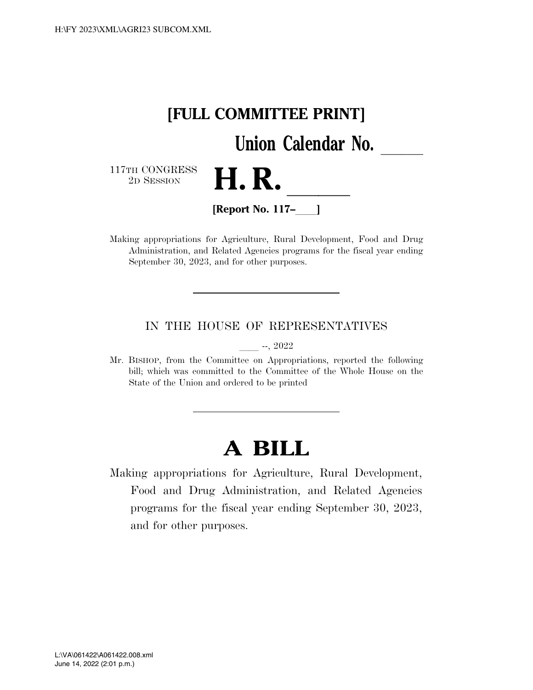

Making appropriations for Agriculture, Rural Development, Food and Drug Administration, and Related Agencies programs for the fiscal year ending September 30, 2023, and for other purposes.

#### IN THE HOUSE OF REPRESENTATIVES

 $-$ , 2022

Mr. BISHOP, from the Committee on Appropriations, reported the following bill; which was committed to the Committee of the Whole House on the State of the Union and ordered to be printed

# **A BILL**

Making appropriations for Agriculture, Rural Development, Food and Drug Administration, and Related Agencies programs for the fiscal year ending September 30, 2023, and for other purposes.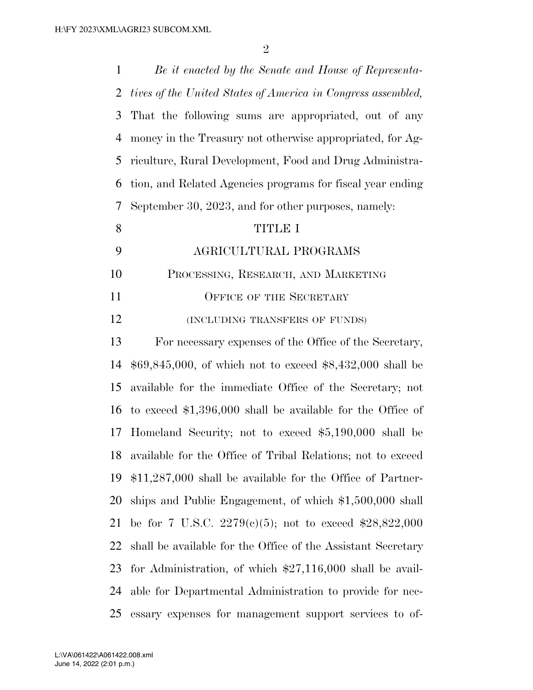| $\mathbf{1}$ | Be it enacted by the Senate and House of Representa-           |
|--------------|----------------------------------------------------------------|
| 2            | tives of the United States of America in Congress assembled,   |
| 3            | That the following sums are appropriated, out of any           |
| 4            | money in the Treasury not otherwise appropriated, for Ag-      |
| 5            | riculture, Rural Development, Food and Drug Administra-        |
| 6            | tion, and Related Agencies programs for fiscal year ending     |
| 7            | September 30, 2023, and for other purposes, namely:            |
| 8            | <b>TITLE I</b>                                                 |
| 9            | AGRICULTURAL PROGRAMS                                          |
| 10           | PROCESSING, RESEARCH, AND MARKETING                            |
| 11           | <b>OFFICE OF THE SECRETARY</b>                                 |
| 12           | (INCLUDING TRANSFERS OF FUNDS)                                 |
| 13           | For necessary expenses of the Office of the Secretary,         |
| 14           | $$69,845,000$ , of which not to exceed $$8,432,000$ shall be   |
| 15           | available for the immediate Office of the Secretary; not       |
| 16           | to exceed $$1,396,000$ shall be available for the Office of    |
| 17           | Homeland Security; not to exceed \$5,190,000 shall be          |
|              | 18 available for the Office of Tribal Relations; not to exceed |
| 19           | $$11,287,000$ shall be available for the Office of Partner-    |
| 20           | ships and Public Engagement, of which \$1,500,000 shall        |
| 21           | be for 7 U.S.C. 2279(c)(5); not to exceed \$28,822,000         |
| 22           | shall be available for the Office of the Assistant Secretary   |
| 23           | for Administration, of which $$27,116,000$ shall be avail-     |
| 24           | able for Departmental Administration to provide for nec-       |
| 25           | essary expenses for management support services to of-         |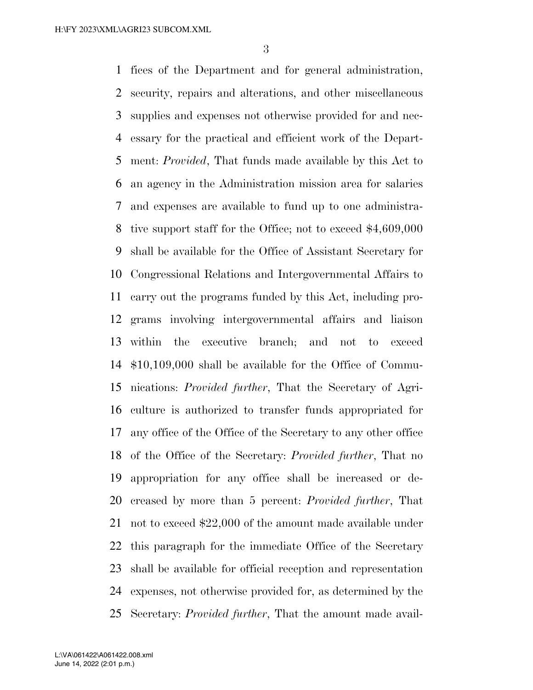fices of the Department and for general administration, security, repairs and alterations, and other miscellaneous supplies and expenses not otherwise provided for and nec- essary for the practical and efficient work of the Depart- ment: *Provided*, That funds made available by this Act to an agency in the Administration mission area for salaries and expenses are available to fund up to one administra- tive support staff for the Office; not to exceed \$4,609,000 shall be available for the Office of Assistant Secretary for Congressional Relations and Intergovernmental Affairs to carry out the programs funded by this Act, including pro- grams involving intergovernmental affairs and liaison within the executive branch; and not to exceed \$10,109,000 shall be available for the Office of Commu- nications: *Provided further*, That the Secretary of Agri- culture is authorized to transfer funds appropriated for any office of the Office of the Secretary to any other office of the Office of the Secretary: *Provided further*, That no appropriation for any office shall be increased or de- creased by more than 5 percent: *Provided further*, That not to exceed \$22,000 of the amount made available under this paragraph for the immediate Office of the Secretary shall be available for official reception and representation expenses, not otherwise provided for, as determined by the Secretary: *Provided further*, That the amount made avail-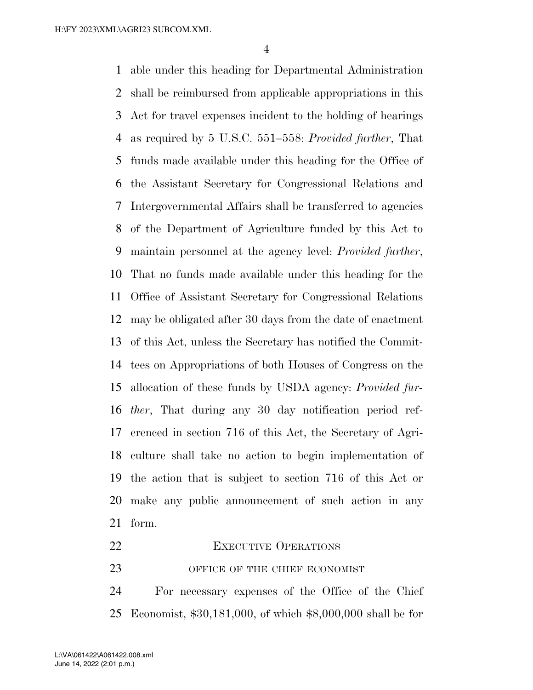able under this heading for Departmental Administration shall be reimbursed from applicable appropriations in this Act for travel expenses incident to the holding of hearings as required by 5 U.S.C. 551–558: *Provided further*, That funds made available under this heading for the Office of the Assistant Secretary for Congressional Relations and Intergovernmental Affairs shall be transferred to agencies of the Department of Agriculture funded by this Act to maintain personnel at the agency level: *Provided further*, That no funds made available under this heading for the Office of Assistant Secretary for Congressional Relations may be obligated after 30 days from the date of enactment of this Act, unless the Secretary has notified the Commit- tees on Appropriations of both Houses of Congress on the allocation of these funds by USDA agency: *Provided fur- ther*, That during any 30 day notification period ref- erenced in section 716 of this Act, the Secretary of Agri- culture shall take no action to begin implementation of the action that is subject to section 716 of this Act or make any public announcement of such action in any form.

- 22 EXECUTIVE OPERATIONS
- 23 OFFICE OF THE CHIEF ECONOMIST

 For necessary expenses of the Office of the Chief Economist, \$30,181,000, of which \$8,000,000 shall be for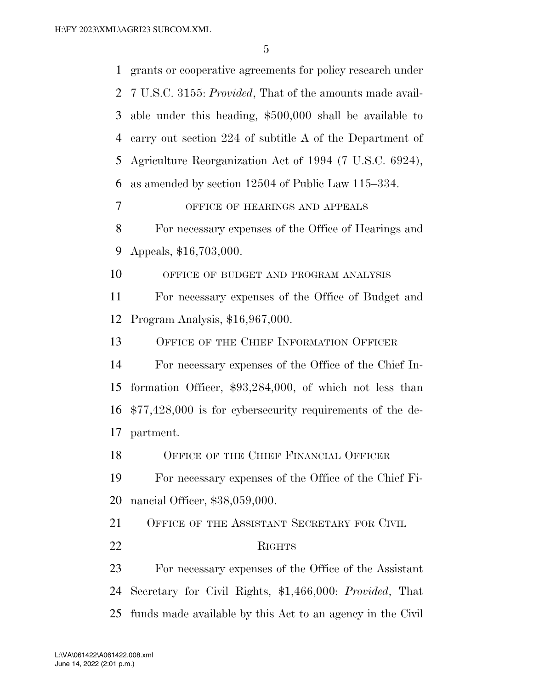| $\mathbf{1}$   | grants or cooperative agreements for policy research under         |
|----------------|--------------------------------------------------------------------|
|                | 2 7 U.S.C. 3155: <i>Provided</i> , That of the amounts made avail- |
| 3              | able under this heading, $$500,000$ shall be available to          |
| $\overline{4}$ | carry out section 224 of subtitle A of the Department of           |
| 5              | Agriculture Reorganization Act of 1994 (7 U.S.C. 6924),            |
| 6              | as amended by section 12504 of Public Law 115-334.                 |
| $\tau$         | OFFICE OF HEARINGS AND APPEALS                                     |
| 8              | For necessary expenses of the Office of Hearings and               |
| 9              | Appeals, \$16,703,000.                                             |
| 10             | OFFICE OF BUDGET AND PROGRAM ANALYSIS                              |
| 11             | For necessary expenses of the Office of Budget and                 |
| 12             | Program Analysis, \$16,967,000.                                    |
| 13             | OFFICE OF THE CHIEF INFORMATION OFFICER                            |
| 14             | For necessary expenses of the Office of the Chief In-              |
| 15             | formation Officer, $$93,284,000$ , of which not less than          |
| 16             | $$77,428,000$ is for cybersecurity requirements of the de-         |
| 17             | partment.                                                          |
| 18             | OFFICE OF THE CHIEF FINANCIAL OFFICER                              |
| 19             | For necessary expenses of the Office of the Chief Fi-              |
| 20             | nancial Officer, \$38,059,000.                                     |
| 21             | OFFICE OF THE ASSISTANT SECRETARY FOR CIVIL                        |
| 22             | <b>RIGHTS</b>                                                      |
| 23             | For necessary expenses of the Office of the Assistant              |
| 24             | Secretary for Civil Rights, \$1,466,000: Provided, That            |
| 25             | funds made available by this Act to an agency in the Civil         |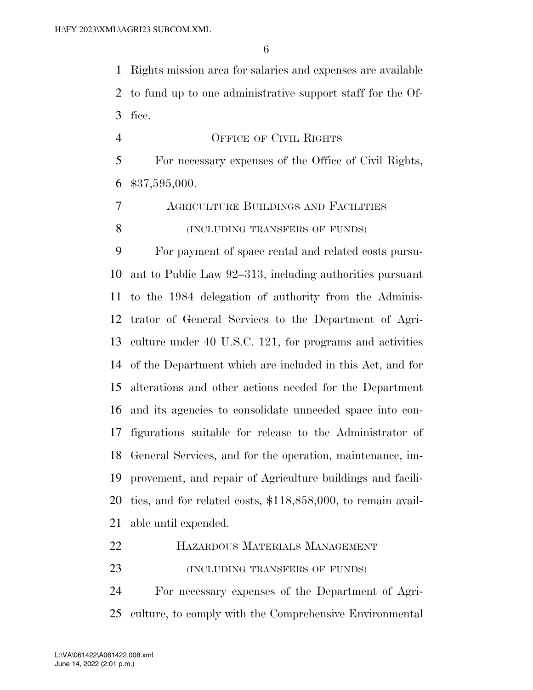Rights mission area for salaries and expenses are available to fund up to one administrative support staff for the Of-fice.

- OFFICE OF CIVIL RIGHTS For necessary expenses of the Office of Civil Rights, \$37,595,000.
- AGRICULTURE BUILDINGS AND FACILITIES **(INCLUDING TRANSFERS OF FUNDS)**

 For payment of space rental and related costs pursu- ant to Public Law 92–313, including authorities pursuant to the 1984 delegation of authority from the Adminis- trator of General Services to the Department of Agri- culture under 40 U.S.C. 121, for programs and activities of the Department which are included in this Act, and for alterations and other actions needed for the Department and its agencies to consolidate unneeded space into con- figurations suitable for release to the Administrator of General Services, and for the operation, maintenance, im- provement, and repair of Agriculture buildings and facili- ties, and for related costs, \$118,858,000, to remain avail-able until expended.

HAZARDOUS MATERIALS MANAGEMENT

**(INCLUDING TRANSFERS OF FUNDS)** 

 For necessary expenses of the Department of Agri-culture, to comply with the Comprehensive Environmental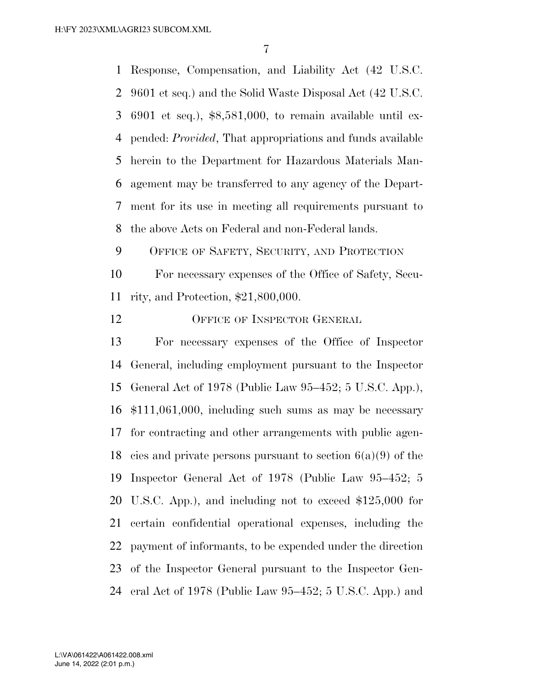Response, Compensation, and Liability Act (42 U.S.C. 9601 et seq.) and the Solid Waste Disposal Act (42 U.S.C. 6901 et seq.), \$8,581,000, to remain available until ex- pended: *Provided*, That appropriations and funds available herein to the Department for Hazardous Materials Man- agement may be transferred to any agency of the Depart- ment for its use in meeting all requirements pursuant to the above Acts on Federal and non-Federal lands. OFFICE OF SAFETY, SECURITY, AND PROTECTION

 For necessary expenses of the Office of Safety, Secu-rity, and Protection, \$21,800,000.

12 OFFICE OF INSPECTOR GENERAL

 For necessary expenses of the Office of Inspector General, including employment pursuant to the Inspector General Act of 1978 (Public Law 95–452; 5 U.S.C. App.), \$111,061,000, including such sums as may be necessary for contracting and other arrangements with public agen-18 cies and private persons pursuant to section  $6(a)(9)$  of the Inspector General Act of 1978 (Public Law 95–452; 5 U.S.C. App.), and including not to exceed \$125,000 for certain confidential operational expenses, including the payment of informants, to be expended under the direction of the Inspector General pursuant to the Inspector Gen-eral Act of 1978 (Public Law 95–452; 5 U.S.C. App.) and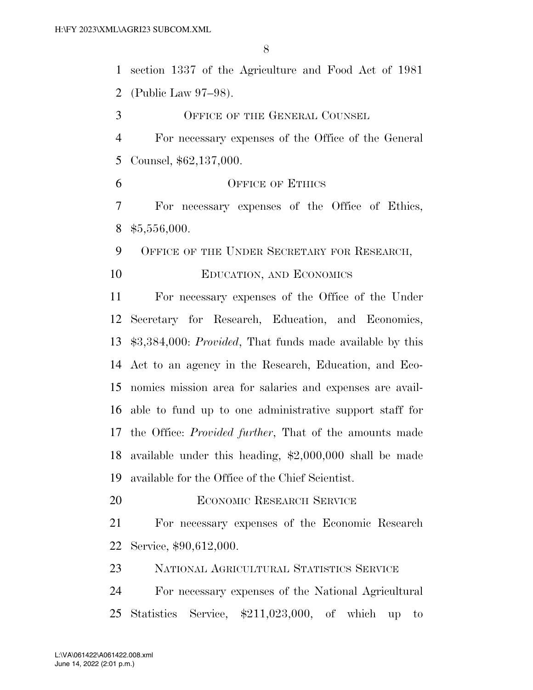section 1337 of the Agriculture and Food Act of 1981 (Public Law 97–98). OFFICE OF THE GENERAL COUNSEL For necessary expenses of the Office of the General Counsel, \$62,137,000. 6 OFFICE OF ETHICS For necessary expenses of the Office of Ethics, \$5,556,000. 9 OFFICE OF THE UNDER SECRETARY FOR RESEARCH, EDUCATION, AND ECONOMICS For necessary expenses of the Office of the Under Secretary for Research, Education, and Economics, \$3,384,000: *Provided*, That funds made available by this Act to an agency in the Research, Education, and Eco-nomics mission area for salaries and expenses are avail-

 able to fund up to one administrative support staff for the Office: *Provided further*, That of the amounts made available under this heading, \$2,000,000 shall be made available for the Office of the Chief Scientist.

**ECONOMIC RESEARCH SERVICE** 

 For necessary expenses of the Economic Research Service, \$90,612,000.

NATIONAL AGRICULTURAL STATISTICS SERVICE

 For necessary expenses of the National Agricultural Statistics Service, \$211,023,000, of which up to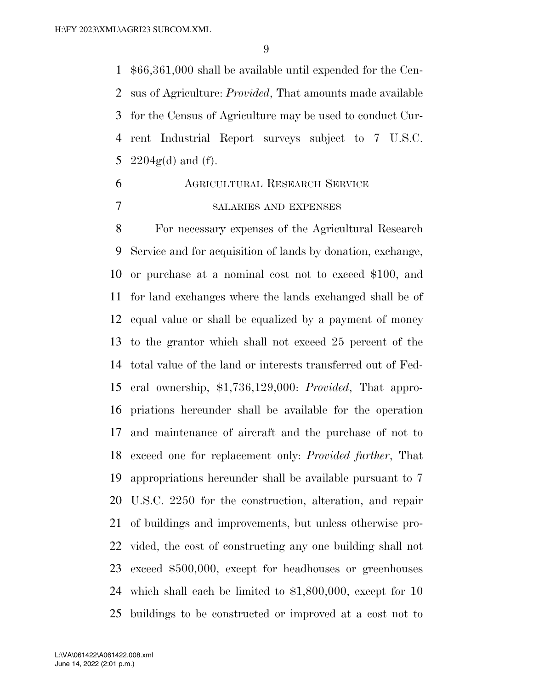\$66,361,000 shall be available until expended for the Cen- sus of Agriculture: *Provided*, That amounts made available for the Census of Agriculture may be used to conduct Cur- rent Industrial Report surveys subject to 7 U.S.C. 5 2204 $g(d)$  and (f).

 AGRICULTURAL RESEARCH SERVICE SALARIES AND EXPENSES

 For necessary expenses of the Agricultural Research Service and for acquisition of lands by donation, exchange, or purchase at a nominal cost not to exceed \$100, and for land exchanges where the lands exchanged shall be of equal value or shall be equalized by a payment of money to the grantor which shall not exceed 25 percent of the total value of the land or interests transferred out of Fed- eral ownership, \$1,736,129,000: *Provided*, That appro- priations hereunder shall be available for the operation and maintenance of aircraft and the purchase of not to exceed one for replacement only: *Provided further*, That appropriations hereunder shall be available pursuant to 7 U.S.C. 2250 for the construction, alteration, and repair of buildings and improvements, but unless otherwise pro- vided, the cost of constructing any one building shall not exceed \$500,000, except for headhouses or greenhouses which shall each be limited to \$1,800,000, except for 10 buildings to be constructed or improved at a cost not to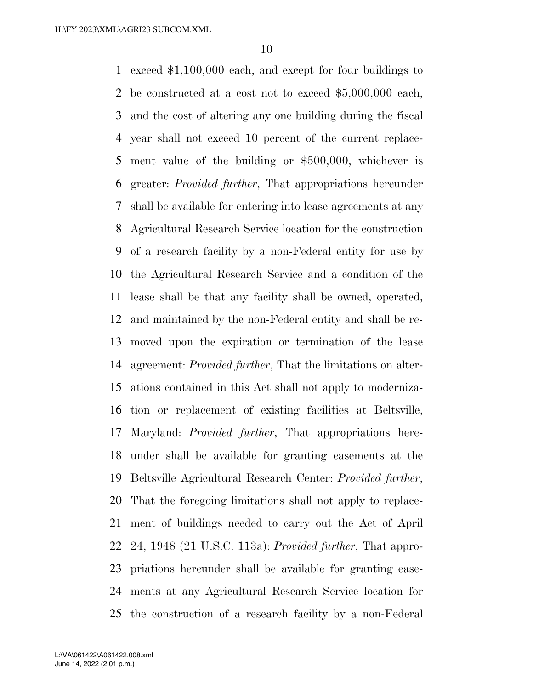exceed \$1,100,000 each, and except for four buildings to be constructed at a cost not to exceed \$5,000,000 each, and the cost of altering any one building during the fiscal year shall not exceed 10 percent of the current replace- ment value of the building or \$500,000, whichever is greater: *Provided further*, That appropriations hereunder shall be available for entering into lease agreements at any Agricultural Research Service location for the construction of a research facility by a non-Federal entity for use by the Agricultural Research Service and a condition of the lease shall be that any facility shall be owned, operated, and maintained by the non-Federal entity and shall be re- moved upon the expiration or termination of the lease agreement: *Provided further*, That the limitations on alter- ations contained in this Act shall not apply to moderniza- tion or replacement of existing facilities at Beltsville, Maryland: *Provided further*, That appropriations here- under shall be available for granting easements at the Beltsville Agricultural Research Center: *Provided further*, That the foregoing limitations shall not apply to replace- ment of buildings needed to carry out the Act of April 24, 1948 (21 U.S.C. 113a): *Provided further*, That appro- priations hereunder shall be available for granting ease- ments at any Agricultural Research Service location for the construction of a research facility by a non-Federal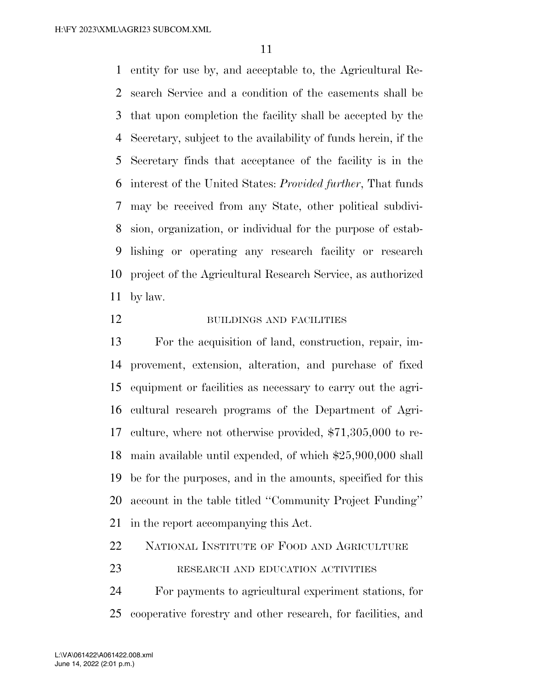entity for use by, and acceptable to, the Agricultural Re- search Service and a condition of the easements shall be that upon completion the facility shall be accepted by the Secretary, subject to the availability of funds herein, if the Secretary finds that acceptance of the facility is in the interest of the United States: *Provided further*, That funds may be received from any State, other political subdivi- sion, organization, or individual for the purpose of estab- lishing or operating any research facility or research project of the Agricultural Research Service, as authorized by law.

#### 12 BUILDINGS AND FACILITIES

 For the acquisition of land, construction, repair, im- provement, extension, alteration, and purchase of fixed equipment or facilities as necessary to carry out the agri- cultural research programs of the Department of Agri- culture, where not otherwise provided, \$71,305,000 to re- main available until expended, of which \$25,900,000 shall be for the purposes, and in the amounts, specified for this account in the table titled ''Community Project Funding'' in the report accompanying this Act.

NATIONAL INSTITUTE OF FOOD AND AGRICULTURE

#### 23 RESEARCH AND EDUCATION ACTIVITIES

 For payments to agricultural experiment stations, for cooperative forestry and other research, for facilities, and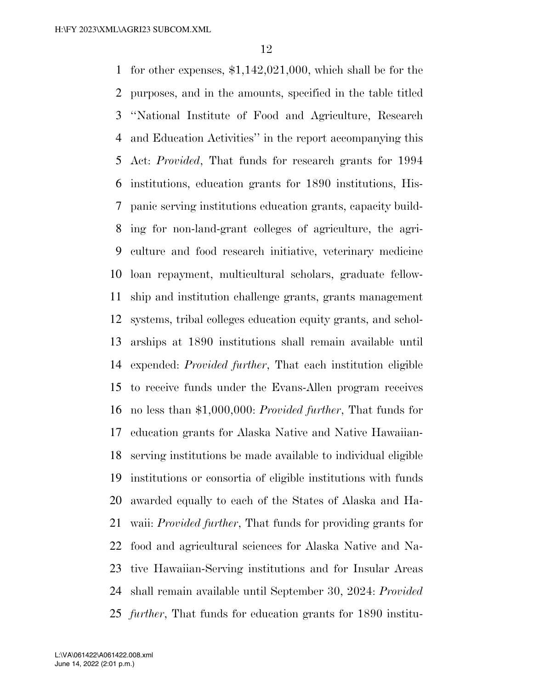for other expenses, \$1,142,021,000, which shall be for the purposes, and in the amounts, specified in the table titled ''National Institute of Food and Agriculture, Research and Education Activities'' in the report accompanying this Act: *Provided*, That funds for research grants for 1994 institutions, education grants for 1890 institutions, His- panic serving institutions education grants, capacity build- ing for non-land-grant colleges of agriculture, the agri- culture and food research initiative, veterinary medicine loan repayment, multicultural scholars, graduate fellow- ship and institution challenge grants, grants management systems, tribal colleges education equity grants, and schol- arships at 1890 institutions shall remain available until expended: *Provided further*, That each institution eligible to receive funds under the Evans-Allen program receives no less than \$1,000,000: *Provided further*, That funds for education grants for Alaska Native and Native Hawaiian- serving institutions be made available to individual eligible institutions or consortia of eligible institutions with funds awarded equally to each of the States of Alaska and Ha- waii: *Provided further*, That funds for providing grants for food and agricultural sciences for Alaska Native and Na- tive Hawaiian-Serving institutions and for Insular Areas shall remain available until September 30, 2024: *Provided further*, That funds for education grants for 1890 institu-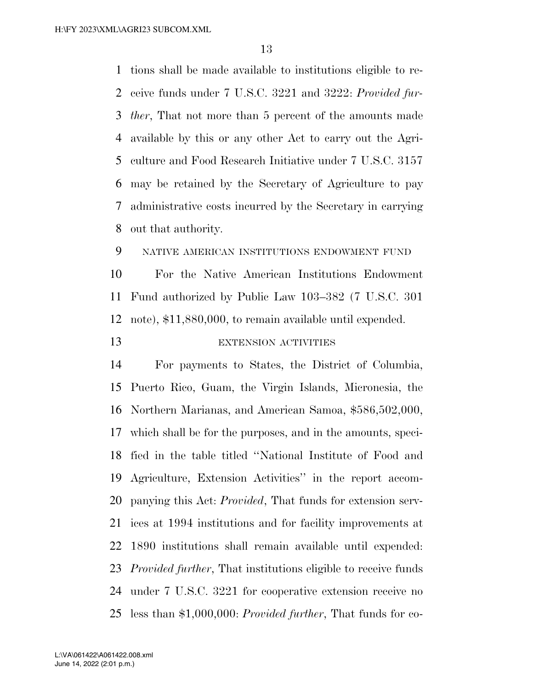tions shall be made available to institutions eligible to re- ceive funds under 7 U.S.C. 3221 and 3222: *Provided fur- ther*, That not more than 5 percent of the amounts made available by this or any other Act to carry out the Agri- culture and Food Research Initiative under 7 U.S.C. 3157 may be retained by the Secretary of Agriculture to pay administrative costs incurred by the Secretary in carrying out that authority.

NATIVE AMERICAN INSTITUTIONS ENDOWMENT FUND

 For the Native American Institutions Endowment Fund authorized by Public Law 103–382 (7 U.S.C. 301 note), \$11,880,000, to remain available until expended.

13 EXTENSION ACTIVITIES

 For payments to States, the District of Columbia, Puerto Rico, Guam, the Virgin Islands, Micronesia, the Northern Marianas, and American Samoa, \$586,502,000, which shall be for the purposes, and in the amounts, speci- fied in the table titled ''National Institute of Food and Agriculture, Extension Activities'' in the report accom- panying this Act: *Provided*, That funds for extension serv- ices at 1994 institutions and for facility improvements at 1890 institutions shall remain available until expended: *Provided further*, That institutions eligible to receive funds under 7 U.S.C. 3221 for cooperative extension receive no less than \$1,000,000: *Provided further*, That funds for co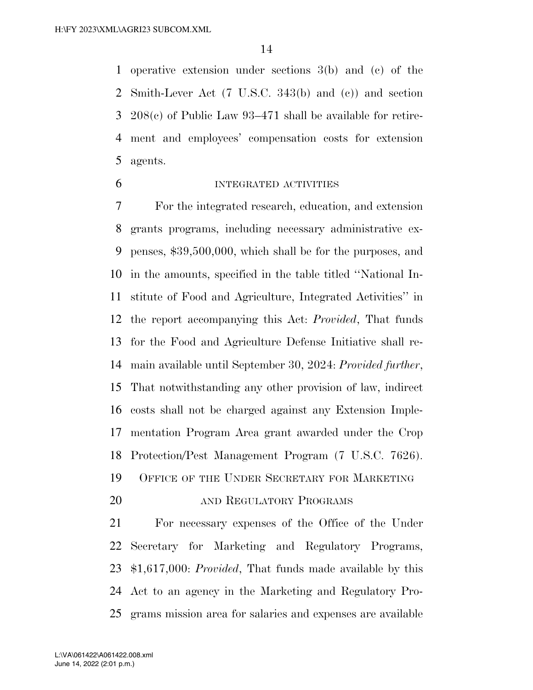operative extension under sections 3(b) and (c) of the Smith-Lever Act (7 U.S.C. 343(b) and (c)) and section 208(c) of Public Law 93–471 shall be available for retire- ment and employees' compensation costs for extension agents.

#### INTEGRATED ACTIVITIES

 For the integrated research, education, and extension grants programs, including necessary administrative ex- penses, \$39,500,000, which shall be for the purposes, and in the amounts, specified in the table titled ''National In- stitute of Food and Agriculture, Integrated Activities'' in the report accompanying this Act: *Provided*, That funds for the Food and Agriculture Defense Initiative shall re- main available until September 30, 2024: *Provided further*, That notwithstanding any other provision of law, indirect costs shall not be charged against any Extension Imple- mentation Program Area grant awarded under the Crop Protection/Pest Management Program (7 U.S.C. 7626). OFFICE OF THE UNDER SECRETARY FOR MARKETING

20 AND REGULATORY PROGRAMS

 For necessary expenses of the Office of the Under Secretary for Marketing and Regulatory Programs, \$1,617,000: *Provided*, That funds made available by this Act to an agency in the Marketing and Regulatory Pro-grams mission area for salaries and expenses are available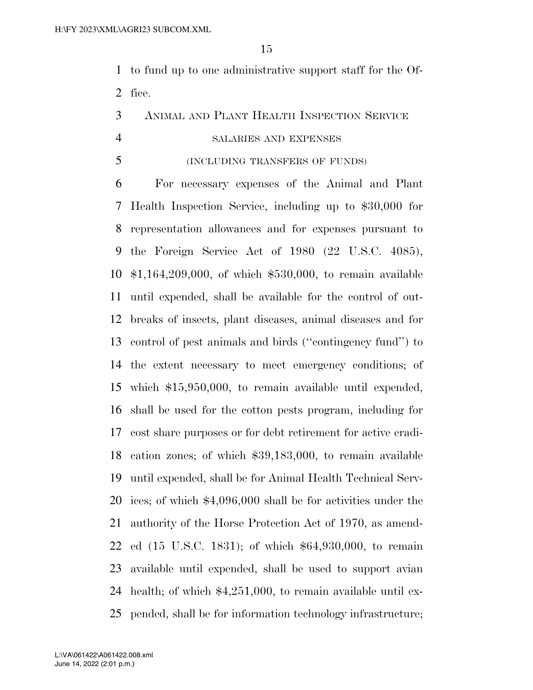to fund up to one administrative support staff for the Of-fice.

#### ANIMAL AND PLANT HEALTH INSPECTION SERVICE

#### SALARIES AND EXPENSES

(INCLUDING TRANSFERS OF FUNDS)

 For necessary expenses of the Animal and Plant Health Inspection Service, including up to \$30,000 for representation allowances and for expenses pursuant to the Foreign Service Act of 1980 (22 U.S.C. 4085), \$1,164,209,000, of which \$530,000, to remain available until expended, shall be available for the control of out- breaks of insects, plant diseases, animal diseases and for control of pest animals and birds (''contingency fund'') to the extent necessary to meet emergency conditions; of which \$15,950,000, to remain available until expended, shall be used for the cotton pests program, including for cost share purposes or for debt retirement for active eradi- cation zones; of which \$39,183,000, to remain available until expended, shall be for Animal Health Technical Serv- ices; of which \$4,096,000 shall be for activities under the authority of the Horse Protection Act of 1970, as amend- ed (15 U.S.C. 1831); of which \$64,930,000, to remain available until expended, shall be used to support avian health; of which \$4,251,000, to remain available until ex-pended, shall be for information technology infrastructure;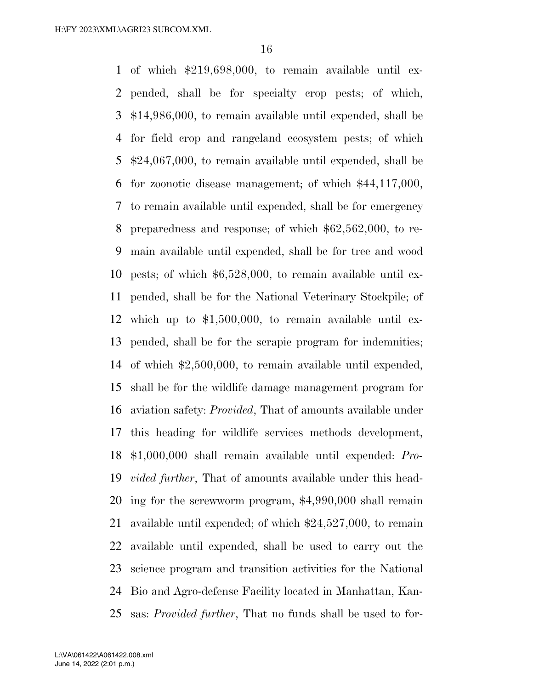of which \$219,698,000, to remain available until ex- pended, shall be for specialty crop pests; of which, \$14,986,000, to remain available until expended, shall be for field crop and rangeland ecosystem pests; of which \$24,067,000, to remain available until expended, shall be for zoonotic disease management; of which \$44,117,000, to remain available until expended, shall be for emergency preparedness and response; of which \$62,562,000, to re- main available until expended, shall be for tree and wood pests; of which \$6,528,000, to remain available until ex- pended, shall be for the National Veterinary Stockpile; of which up to \$1,500,000, to remain available until ex- pended, shall be for the scrapie program for indemnities; of which \$2,500,000, to remain available until expended, shall be for the wildlife damage management program for aviation safety: *Provided*, That of amounts available under this heading for wildlife services methods development, \$1,000,000 shall remain available until expended: *Pro- vided further*, That of amounts available under this head- ing for the screwworm program, \$4,990,000 shall remain available until expended; of which \$24,527,000, to remain available until expended, shall be used to carry out the science program and transition activities for the National Bio and Agro-defense Facility located in Manhattan, Kan-sas: *Provided further*, That no funds shall be used to for-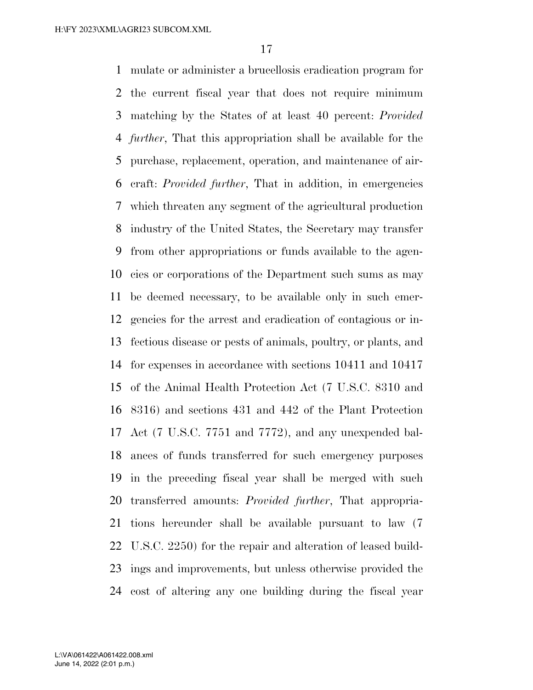mulate or administer a brucellosis eradication program for the current fiscal year that does not require minimum matching by the States of at least 40 percent: *Provided further*, That this appropriation shall be available for the purchase, replacement, operation, and maintenance of air- craft: *Provided further*, That in addition, in emergencies which threaten any segment of the agricultural production industry of the United States, the Secretary may transfer from other appropriations or funds available to the agen- cies or corporations of the Department such sums as may be deemed necessary, to be available only in such emer- gencies for the arrest and eradication of contagious or in- fectious disease or pests of animals, poultry, or plants, and for expenses in accordance with sections 10411 and 10417 of the Animal Health Protection Act (7 U.S.C. 8310 and 8316) and sections 431 and 442 of the Plant Protection Act (7 U.S.C. 7751 and 7772), and any unexpended bal- ances of funds transferred for such emergency purposes in the preceding fiscal year shall be merged with such transferred amounts: *Provided further*, That appropria- tions hereunder shall be available pursuant to law (7 U.S.C. 2250) for the repair and alteration of leased build- ings and improvements, but unless otherwise provided the cost of altering any one building during the fiscal year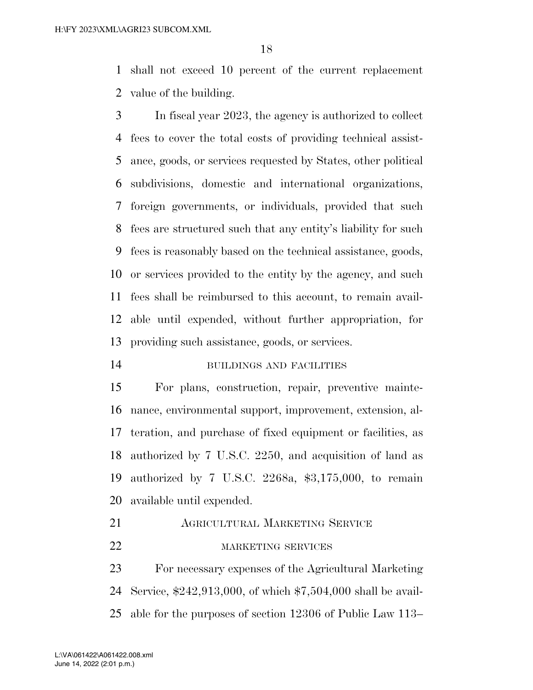shall not exceed 10 percent of the current replacement value of the building.

 In fiscal year 2023, the agency is authorized to collect fees to cover the total costs of providing technical assist- ance, goods, or services requested by States, other political subdivisions, domestic and international organizations, foreign governments, or individuals, provided that such fees are structured such that any entity's liability for such fees is reasonably based on the technical assistance, goods, or services provided to the entity by the agency, and such fees shall be reimbursed to this account, to remain avail- able until expended, without further appropriation, for providing such assistance, goods, or services.

#### BUILDINGS AND FACILITIES

 For plans, construction, repair, preventive mainte- nance, environmental support, improvement, extension, al- teration, and purchase of fixed equipment or facilities, as authorized by 7 U.S.C. 2250, and acquisition of land as authorized by 7 U.S.C. 2268a, \$3,175,000, to remain available until expended.

AGRICULTURAL MARKETING SERVICE

### 22 MARKETING SERVICES

 For necessary expenses of the Agricultural Marketing Service, \$242,913,000, of which \$7,504,000 shall be avail-able for the purposes of section 12306 of Public Law 113–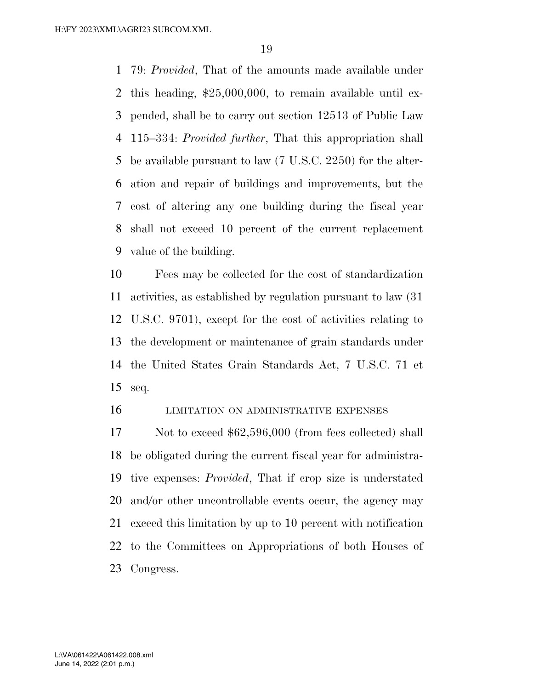79: *Provided*, That of the amounts made available under this heading, \$25,000,000, to remain available until ex- pended, shall be to carry out section 12513 of Public Law 115–334: *Provided further*, That this appropriation shall be available pursuant to law (7 U.S.C. 2250) for the alter- ation and repair of buildings and improvements, but the cost of altering any one building during the fiscal year shall not exceed 10 percent of the current replacement value of the building.

 Fees may be collected for the cost of standardization activities, as established by regulation pursuant to law (31 U.S.C. 9701), except for the cost of activities relating to the development or maintenance of grain standards under the United States Grain Standards Act, 7 U.S.C. 71 et seq.

#### LIMITATION ON ADMINISTRATIVE EXPENSES

17 Not to exceed \$62,596,000 (from fees collected) shall be obligated during the current fiscal year for administra- tive expenses: *Provided*, That if crop size is understated and/or other uncontrollable events occur, the agency may exceed this limitation by up to 10 percent with notification to the Committees on Appropriations of both Houses of Congress.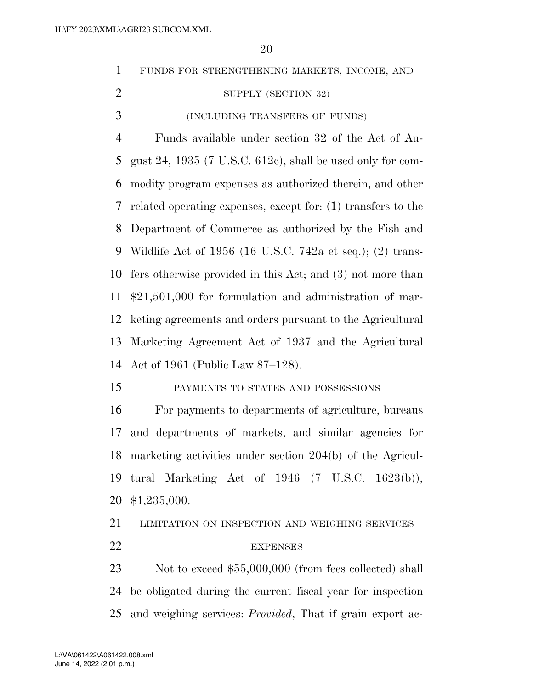|                | ∠∪                                                            |
|----------------|---------------------------------------------------------------|
| $\mathbf{1}$   | FUNDS FOR STRENGTHENING MARKETS, INCOME, AND                  |
| $\overline{2}$ | SUPPLY (SECTION 32)                                           |
| 3              | (INCLUDING TRANSFERS OF FUNDS)                                |
| $\overline{4}$ | Funds available under section 32 of the Act of Au-            |
| 5              | gust 24, 1935 (7 U.S.C. $612c$ ), shall be used only for com- |
| 6              | modity program expenses as authorized therein, and other      |
| 7              | related operating expenses, except for: (1) transfers to the  |
| 8              | Department of Commerce as authorized by the Fish and          |
| 9              | Wildlife Act of $1956$ (16 U.S.C. 742a et seq.); (2) trans-   |
| 10             | fers otherwise provided in this Act; and (3) not more than    |
| 11             | $$21,501,000$ for formulation and administration of mar-      |
| 12             | keting agreements and orders pursuant to the Agricultural     |
| 13             | Marketing Agreement Act of 1937 and the Agricultural          |
| 14             | Act of 1961 (Public Law 87–128).                              |
| 15             | PAYMENTS TO STATES AND POSSESSIONS                            |
| 16             | For payments to departments of agriculture, bureaus           |
| 17             | and departments of markets, and similar agencies for          |
| 18             | marketing activities under section 204(b) of the Agricul-     |
| 19             | tural Marketing Act of $1946$ (7 U.S.C. $1623(b)$ ),          |
| 20             | \$1,235,000.                                                  |
| 21             | LIMITATION ON INSPECTION AND WEIGHING SERVICES                |
| 22             | <b>EXPENSES</b>                                               |
| 23             | Not to exceed $$55,000,000$ (from fees collected) shall       |
|                |                                                               |

 be obligated during the current fiscal year for inspection and weighing services: *Provided*, That if grain export ac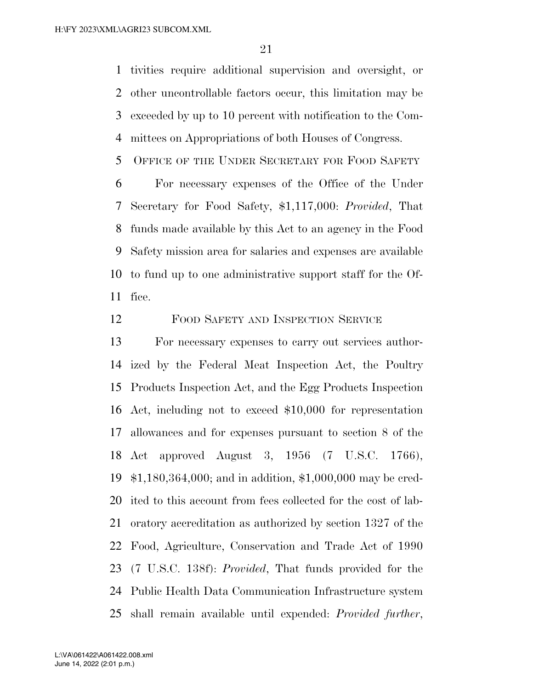tivities require additional supervision and oversight, or other uncontrollable factors occur, this limitation may be exceeded by up to 10 percent with notification to the Com-mittees on Appropriations of both Houses of Congress.

OFFICE OF THE UNDER SECRETARY FOR FOOD SAFETY

 For necessary expenses of the Office of the Under Secretary for Food Safety, \$1,117,000: *Provided*, That funds made available by this Act to an agency in the Food Safety mission area for salaries and expenses are available to fund up to one administrative support staff for the Of-fice.

FOOD SAFETY AND INSPECTION SERVICE

 For necessary expenses to carry out services author- ized by the Federal Meat Inspection Act, the Poultry Products Inspection Act, and the Egg Products Inspection Act, including not to exceed \$10,000 for representation allowances and for expenses pursuant to section 8 of the Act approved August 3, 1956 (7 U.S.C. 1766), \$1,180,364,000; and in addition, \$1,000,000 may be cred- ited to this account from fees collected for the cost of lab- oratory accreditation as authorized by section 1327 of the Food, Agriculture, Conservation and Trade Act of 1990 (7 U.S.C. 138f): *Provided*, That funds provided for the Public Health Data Communication Infrastructure system shall remain available until expended: *Provided further*,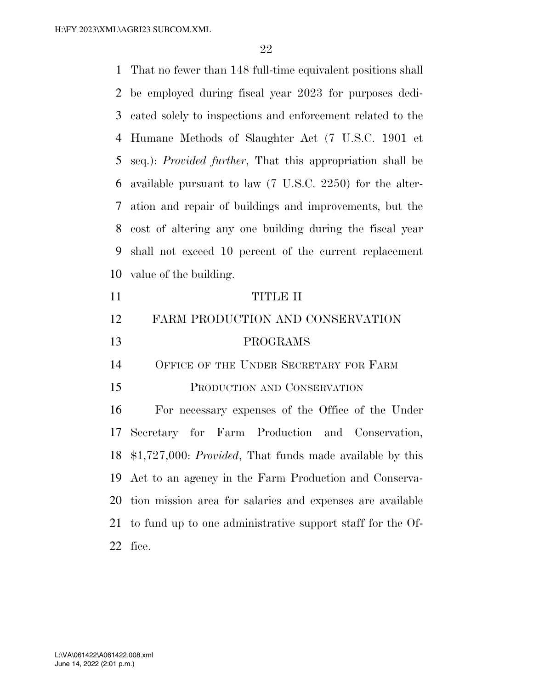That no fewer than 148 full-time equivalent positions shall be employed during fiscal year 2023 for purposes dedi- cated solely to inspections and enforcement related to the Humane Methods of Slaughter Act (7 U.S.C. 1901 et seq.): *Provided further*, That this appropriation shall be available pursuant to law (7 U.S.C. 2250) for the alter- ation and repair of buildings and improvements, but the cost of altering any one building during the fiscal year shall not exceed 10 percent of the current replacement value of the building. TITLE II

## FARM PRODUCTION AND CONSERVATION PROGRAMS

14 OFFICE OF THE UNDER SECRETARY FOR FARM

#### PRODUCTION AND CONSERVATION

 For necessary expenses of the Office of the Under Secretary for Farm Production and Conservation, \$1,727,000: *Provided*, That funds made available by this Act to an agency in the Farm Production and Conserva- tion mission area for salaries and expenses are available to fund up to one administrative support staff for the Of-fice.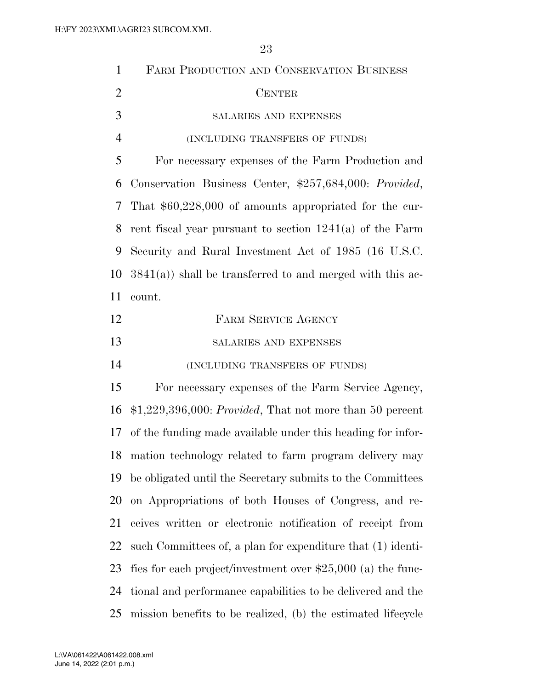| $\mathbf{1}$   | FARM PRODUCTION AND CONSERVATION BUSINESS                     |
|----------------|---------------------------------------------------------------|
| $\overline{2}$ | <b>CENTER</b>                                                 |
| 3              | SALARIES AND EXPENSES                                         |
| $\overline{4}$ | (INCLUDING TRANSFERS OF FUNDS)                                |
| 5              | For necessary expenses of the Farm Production and             |
| 6              | Conservation Business Center, \$257,684,000: Provided,        |
| 7              | That $$60,228,000$ of amounts appropriated for the cur-       |
| 8              | rent fiscal year pursuant to section $1241(a)$ of the Farm    |
| 9              | Security and Rural Investment Act of 1985 (16 U.S.C.          |
| 10             | $3841(a)$ ) shall be transferred to and merged with this ac-  |
| 11             | count.                                                        |
| 12             | FARM SERVICE AGENCY                                           |
| 13             | SALARIES AND EXPENSES                                         |
| 14             | (INCLUDING TRANSFERS OF FUNDS)                                |
| 15             | For necessary expenses of the Farm Service Agency,            |
| 16             | $$1,229,396,000: Provided, That not more than 50 percent$     |
| 17             | of the funding made available under this heading for infor-   |
| 18             | mation technology related to farm program delivery may        |
| 19             | be obligated until the Secretary submits to the Committees    |
| 20             | on Appropriations of both Houses of Congress, and re-         |
| 21             | ceives written or electronic notification of receipt from     |
| 22             | such Committees of, a plan for expenditure that (1) identi-   |
| 23             | fies for each project/investment over $$25,000$ (a) the func- |
| 24             | tional and performance capabilities to be delivered and the   |
| 25             | mission benefits to be realized, (b) the estimated lifecycle  |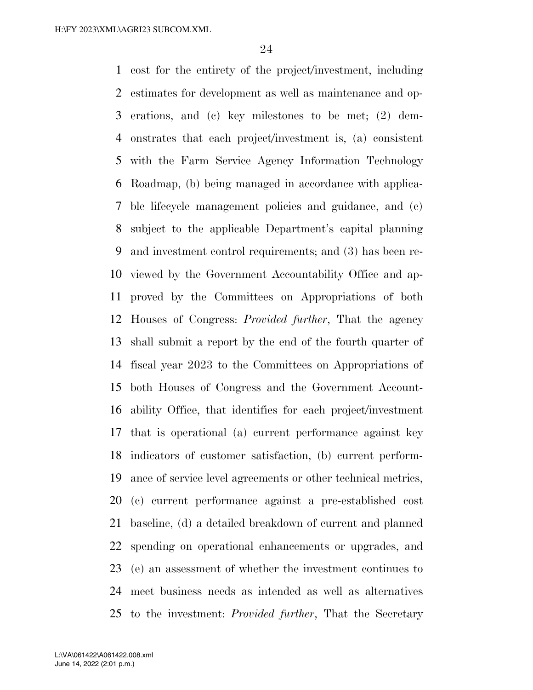cost for the entirety of the project/investment, including estimates for development as well as maintenance and op- erations, and (c) key milestones to be met; (2) dem- onstrates that each project/investment is, (a) consistent with the Farm Service Agency Information Technology Roadmap, (b) being managed in accordance with applica- ble lifecycle management policies and guidance, and (c) subject to the applicable Department's capital planning and investment control requirements; and (3) has been re- viewed by the Government Accountability Office and ap- proved by the Committees on Appropriations of both Houses of Congress: *Provided further*, That the agency shall submit a report by the end of the fourth quarter of fiscal year 2023 to the Committees on Appropriations of both Houses of Congress and the Government Account- ability Office, that identifies for each project/investment that is operational (a) current performance against key indicators of customer satisfaction, (b) current perform- ance of service level agreements or other technical metrics, (c) current performance against a pre-established cost baseline, (d) a detailed breakdown of current and planned spending on operational enhancements or upgrades, and (e) an assessment of whether the investment continues to meet business needs as intended as well as alternatives to the investment: *Provided further*, That the Secretary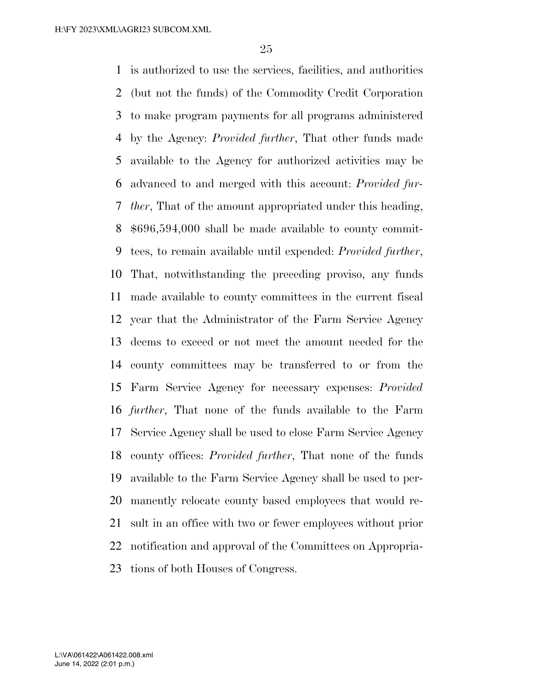is authorized to use the services, facilities, and authorities (but not the funds) of the Commodity Credit Corporation to make program payments for all programs administered by the Agency: *Provided further*, That other funds made available to the Agency for authorized activities may be advanced to and merged with this account: *Provided fur- ther*, That of the amount appropriated under this heading, \$696,594,000 shall be made available to county commit- tees, to remain available until expended: *Provided further*, That, notwithstanding the preceding proviso, any funds made available to county committees in the current fiscal year that the Administrator of the Farm Service Agency deems to exceed or not meet the amount needed for the county committees may be transferred to or from the Farm Service Agency for necessary expenses: *Provided further*, That none of the funds available to the Farm Service Agency shall be used to close Farm Service Agency county offices: *Provided further*, That none of the funds available to the Farm Service Agency shall be used to per- manently relocate county based employees that would re- sult in an office with two or fewer employees without prior notification and approval of the Committees on Appropria-tions of both Houses of Congress.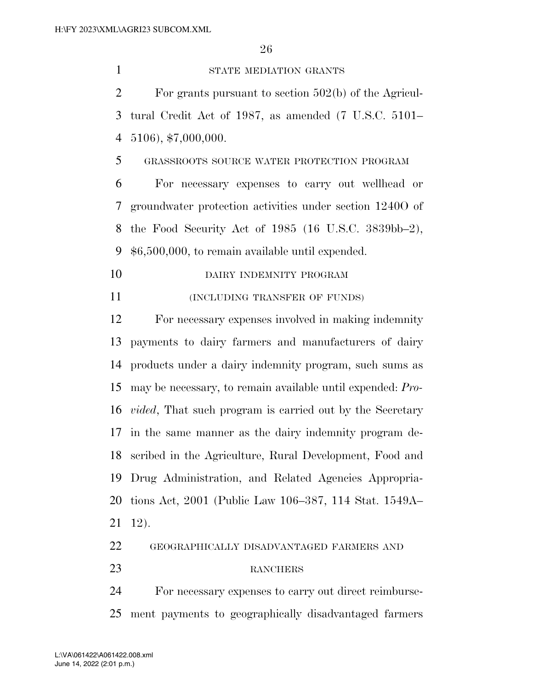1 STATE MEDIATION GRANTS For grants pursuant to section 502(b) of the Agricul- tural Credit Act of 1987, as amended (7 U.S.C. 5101– 5106), \$7,000,000. GRASSROOTS SOURCE WATER PROTECTION PROGRAM For necessary expenses to carry out wellhead or groundwater protection activities under section 1240O of the Food Security Act of 1985 (16 U.S.C. 3839bb–2), \$6,500,000, to remain available until expended. 10 DAIRY INDEMNITY PROGRAM 11 (INCLUDING TRANSFER OF FUNDS) For necessary expenses involved in making indemnity payments to dairy farmers and manufacturers of dairy products under a dairy indemnity program, such sums as may be necessary, to remain available until expended: *Pro- vided*, That such program is carried out by the Secretary in the same manner as the dairy indemnity program de- scribed in the Agriculture, Rural Development, Food and Drug Administration, and Related Agencies Appropria- tions Act, 2001 (Public Law 106–387, 114 Stat. 1549A– 12). GEOGRAPHICALLY DISADVANTAGED FARMERS AND 23 RANCHERS For necessary expenses to carry out direct reimburse-

ment payments to geographically disadvantaged farmers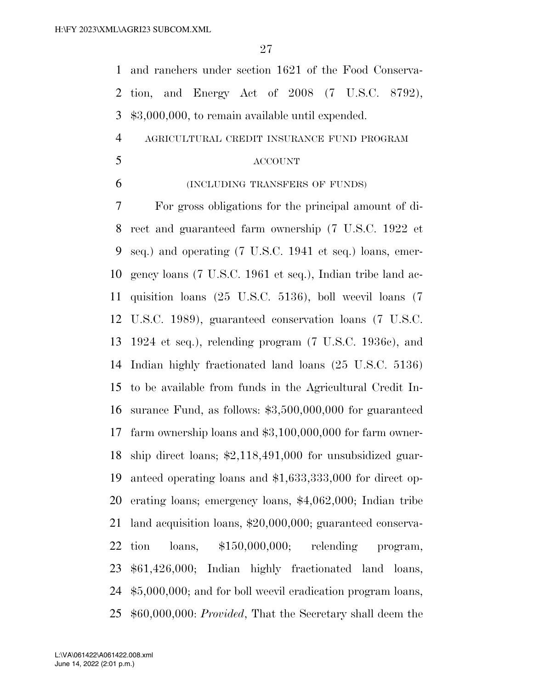and ranchers under section 1621 of the Food Conserva- tion, and Energy Act of 2008 (7 U.S.C. 8792), \$3,000,000, to remain available until expended. AGRICULTURAL CREDIT INSURANCE FUND PROGRAM ACCOUNT (INCLUDING TRANSFERS OF FUNDS) For gross obligations for the principal amount of di- rect and guaranteed farm ownership (7 U.S.C. 1922 et seq.) and operating (7 U.S.C. 1941 et seq.) loans, emer- gency loans (7 U.S.C. 1961 et seq.), Indian tribe land ac- quisition loans (25 U.S.C. 5136), boll weevil loans (7 U.S.C. 1989), guaranteed conservation loans (7 U.S.C. 1924 et seq.), relending program (7 U.S.C. 1936c), and Indian highly fractionated land loans (25 U.S.C. 5136) to be available from funds in the Agricultural Credit In- surance Fund, as follows: \$3,500,000,000 for guaranteed farm ownership loans and \$3,100,000,000 for farm owner- ship direct loans; \$2,118,491,000 for unsubsidized guar- anteed operating loans and \$1,633,333,000 for direct op- erating loans; emergency loans, \$4,062,000; Indian tribe land acquisition loans, \$20,000,000; guaranteed conserva- tion loans, \$150,000,000; relending program, \$61,426,000; Indian highly fractionated land loans, \$5,000,000; and for boll weevil eradication program loans, \$60,000,000: *Provided*, That the Secretary shall deem the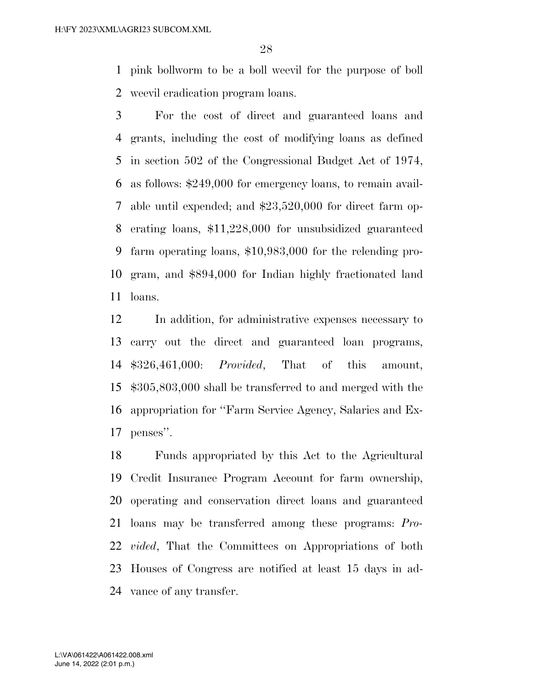pink bollworm to be a boll weevil for the purpose of boll weevil eradication program loans.

 For the cost of direct and guaranteed loans and grants, including the cost of modifying loans as defined in section 502 of the Congressional Budget Act of 1974, as follows: \$249,000 for emergency loans, to remain avail- able until expended; and \$23,520,000 for direct farm op- erating loans, \$11,228,000 for unsubsidized guaranteed farm operating loans, \$10,983,000 for the relending pro- gram, and \$894,000 for Indian highly fractionated land loans.

 In addition, for administrative expenses necessary to carry out the direct and guaranteed loan programs, \$326,461,000: *Provided*, That of this amount, \$305,803,000 shall be transferred to and merged with the appropriation for ''Farm Service Agency, Salaries and Ex-penses''.

 Funds appropriated by this Act to the Agricultural Credit Insurance Program Account for farm ownership, operating and conservation direct loans and guaranteed loans may be transferred among these programs: *Pro- vided*, That the Committees on Appropriations of both Houses of Congress are notified at least 15 days in ad-vance of any transfer.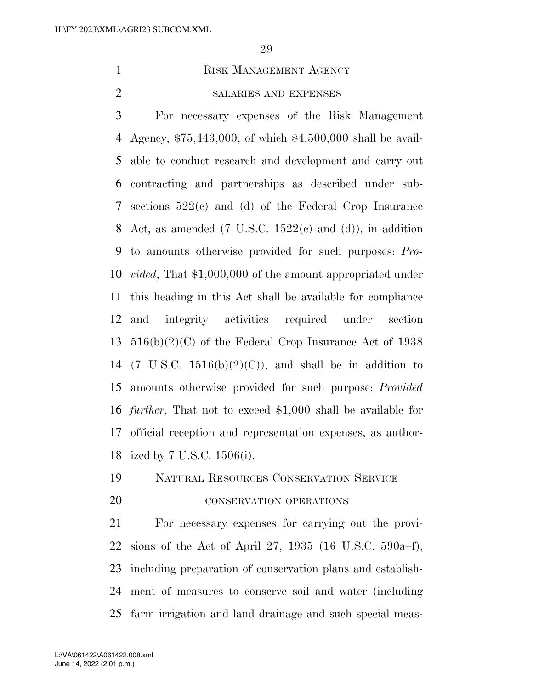1 RISK MANAGEMENT AGENCY

#### SALARIES AND EXPENSES

 For necessary expenses of the Risk Management Agency, \$75,443,000; of which \$4,500,000 shall be avail- able to conduct research and development and carry out contracting and partnerships as described under sub- sections 522(c) and (d) of the Federal Crop Insurance 8 Act, as amended  $(7 \text{ U.S.C. } 1522(e) \text{ and } (d))$ , in addition to amounts otherwise provided for such purposes: *Pro- vided*, That \$1,000,000 of the amount appropriated under this heading in this Act shall be available for compliance and integrity activities required under section  $516(b)(2)(C)$  of the Federal Crop Insurance Act of 1938 14 (7 U.S.C.  $1516(b)(2)(C)$ ), and shall be in addition to amounts otherwise provided for such purpose: *Provided further*, That not to exceed \$1,000 shall be available for official reception and representation expenses, as author-ized by 7 U.S.C. 1506(i).

NATURAL RESOURCES CONSERVATION SERVICE

#### 20 CONSERVATION OPERATIONS

 For necessary expenses for carrying out the provi- sions of the Act of April 27, 1935 (16 U.S.C. 590a–f), including preparation of conservation plans and establish- ment of measures to conserve soil and water (including farm irrigation and land drainage and such special meas-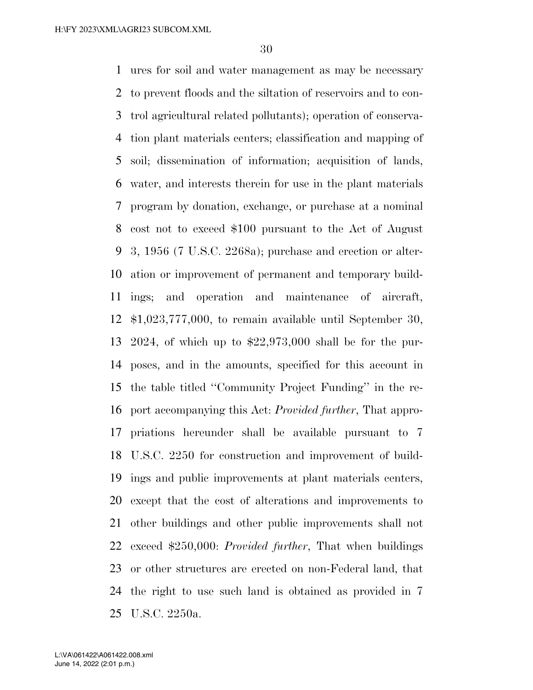ures for soil and water management as may be necessary to prevent floods and the siltation of reservoirs and to con- trol agricultural related pollutants); operation of conserva- tion plant materials centers; classification and mapping of soil; dissemination of information; acquisition of lands, water, and interests therein for use in the plant materials program by donation, exchange, or purchase at a nominal cost not to exceed \$100 pursuant to the Act of August 3, 1956 (7 U.S.C. 2268a); purchase and erection or alter- ation or improvement of permanent and temporary build- ings; and operation and maintenance of aircraft, \$1,023,777,000, to remain available until September 30, 2024, of which up to \$22,973,000 shall be for the pur- poses, and in the amounts, specified for this account in the table titled ''Community Project Funding'' in the re- port accompanying this Act: *Provided further*, That appro- priations hereunder shall be available pursuant to 7 U.S.C. 2250 for construction and improvement of build- ings and public improvements at plant materials centers, except that the cost of alterations and improvements to other buildings and other public improvements shall not exceed \$250,000: *Provided further*, That when buildings or other structures are erected on non-Federal land, that the right to use such land is obtained as provided in 7 U.S.C. 2250a.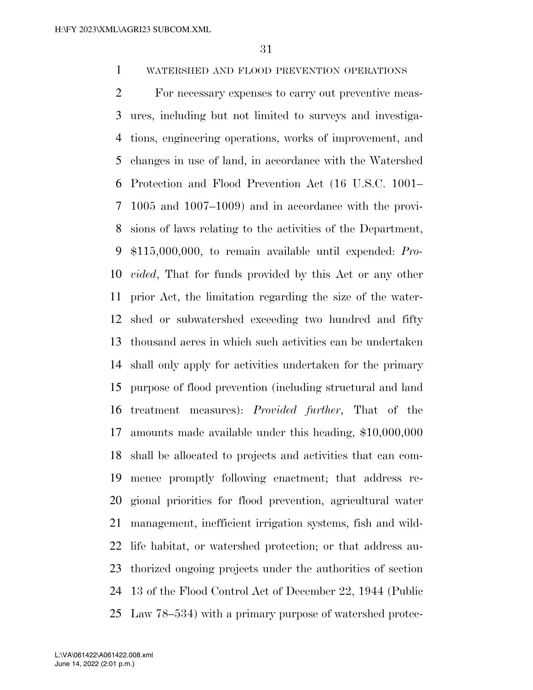WATERSHED AND FLOOD PREVENTION OPERATIONS

 For necessary expenses to carry out preventive meas- ures, including but not limited to surveys and investiga- tions, engineering operations, works of improvement, and changes in use of land, in accordance with the Watershed Protection and Flood Prevention Act (16 U.S.C. 1001– 1005 and 1007–1009) and in accordance with the provi- sions of laws relating to the activities of the Department, \$115,000,000, to remain available until expended: *Pro- vided*, That for funds provided by this Act or any other prior Act, the limitation regarding the size of the water- shed or subwatershed exceeding two hundred and fifty thousand acres in which such activities can be undertaken shall only apply for activities undertaken for the primary purpose of flood prevention (including structural and land treatment measures): *Provided further*, That of the amounts made available under this heading, \$10,000,000 shall be allocated to projects and activities that can com- mence promptly following enactment; that address re- gional priorities for flood prevention, agricultural water management, inefficient irrigation systems, fish and wild- life habitat, or watershed protection; or that address au- thorized ongoing projects under the authorities of section 13 of the Flood Control Act of December 22, 1944 (Public Law 78–534) with a primary purpose of watershed protec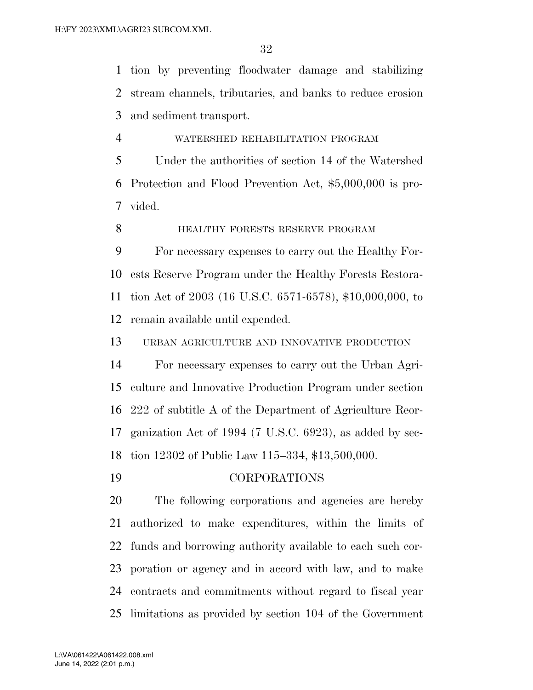tion by preventing floodwater damage and stabilizing stream channels, tributaries, and banks to reduce erosion and sediment transport.

WATERSHED REHABILITATION PROGRAM

 Under the authorities of section 14 of the Watershed Protection and Flood Prevention Act, \$5,000,000 is pro-vided.

**HEALTHY FORESTS RESERVE PROGRAM** 

 For necessary expenses to carry out the Healthy For- ests Reserve Program under the Healthy Forests Restora- tion Act of 2003 (16 U.S.C. 6571-6578), \$10,000,000, to remain available until expended.

URBAN AGRICULTURE AND INNOVATIVE PRODUCTION

 For necessary expenses to carry out the Urban Agri- culture and Innovative Production Program under section 222 of subtitle A of the Department of Agriculture Reor- ganization Act of 1994 (7 U.S.C. 6923), as added by sec-tion 12302 of Public Law 115–334, \$13,500,000.

CORPORATIONS

 The following corporations and agencies are hereby authorized to make expenditures, within the limits of funds and borrowing authority available to each such cor- poration or agency and in accord with law, and to make contracts and commitments without regard to fiscal year limitations as provided by section 104 of the Government

June 14, 2022 (2:01 p.m.) L:\VA\061422\A061422.008.xml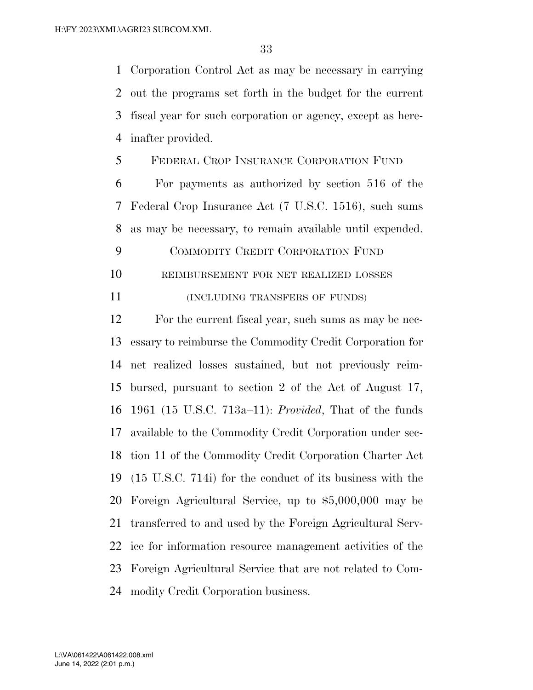Corporation Control Act as may be necessary in carrying out the programs set forth in the budget for the current fiscal year for such corporation or agency, except as here-inafter provided.

FEDERAL CROP INSURANCE CORPORATION FUND

 For payments as authorized by section 516 of the Federal Crop Insurance Act (7 U.S.C. 1516), such sums as may be necessary, to remain available until expended.

- COMMODITY CREDIT CORPORATION FUND
- REIMBURSEMENT FOR NET REALIZED LOSSES
- 11 (INCLUDING TRANSFERS OF FUNDS)

 For the current fiscal year, such sums as may be nec- essary to reimburse the Commodity Credit Corporation for net realized losses sustained, but not previously reim- bursed, pursuant to section 2 of the Act of August 17, 1961 (15 U.S.C. 713a–11): *Provided*, That of the funds available to the Commodity Credit Corporation under sec- tion 11 of the Commodity Credit Corporation Charter Act (15 U.S.C. 714i) for the conduct of its business with the Foreign Agricultural Service, up to \$5,000,000 may be transferred to and used by the Foreign Agricultural Serv- ice for information resource management activities of the Foreign Agricultural Service that are not related to Com-modity Credit Corporation business.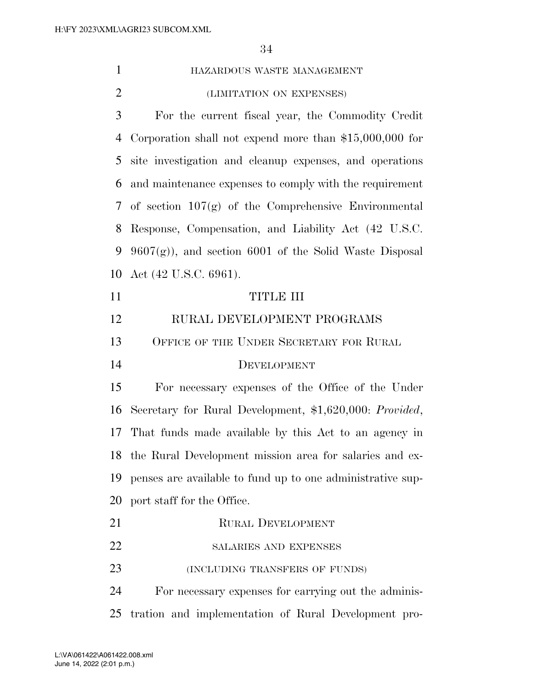| $\mathbf{1}$ | HAZARDOUS WASTE MANAGEMENT                                 |
|--------------|------------------------------------------------------------|
| 2            | (LIMITATION ON EXPENSES)                                   |
| 3            | For the current fiscal year, the Commodity Credit          |
| 4            | Corporation shall not expend more than $$15,000,000$ for   |
| 5            | site investigation and cleanup expenses, and operations    |
| 6            | and maintenance expenses to comply with the requirement    |
|              | 7 of section $107(g)$ of the Comprehensive Environmental   |
| 8            | Response, Compensation, and Liability Act (42 U.S.C.       |
| 9            | $9607(g)$ , and section 6001 of the Solid Waste Disposal   |
| 10           | Act $(42 \text{ U.S.C. } 6961)$ .                          |
| 11           | <b>TITLE III</b>                                           |
| 12           | RURAL DEVELOPMENT PROGRAMS                                 |
| 13           | OFFICE OF THE UNDER SECRETARY FOR RURAL                    |
| 14           | DEVELOPMENT                                                |
| 15           | For necessary expenses of the Office of the Under          |
| 16           | Secretary for Rural Development, \$1,620,000: Provided,    |
| 17           | That funds made available by this Act to an agency in      |
|              | 18 the Rural Development mission area for salaries and ex- |
| 19           | penses are available to fund up to one administrative sup- |
| 20           | port staff for the Office.                                 |
| 21           | <b>RURAL DEVELOPMENT</b>                                   |
| 22           | SALARIES AND EXPENSES                                      |
| 23           | (INCLUDING TRANSFERS OF FUNDS)                             |
| 24           | For necessary expenses for carrying out the adminis-       |
| 25           | tration and implementation of Rural Development pro-       |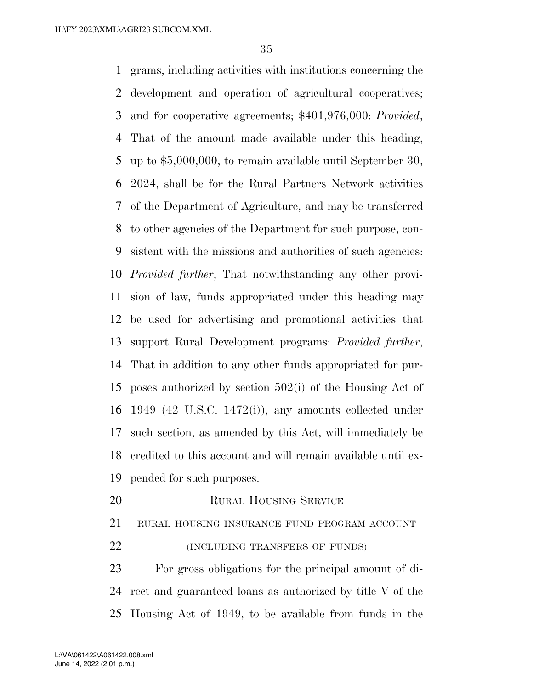grams, including activities with institutions concerning the development and operation of agricultural cooperatives; and for cooperative agreements; \$401,976,000: *Provided*, That of the amount made available under this heading, up to \$5,000,000, to remain available until September 30, 2024, shall be for the Rural Partners Network activities of the Department of Agriculture, and may be transferred to other agencies of the Department for such purpose, con- sistent with the missions and authorities of such agencies: *Provided further*, That notwithstanding any other provi- sion of law, funds appropriated under this heading may be used for advertising and promotional activities that support Rural Development programs: *Provided further*, That in addition to any other funds appropriated for pur- poses authorized by section 502(i) of the Housing Act of 1949 (42 U.S.C. 1472(i)), any amounts collected under such section, as amended by this Act, will immediately be credited to this account and will remain available until ex-pended for such purposes.

20 RURAL HOUSING SERVICE

RURAL HOUSING INSURANCE FUND PROGRAM ACCOUNT

**(INCLUDING TRANSFERS OF FUNDS)** 

 For gross obligations for the principal amount of di- rect and guaranteed loans as authorized by title V of the Housing Act of 1949, to be available from funds in the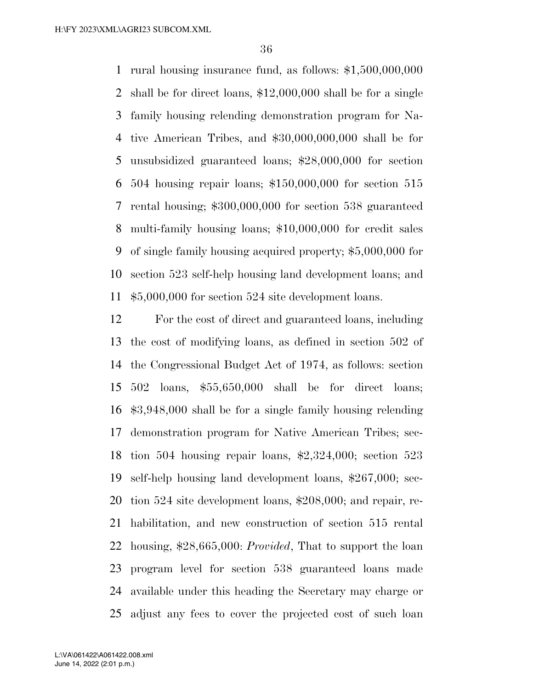rural housing insurance fund, as follows: \$1,500,000,000 shall be for direct loans, \$12,000,000 shall be for a single family housing relending demonstration program for Na- tive American Tribes, and \$30,000,000,000 shall be for unsubsidized guaranteed loans; \$28,000,000 for section 504 housing repair loans; \$150,000,000 for section 515 rental housing; \$300,000,000 for section 538 guaranteed multi-family housing loans; \$10,000,000 for credit sales of single family housing acquired property; \$5,000,000 for section 523 self-help housing land development loans; and \$5,000,000 for section 524 site development loans.

 For the cost of direct and guaranteed loans, including the cost of modifying loans, as defined in section 502 of the Congressional Budget Act of 1974, as follows: section 502 loans, \$55,650,000 shall be for direct loans; \$3,948,000 shall be for a single family housing relending demonstration program for Native American Tribes; sec- tion 504 housing repair loans, \$2,324,000; section 523 self-help housing land development loans, \$267,000; sec- tion 524 site development loans, \$208,000; and repair, re- habilitation, and new construction of section 515 rental housing, \$28,665,000: *Provided*, That to support the loan program level for section 538 guaranteed loans made available under this heading the Secretary may charge or adjust any fees to cover the projected cost of such loan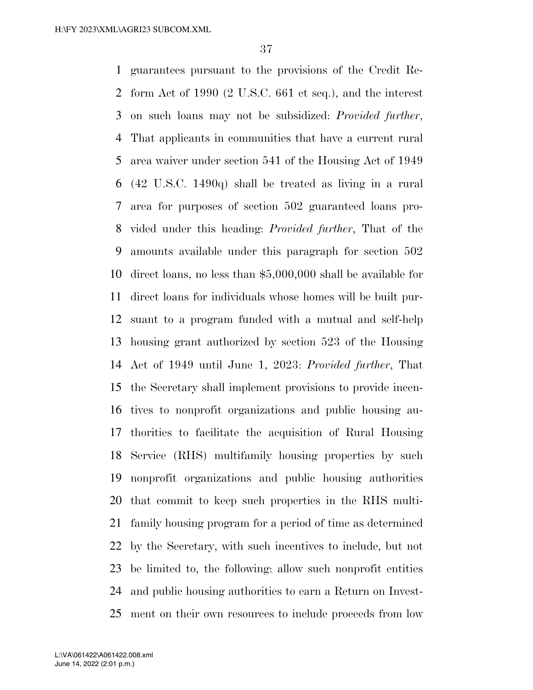guarantees pursuant to the provisions of the Credit Re- form Act of 1990 (2 U.S.C. 661 et seq.), and the interest on such loans may not be subsidized: *Provided further*, That applicants in communities that have a current rural area waiver under section 541 of the Housing Act of 1949 (42 U.S.C. 1490q) shall be treated as living in a rural area for purposes of section 502 guaranteed loans pro- vided under this heading: *Provided further*, That of the amounts available under this paragraph for section 502 direct loans, no less than \$5,000,000 shall be available for direct loans for individuals whose homes will be built pur- suant to a program funded with a mutual and self-help housing grant authorized by section 523 of the Housing Act of 1949 until June 1, 2023: *Provided further*, That the Secretary shall implement provisions to provide incen- tives to nonprofit organizations and public housing au- thorities to facilitate the acquisition of Rural Housing Service (RHS) multifamily housing properties by such nonprofit organizations and public housing authorities that commit to keep such properties in the RHS multi- family housing program for a period of time as determined by the Secretary, with such incentives to include, but not be limited to, the following: allow such nonprofit entities and public housing authorities to earn a Return on Invest-ment on their own resources to include proceeds from low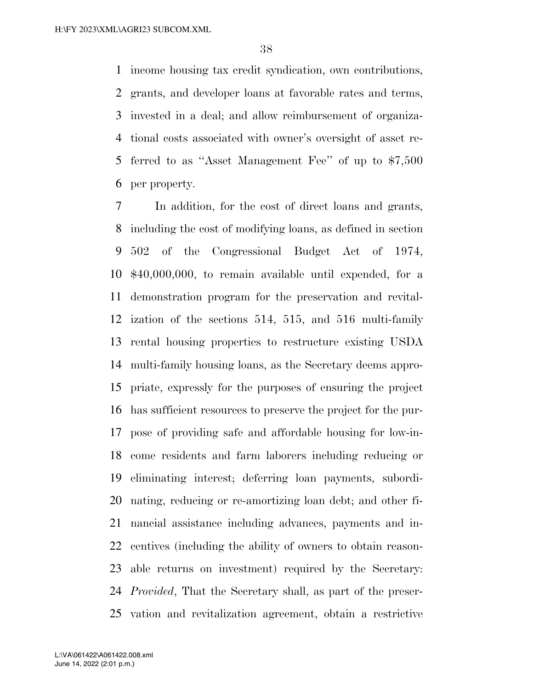income housing tax credit syndication, own contributions, grants, and developer loans at favorable rates and terms, invested in a deal; and allow reimbursement of organiza- tional costs associated with owner's oversight of asset re- ferred to as ''Asset Management Fee'' of up to \$7,500 per property.

 In addition, for the cost of direct loans and grants, including the cost of modifying loans, as defined in section 502 of the Congressional Budget Act of 1974, \$40,000,000, to remain available until expended, for a demonstration program for the preservation and revital- ization of the sections 514, 515, and 516 multi-family rental housing properties to restructure existing USDA multi-family housing loans, as the Secretary deems appro- priate, expressly for the purposes of ensuring the project has sufficient resources to preserve the project for the pur- pose of providing safe and affordable housing for low-in- come residents and farm laborers including reducing or eliminating interest; deferring loan payments, subordi- nating, reducing or re-amortizing loan debt; and other fi- nancial assistance including advances, payments and in- centives (including the ability of owners to obtain reason- able returns on investment) required by the Secretary: *Provided*, That the Secretary shall, as part of the preser-vation and revitalization agreement, obtain a restrictive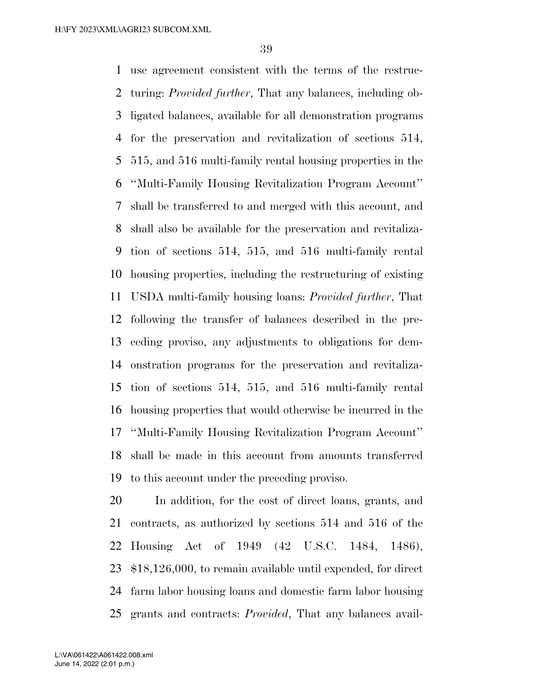use agreement consistent with the terms of the restruc- turing: *Provided further*, That any balances, including ob- ligated balances, available for all demonstration programs for the preservation and revitalization of sections 514, 515, and 516 multi-family rental housing properties in the ''Multi-Family Housing Revitalization Program Account'' shall be transferred to and merged with this account, and shall also be available for the preservation and revitaliza- tion of sections 514, 515, and 516 multi-family rental housing properties, including the restructuring of existing USDA multi-family housing loans: *Provided further*, That following the transfer of balances described in the pre- ceding proviso, any adjustments to obligations for dem- onstration programs for the preservation and revitaliza- tion of sections 514, 515, and 516 multi-family rental housing properties that would otherwise be incurred in the ''Multi-Family Housing Revitalization Program Account'' shall be made in this account from amounts transferred to this account under the preceding proviso.

 In addition, for the cost of direct loans, grants, and contracts, as authorized by sections 514 and 516 of the Housing Act of 1949 (42 U.S.C. 1484, 1486), \$18,126,000, to remain available until expended, for direct farm labor housing loans and domestic farm labor housing grants and contracts: *Provided*, That any balances avail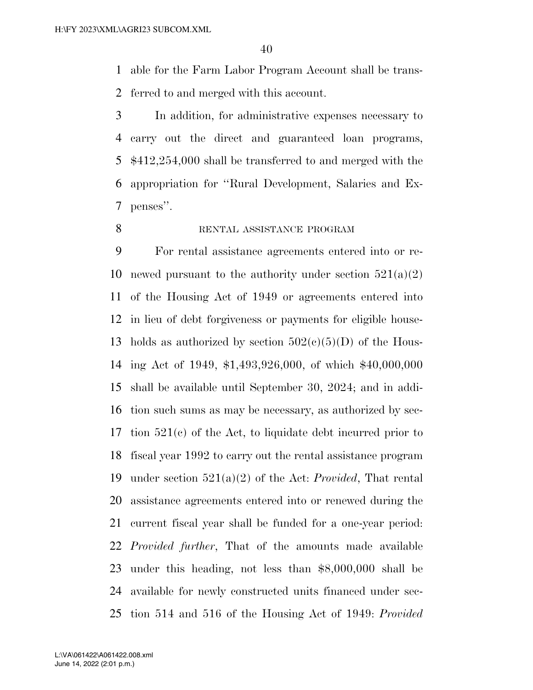able for the Farm Labor Program Account shall be trans-ferred to and merged with this account.

 In addition, for administrative expenses necessary to carry out the direct and guaranteed loan programs, \$412,254,000 shall be transferred to and merged with the appropriation for ''Rural Development, Salaries and Ex-penses''.

RENTAL ASSISTANCE PROGRAM

 For rental assistance agreements entered into or re-10 newed pursuant to the authority under section  $521(a)(2)$  of the Housing Act of 1949 or agreements entered into in lieu of debt forgiveness or payments for eligible house-13 holds as authorized by section  $502(c)(5)(D)$  of the Hous- ing Act of 1949, \$1,493,926,000, of which \$40,000,000 shall be available until September 30, 2024; and in addi- tion such sums as may be necessary, as authorized by sec- tion 521(c) of the Act, to liquidate debt incurred prior to fiscal year 1992 to carry out the rental assistance program under section 521(a)(2) of the Act: *Provided*, That rental assistance agreements entered into or renewed during the current fiscal year shall be funded for a one-year period: *Provided further*, That of the amounts made available under this heading, not less than \$8,000,000 shall be available for newly constructed units financed under sec-tion 514 and 516 of the Housing Act of 1949: *Provided* 

June 14, 2022 (2:01 p.m.) L:\VA\061422\A061422.008.xml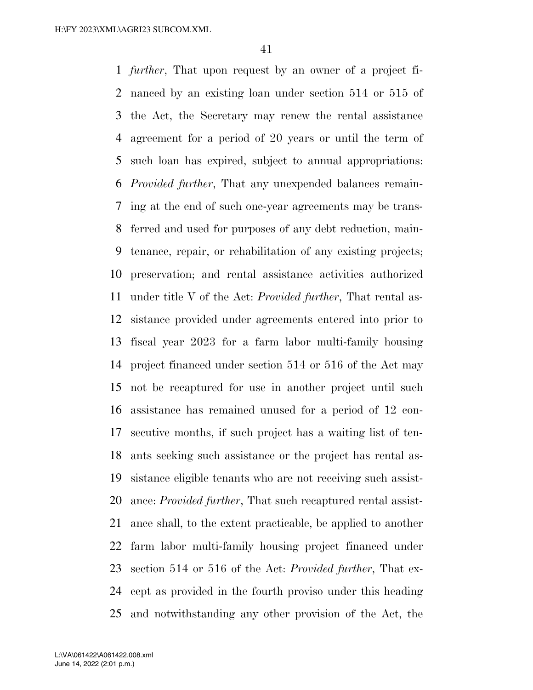*further*, That upon request by an owner of a project fi- nanced by an existing loan under section 514 or 515 of the Act, the Secretary may renew the rental assistance agreement for a period of 20 years or until the term of such loan has expired, subject to annual appropriations: *Provided further*, That any unexpended balances remain- ing at the end of such one-year agreements may be trans- ferred and used for purposes of any debt reduction, main- tenance, repair, or rehabilitation of any existing projects; preservation; and rental assistance activities authorized under title V of the Act: *Provided further*, That rental as- sistance provided under agreements entered into prior to fiscal year 2023 for a farm labor multi-family housing project financed under section 514 or 516 of the Act may not be recaptured for use in another project until such assistance has remained unused for a period of 12 con- secutive months, if such project has a waiting list of ten- ants seeking such assistance or the project has rental as- sistance eligible tenants who are not receiving such assist- ance: *Provided further*, That such recaptured rental assist- ance shall, to the extent practicable, be applied to another farm labor multi-family housing project financed under section 514 or 516 of the Act: *Provided further*, That ex- cept as provided in the fourth proviso under this heading and notwithstanding any other provision of the Act, the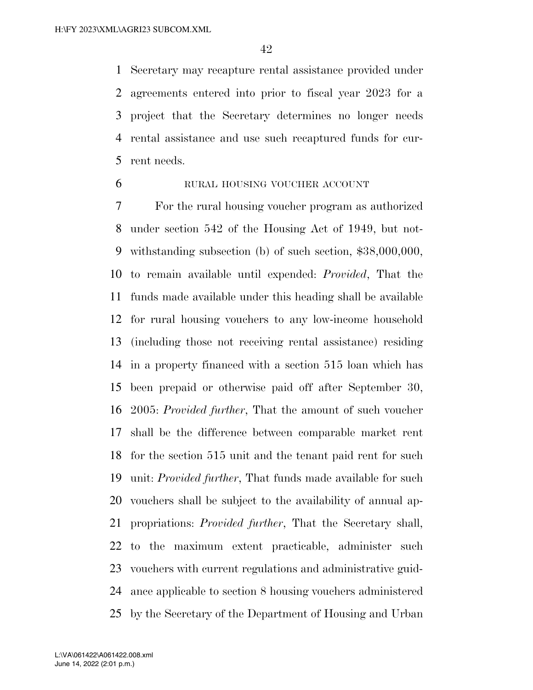Secretary may recapture rental assistance provided under agreements entered into prior to fiscal year 2023 for a project that the Secretary determines no longer needs rental assistance and use such recaptured funds for cur-rent needs.

# RURAL HOUSING VOUCHER ACCOUNT

 For the rural housing voucher program as authorized under section 542 of the Housing Act of 1949, but not- withstanding subsection (b) of such section, \$38,000,000, to remain available until expended: *Provided*, That the funds made available under this heading shall be available for rural housing vouchers to any low-income household (including those not receiving rental assistance) residing in a property financed with a section 515 loan which has been prepaid or otherwise paid off after September 30, 2005: *Provided further*, That the amount of such voucher shall be the difference between comparable market rent for the section 515 unit and the tenant paid rent for such unit: *Provided further*, That funds made available for such vouchers shall be subject to the availability of annual ap- propriations: *Provided further*, That the Secretary shall, to the maximum extent practicable, administer such vouchers with current regulations and administrative guid- ance applicable to section 8 housing vouchers administered by the Secretary of the Department of Housing and Urban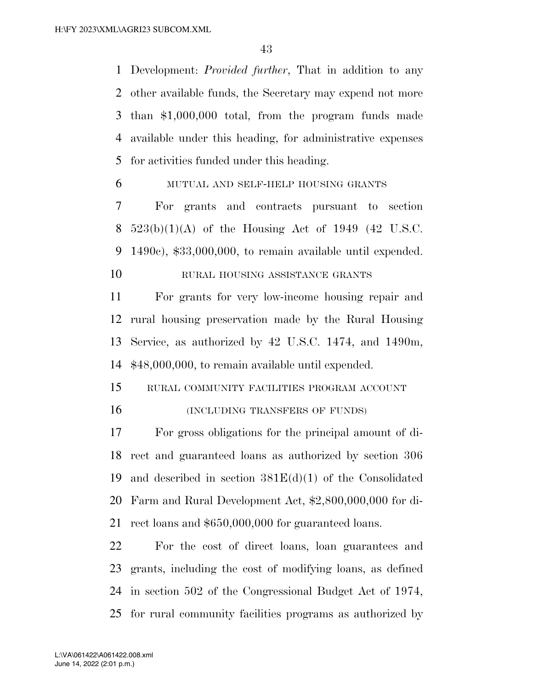Development: *Provided further*, That in addition to any other available funds, the Secretary may expend not more than \$1,000,000 total, from the program funds made available under this heading, for administrative expenses for activities funded under this heading.

MUTUAL AND SELF-HELP HOUSING GRANTS

 For grants and contracts pursuant to section 8  $523(b)(1)(A)$  of the Housing Act of 1949 (42 U.S.C. 1490c), \$33,000,000, to remain available until expended.

10 RURAL HOUSING ASSISTANCE GRANTS

 For grants for very low-income housing repair and rural housing preservation made by the Rural Housing Service, as authorized by 42 U.S.C. 1474, and 1490m, \$48,000,000, to remain available until expended.

 RURAL COMMUNITY FACILITIES PROGRAM ACCOUNT 16 (INCLUDING TRANSFERS OF FUNDS)

 For gross obligations for the principal amount of di- rect and guaranteed loans as authorized by section 306 and described in section 381E(d)(1) of the Consolidated Farm and Rural Development Act, \$2,800,000,000 for di-rect loans and \$650,000,000 for guaranteed loans.

 For the cost of direct loans, loan guarantees and grants, including the cost of modifying loans, as defined in section 502 of the Congressional Budget Act of 1974, for rural community facilities programs as authorized by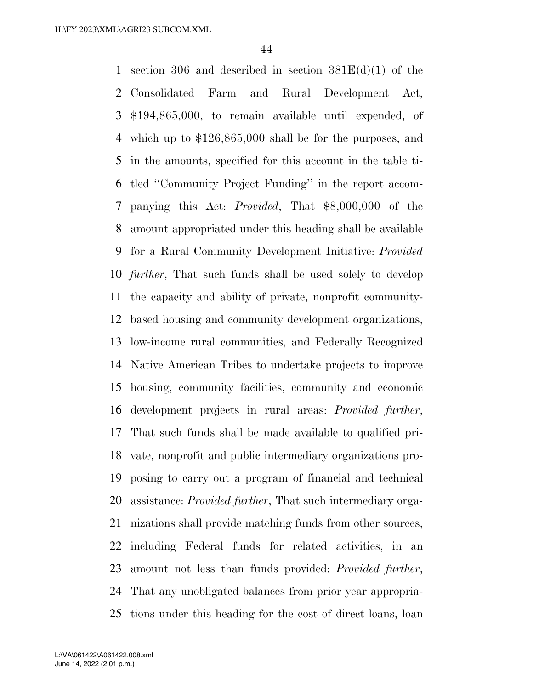1 section 306 and described in section  $381E(d)(1)$  of the Consolidated Farm and Rural Development Act, \$194,865,000, to remain available until expended, of which up to \$126,865,000 shall be for the purposes, and in the amounts, specified for this account in the table ti- tled ''Community Project Funding'' in the report accom- panying this Act: *Provided*, That \$8,000,000 of the amount appropriated under this heading shall be available for a Rural Community Development Initiative: *Provided further*, That such funds shall be used solely to develop the capacity and ability of private, nonprofit community- based housing and community development organizations, low-income rural communities, and Federally Recognized Native American Tribes to undertake projects to improve housing, community facilities, community and economic development projects in rural areas: *Provided further*, That such funds shall be made available to qualified pri- vate, nonprofit and public intermediary organizations pro- posing to carry out a program of financial and technical assistance: *Provided further*, That such intermediary orga- nizations shall provide matching funds from other sources, including Federal funds for related activities, in an amount not less than funds provided: *Provided further*, That any unobligated balances from prior year appropria-tions under this heading for the cost of direct loans, loan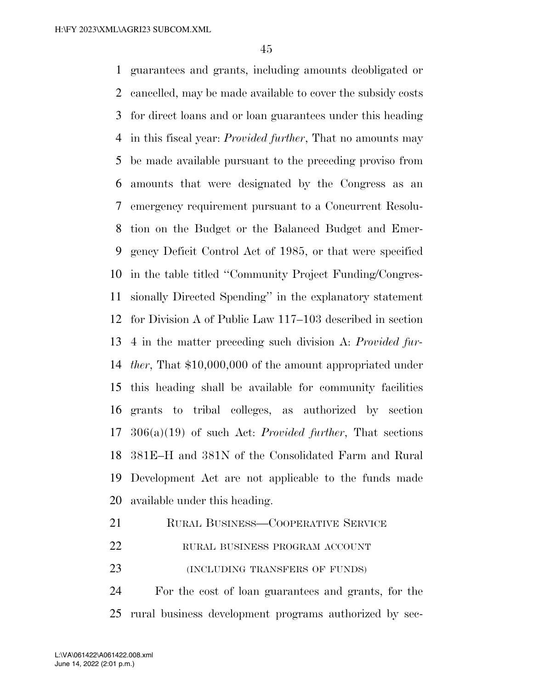guarantees and grants, including amounts deobligated or cancelled, may be made available to cover the subsidy costs for direct loans and or loan guarantees under this heading in this fiscal year: *Provided further*, That no amounts may be made available pursuant to the preceding proviso from amounts that were designated by the Congress as an emergency requirement pursuant to a Concurrent Resolu- tion on the Budget or the Balanced Budget and Emer- gency Deficit Control Act of 1985, or that were specified in the table titled ''Community Project Funding/Congres- sionally Directed Spending'' in the explanatory statement for Division A of Public Law 117–103 described in section 4 in the matter preceding such division A: *Provided fur- ther*, That \$10,000,000 of the amount appropriated under this heading shall be available for community facilities grants to tribal colleges, as authorized by section 306(a)(19) of such Act: *Provided further*, That sections 381E–H and 381N of the Consolidated Farm and Rural Development Act are not applicable to the funds made available under this heading.

- 21 RURAL BUSINESS—COOPERATIVE SERVICE
- 22 RURAL BUSINESS PROGRAM ACCOUNT
- (INCLUDING TRANSFERS OF FUNDS)

 For the cost of loan guarantees and grants, for the rural business development programs authorized by sec-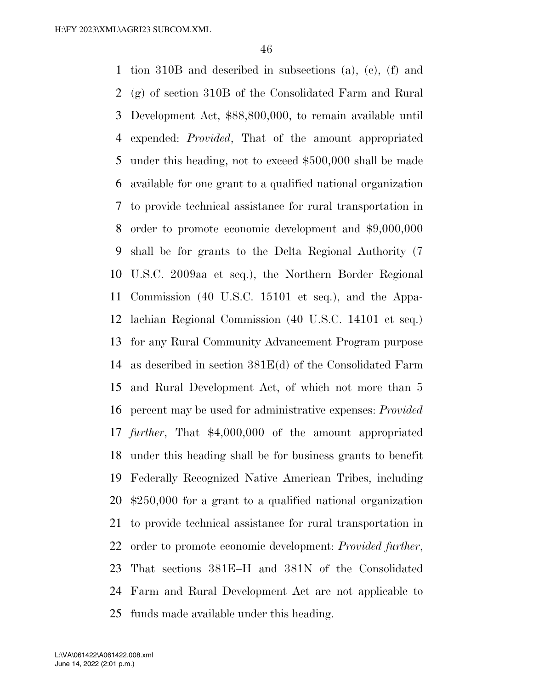tion 310B and described in subsections (a), (c), (f) and (g) of section 310B of the Consolidated Farm and Rural Development Act, \$88,800,000, to remain available until expended: *Provided*, That of the amount appropriated under this heading, not to exceed \$500,000 shall be made available for one grant to a qualified national organization to provide technical assistance for rural transportation in order to promote economic development and \$9,000,000 shall be for grants to the Delta Regional Authority (7 U.S.C. 2009aa et seq.), the Northern Border Regional Commission (40 U.S.C. 15101 et seq.), and the Appa- lachian Regional Commission (40 U.S.C. 14101 et seq.) for any Rural Community Advancement Program purpose as described in section 381E(d) of the Consolidated Farm and Rural Development Act, of which not more than 5 percent may be used for administrative expenses: *Provided further*, That \$4,000,000 of the amount appropriated under this heading shall be for business grants to benefit Federally Recognized Native American Tribes, including \$250,000 for a grant to a qualified national organization to provide technical assistance for rural transportation in order to promote economic development: *Provided further*, That sections 381E–H and 381N of the Consolidated Farm and Rural Development Act are not applicable to funds made available under this heading.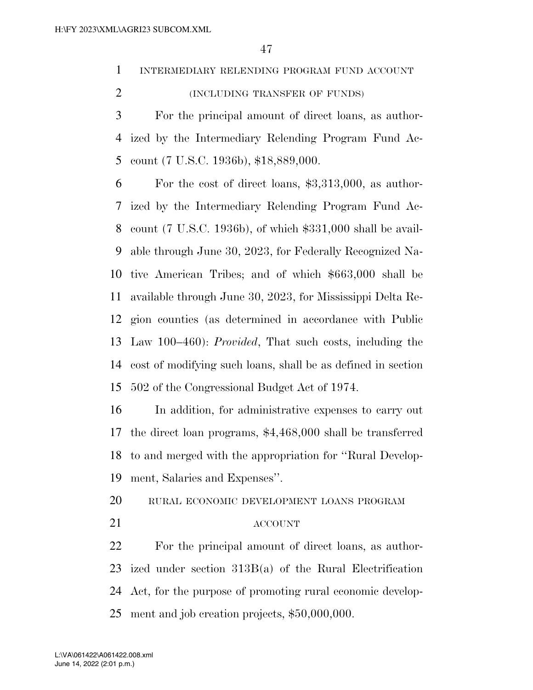INTERMEDIARY RELENDING PROGRAM FUND ACCOUNT

(INCLUDING TRANSFER OF FUNDS)

 For the principal amount of direct loans, as author- ized by the Intermediary Relending Program Fund Ac-count (7 U.S.C. 1936b), \$18,889,000.

 For the cost of direct loans, \$3,313,000, as author- ized by the Intermediary Relending Program Fund Ac- count (7 U.S.C. 1936b), of which \$331,000 shall be avail- able through June 30, 2023, for Federally Recognized Na- tive American Tribes; and of which \$663,000 shall be available through June 30, 2023, for Mississippi Delta Re- gion counties (as determined in accordance with Public Law 100–460): *Provided*, That such costs, including the cost of modifying such loans, shall be as defined in section 502 of the Congressional Budget Act of 1974.

 In addition, for administrative expenses to carry out the direct loan programs, \$4,468,000 shall be transferred to and merged with the appropriation for ''Rural Develop-ment, Salaries and Expenses''.

RURAL ECONOMIC DEVELOPMENT LOANS PROGRAM

## ACCOUNT

 For the principal amount of direct loans, as author- ized under section 313B(a) of the Rural Electrification Act, for the purpose of promoting rural economic develop-ment and job creation projects, \$50,000,000.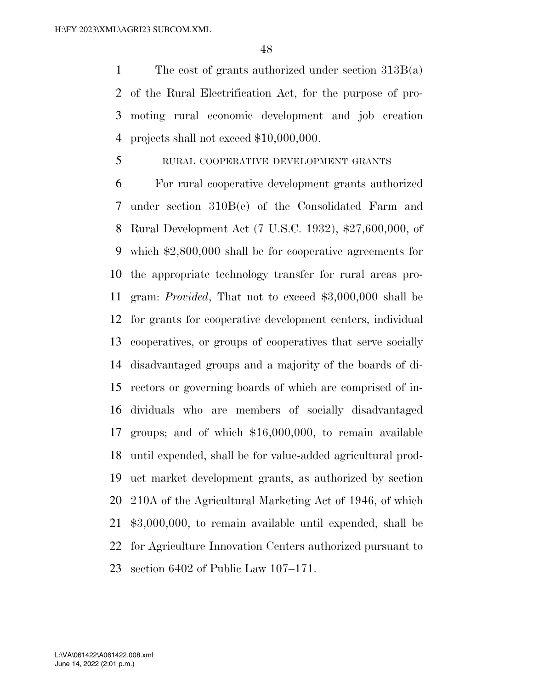The cost of grants authorized under section 313B(a) of the Rural Electrification Act, for the purpose of pro- moting rural economic development and job creation projects shall not exceed \$10,000,000.

## RURAL COOPERATIVE DEVELOPMENT GRANTS

 For rural cooperative development grants authorized under section 310B(e) of the Consolidated Farm and Rural Development Act (7 U.S.C. 1932), \$27,600,000, of which \$2,800,000 shall be for cooperative agreements for the appropriate technology transfer for rural areas pro- gram: *Provided*, That not to exceed \$3,000,000 shall be for grants for cooperative development centers, individual cooperatives, or groups of cooperatives that serve socially disadvantaged groups and a majority of the boards of di- rectors or governing boards of which are comprised of in- dividuals who are members of socially disadvantaged groups; and of which \$16,000,000, to remain available until expended, shall be for value-added agricultural prod- uct market development grants, as authorized by section 210A of the Agricultural Marketing Act of 1946, of which \$3,000,000, to remain available until expended, shall be for Agriculture Innovation Centers authorized pursuant to section 6402 of Public Law 107–171.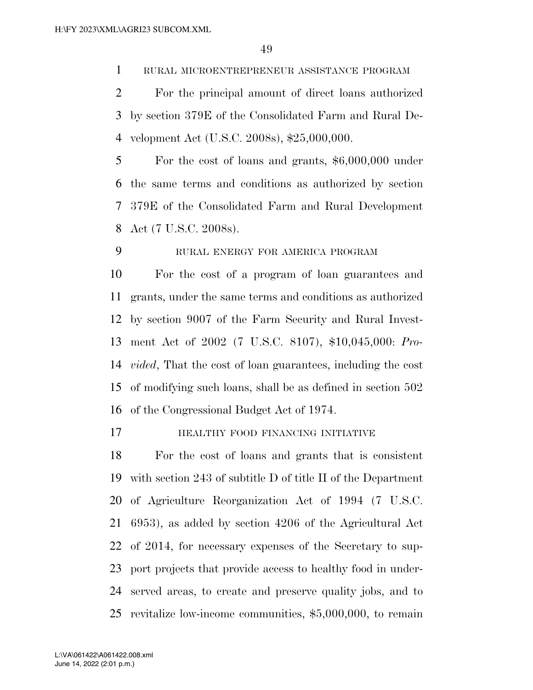RURAL MICROENTREPRENEUR ASSISTANCE PROGRAM

 For the principal amount of direct loans authorized by section 379E of the Consolidated Farm and Rural De-velopment Act (U.S.C. 2008s), \$25,000,000.

 For the cost of loans and grants, \$6,000,000 under the same terms and conditions as authorized by section 379E of the Consolidated Farm and Rural Development Act (7 U.S.C. 2008s).

RURAL ENERGY FOR AMERICA PROGRAM

 For the cost of a program of loan guarantees and grants, under the same terms and conditions as authorized by section 9007 of the Farm Security and Rural Invest- ment Act of 2002 (7 U.S.C. 8107), \$10,045,000: *Pro- vided*, That the cost of loan guarantees, including the cost of modifying such loans, shall be as defined in section 502 of the Congressional Budget Act of 1974.

HEALTHY FOOD FINANCING INITIATIVE

 For the cost of loans and grants that is consistent with section 243 of subtitle D of title II of the Department of Agriculture Reorganization Act of 1994 (7 U.S.C. 6953), as added by section 4206 of the Agricultural Act of 2014, for necessary expenses of the Secretary to sup- port projects that provide access to healthy food in under- served areas, to create and preserve quality jobs, and to revitalize low-income communities, \$5,000,000, to remain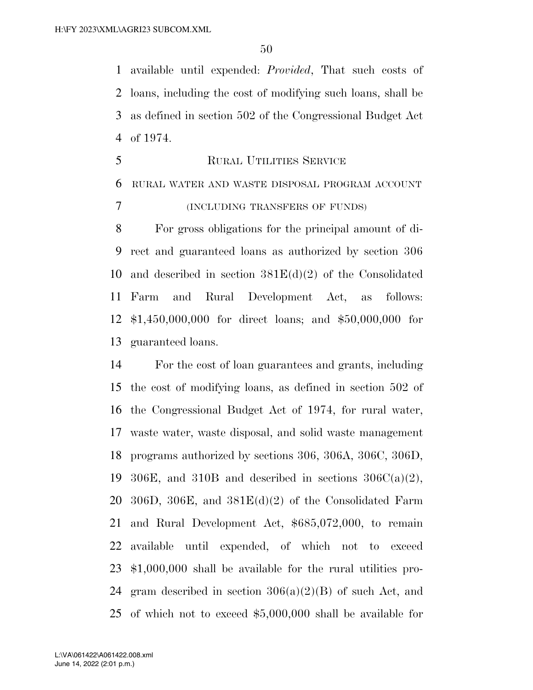available until expended: *Provided*, That such costs of loans, including the cost of modifying such loans, shall be as defined in section 502 of the Congressional Budget Act of 1974.

 RURAL UTILITIES SERVICE RURAL WATER AND WASTE DISPOSAL PROGRAM ACCOUNT (INCLUDING TRANSFERS OF FUNDS)

 For gross obligations for the principal amount of di- rect and guaranteed loans as authorized by section 306 10 and described in section  $381E(d)(2)$  of the Consolidated Farm and Rural Development Act, as follows: \$1,450,000,000 for direct loans; and \$50,000,000 for guaranteed loans.

 For the cost of loan guarantees and grants, including the cost of modifying loans, as defined in section 502 of the Congressional Budget Act of 1974, for rural water, waste water, waste disposal, and solid waste management programs authorized by sections 306, 306A, 306C, 306D, 19 306E, and 310B and described in sections  $306C(a)(2)$ , 20 306D, 306E, and  $381E(d)(2)$  of the Consolidated Farm and Rural Development Act, \$685,072,000, to remain available until expended, of which not to exceed \$1,000,000 shall be available for the rural utilities pro-24 gram described in section  $306(a)(2)(B)$  of such Act, and of which not to exceed \$5,000,000 shall be available for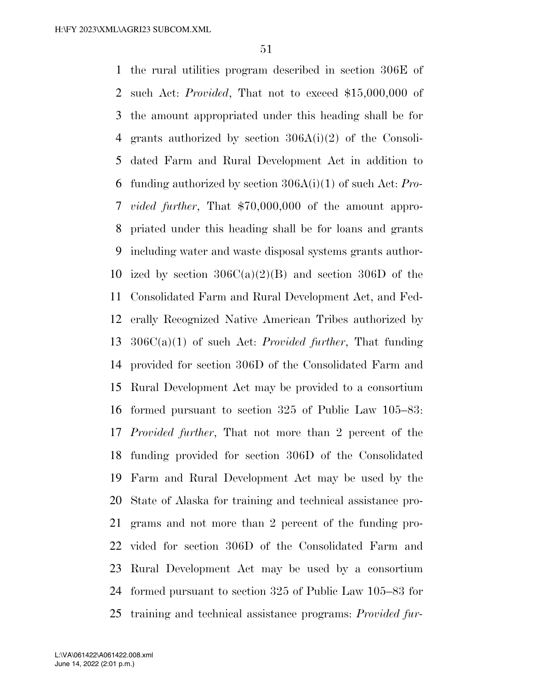the rural utilities program described in section 306E of such Act: *Provided*, That not to exceed \$15,000,000 of the amount appropriated under this heading shall be for grants authorized by section 306A(i)(2) of the Consoli- dated Farm and Rural Development Act in addition to funding authorized by section 306A(i)(1) of such Act: *Pro- vided further*, That \$70,000,000 of the amount appro- priated under this heading shall be for loans and grants including water and waste disposal systems grants author-10 ized by section  $306C(a)(2)(B)$  and section 306D of the Consolidated Farm and Rural Development Act, and Fed- erally Recognized Native American Tribes authorized by 306C(a)(1) of such Act: *Provided further*, That funding provided for section 306D of the Consolidated Farm and Rural Development Act may be provided to a consortium formed pursuant to section 325 of Public Law 105–83: *Provided further*, That not more than 2 percent of the funding provided for section 306D of the Consolidated Farm and Rural Development Act may be used by the State of Alaska for training and technical assistance pro- grams and not more than 2 percent of the funding pro- vided for section 306D of the Consolidated Farm and Rural Development Act may be used by a consortium formed pursuant to section 325 of Public Law 105–83 for training and technical assistance programs: *Provided fur-*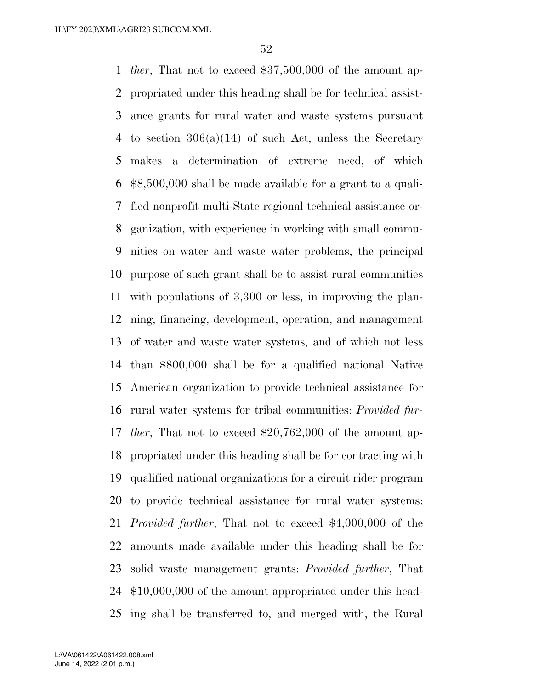*ther*, That not to exceed \$37,500,000 of the amount ap- propriated under this heading shall be for technical assist- ance grants for rural water and waste systems pursuant to section 306(a)(14) of such Act, unless the Secretary makes a determination of extreme need, of which \$8,500,000 shall be made available for a grant to a quali- fied nonprofit multi-State regional technical assistance or- ganization, with experience in working with small commu- nities on water and waste water problems, the principal purpose of such grant shall be to assist rural communities with populations of 3,300 or less, in improving the plan- ning, financing, development, operation, and management of water and waste water systems, and of which not less than \$800,000 shall be for a qualified national Native American organization to provide technical assistance for rural water systems for tribal communities: *Provided fur- ther*, That not to exceed \$20,762,000 of the amount ap- propriated under this heading shall be for contracting with qualified national organizations for a circuit rider program to provide technical assistance for rural water systems: *Provided further*, That not to exceed \$4,000,000 of the amounts made available under this heading shall be for solid waste management grants: *Provided further*, That \$10,000,000 of the amount appropriated under this head-ing shall be transferred to, and merged with, the Rural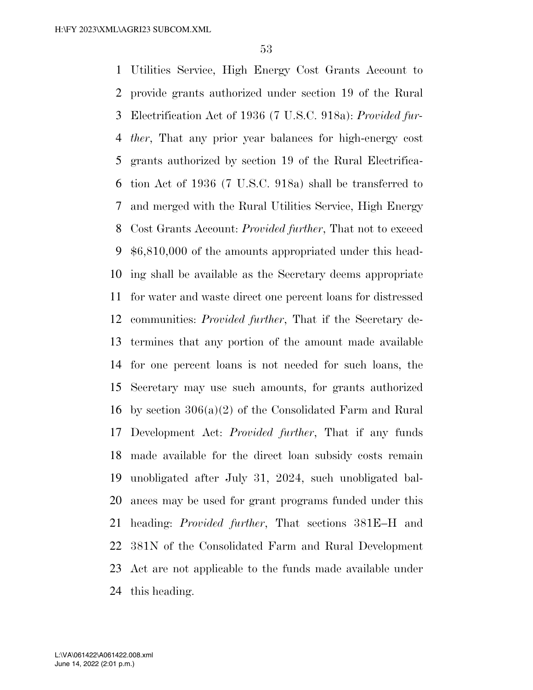Utilities Service, High Energy Cost Grants Account to provide grants authorized under section 19 of the Rural Electrification Act of 1936 (7 U.S.C. 918a): *Provided fur- ther*, That any prior year balances for high-energy cost grants authorized by section 19 of the Rural Electrifica- tion Act of 1936 (7 U.S.C. 918a) shall be transferred to and merged with the Rural Utilities Service, High Energy Cost Grants Account: *Provided further*, That not to exceed \$6,810,000 of the amounts appropriated under this head- ing shall be available as the Secretary deems appropriate for water and waste direct one percent loans for distressed communities: *Provided further*, That if the Secretary de- termines that any portion of the amount made available for one percent loans is not needed for such loans, the Secretary may use such amounts, for grants authorized by section 306(a)(2) of the Consolidated Farm and Rural Development Act: *Provided further*, That if any funds made available for the direct loan subsidy costs remain unobligated after July 31, 2024, such unobligated bal- ances may be used for grant programs funded under this heading: *Provided further*, That sections 381E–H and 381N of the Consolidated Farm and Rural Development Act are not applicable to the funds made available under this heading.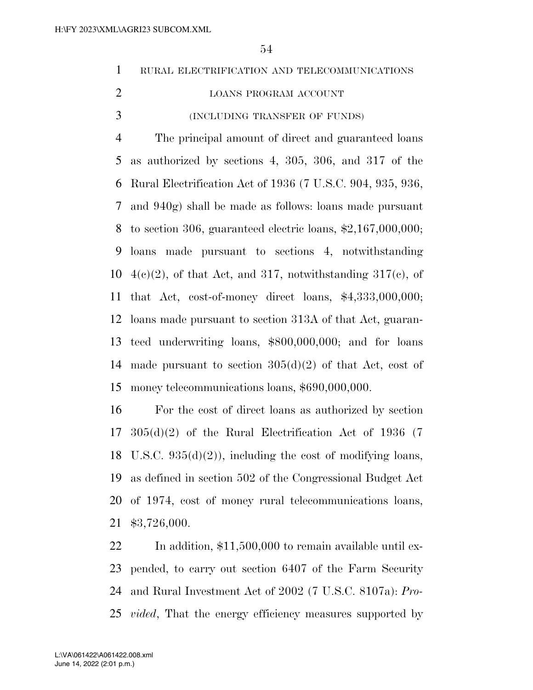|  |  | RURAL ELECTRIFICATION AND TELECOMMUNICATIONS |
|--|--|----------------------------------------------|
|  |  |                                              |

- 2 LOANS PROGRAM ACCOUNT
- (INCLUDING TRANSFER OF FUNDS)

 The principal amount of direct and guaranteed loans as authorized by sections 4, 305, 306, and 317 of the Rural Electrification Act of 1936 (7 U.S.C. 904, 935, 936, and 940g) shall be made as follows: loans made pursuant to section 306, guaranteed electric loans, \$2,167,000,000; loans made pursuant to sections 4, notwithstanding  $4(e)(2)$ , of that Act, and 317, notwithstanding 317(c), of that Act, cost-of-money direct loans, \$4,333,000,000; loans made pursuant to section 313A of that Act, guaran- teed underwriting loans, \$800,000,000; and for loans 14 made pursuant to section  $305(d)(2)$  of that Act, cost of money telecommunications loans, \$690,000,000.

 For the cost of direct loans as authorized by section 305(d)(2) of the Rural Electrification Act of 1936 (7 18 U.S.C.  $935(d)(2)$ , including the cost of modifying loans, as defined in section 502 of the Congressional Budget Act of 1974, cost of money rural telecommunications loans, \$3,726,000.

22 In addition, \$11,500,000 to remain available until ex- pended, to carry out section 6407 of the Farm Security and Rural Investment Act of 2002 (7 U.S.C. 8107a): *Pro-vided*, That the energy efficiency measures supported by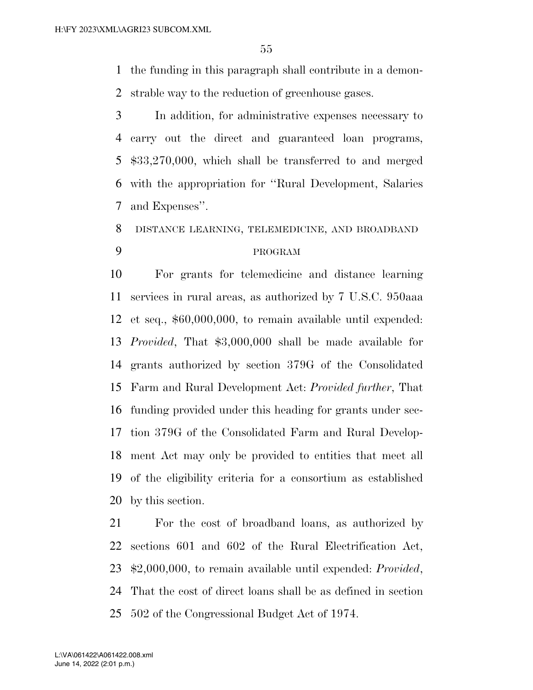the funding in this paragraph shall contribute in a demon-strable way to the reduction of greenhouse gases.

 In addition, for administrative expenses necessary to carry out the direct and guaranteed loan programs, \$33,270,000, which shall be transferred to and merged with the appropriation for ''Rural Development, Salaries and Expenses''.

# DISTANCE LEARNING, TELEMEDICINE, AND BROADBAND PROGRAM

 For grants for telemedicine and distance learning services in rural areas, as authorized by 7 U.S.C. 950aaa et seq., \$60,000,000, to remain available until expended: *Provided*, That \$3,000,000 shall be made available for grants authorized by section 379G of the Consolidated Farm and Rural Development Act: *Provided further*, That funding provided under this heading for grants under sec- tion 379G of the Consolidated Farm and Rural Develop- ment Act may only be provided to entities that meet all of the eligibility criteria for a consortium as established by this section.

 For the cost of broadband loans, as authorized by sections 601 and 602 of the Rural Electrification Act, \$2,000,000, to remain available until expended: *Provided*, That the cost of direct loans shall be as defined in section 502 of the Congressional Budget Act of 1974.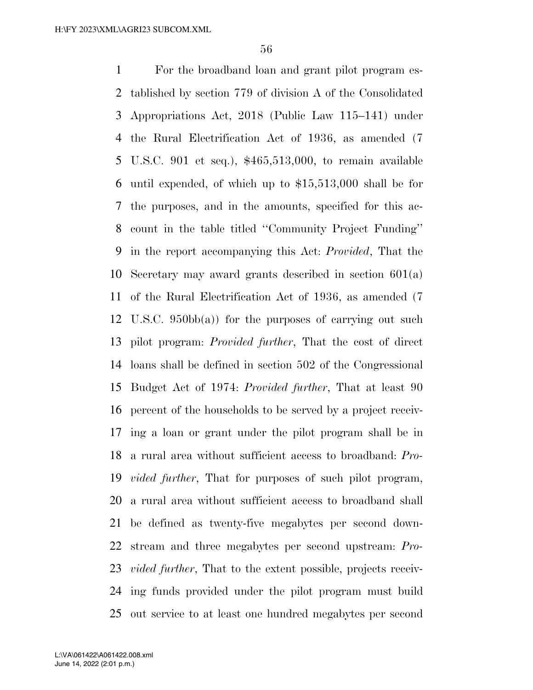For the broadband loan and grant pilot program es- tablished by section 779 of division A of the Consolidated Appropriations Act, 2018 (Public Law 115–141) under the Rural Electrification Act of 1936, as amended (7 U.S.C. 901 et seq.), \$465,513,000, to remain available until expended, of which up to \$15,513,000 shall be for the purposes, and in the amounts, specified for this ac- count in the table titled ''Community Project Funding'' in the report accompanying this Act: *Provided*, That the Secretary may award grants described in section 601(a) of the Rural Electrification Act of 1936, as amended (7 U.S.C. 950bb(a)) for the purposes of carrying out such pilot program: *Provided further*, That the cost of direct loans shall be defined in section 502 of the Congressional Budget Act of 1974: *Provided further*, That at least 90 percent of the households to be served by a project receiv- ing a loan or grant under the pilot program shall be in a rural area without sufficient access to broadband: *Pro- vided further*, That for purposes of such pilot program, a rural area without sufficient access to broadband shall be defined as twenty-five megabytes per second down- stream and three megabytes per second upstream: *Pro- vided further*, That to the extent possible, projects receiv- ing funds provided under the pilot program must build out service to at least one hundred megabytes per second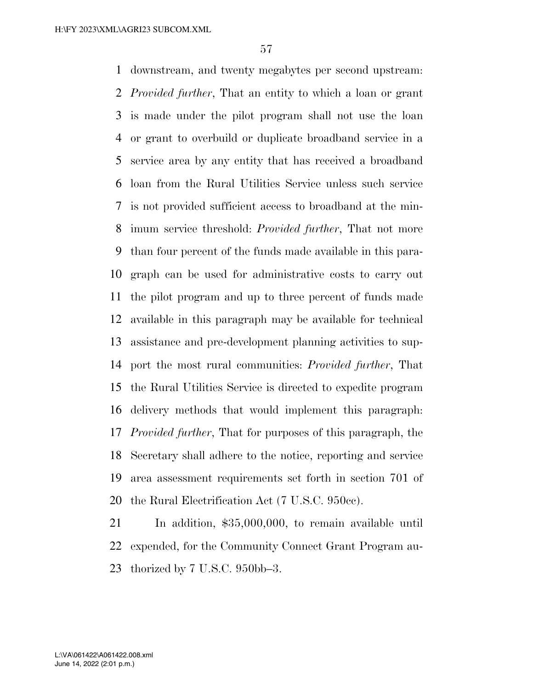downstream, and twenty megabytes per second upstream: *Provided further*, That an entity to which a loan or grant is made under the pilot program shall not use the loan or grant to overbuild or duplicate broadband service in a service area by any entity that has received a broadband loan from the Rural Utilities Service unless such service is not provided sufficient access to broadband at the min- imum service threshold: *Provided further*, That not more than four percent of the funds made available in this para- graph can be used for administrative costs to carry out the pilot program and up to three percent of funds made available in this paragraph may be available for technical assistance and pre-development planning activities to sup- port the most rural communities: *Provided further*, That the Rural Utilities Service is directed to expedite program delivery methods that would implement this paragraph: *Provided further*, That for purposes of this paragraph, the Secretary shall adhere to the notice, reporting and service area assessment requirements set forth in section 701 of the Rural Electrification Act (7 U.S.C. 950cc).

 In addition, \$35,000,000, to remain available until expended, for the Community Connect Grant Program au-thorized by 7 U.S.C. 950bb–3.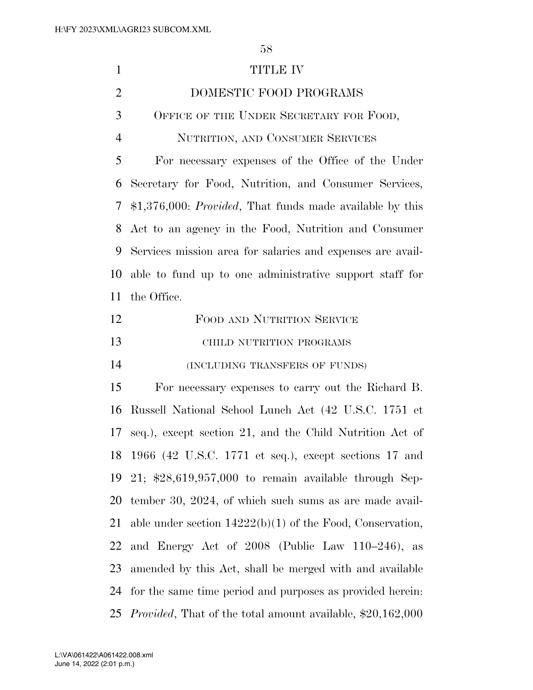| $\mathbf{1}$   | <b>TITLE IV</b>                                                    |
|----------------|--------------------------------------------------------------------|
| $\overline{2}$ | DOMESTIC FOOD PROGRAMS                                             |
| 3              | OFFICE OF THE UNDER SECRETARY FOR FOOD,                            |
| $\overline{4}$ | NUTRITION, AND CONSUMER SERVICES                                   |
| 5              | For necessary expenses of the Office of the Under                  |
| 6              | Secretary for Food, Nutrition, and Consumer Services,              |
| 7              | $$1,376,000: Provided, That funds made available by this$          |
| 8              | Act to an agency in the Food, Nutrition and Consumer               |
| 9              | Services mission area for salaries and expenses are avail-         |
| 10             | able to fund up to one administrative support staff for            |
| 11             | the Office.                                                        |
| 12             | FOOD AND NUTRITION SERVICE                                         |
| 13             | CHILD NUTRITION PROGRAMS                                           |
| 14             | (INCLUDING TRANSFERS OF FUNDS)                                     |
| 15             | For necessary expenses to carry out the Richard B.                 |
| 16             | Russell National School Lunch Act (42 U.S.C. 1751 et               |
| 17             | seq.), except section 21, and the Child Nutrition Act of           |
|                | 18 1966 (42 U.S.C. 1771 et seq.), except sections 17 and           |
| 19             | 21; $*28,619,957,000$ to remain available through Sep-             |
| 20             | tember 30, 2024, of which such sums as are made avail-             |
| 21             | able under section $14222(b)(1)$ of the Food, Conservation,        |
| 22             | and Energy Act of 2008 (Public Law 110–246), as                    |
| 23             | amended by this Act, shall be merged with and available            |
| 24             | for the same time period and purposes as provided herein:          |
| 25             | <i>Provided</i> , That of the total amount available, \$20,162,000 |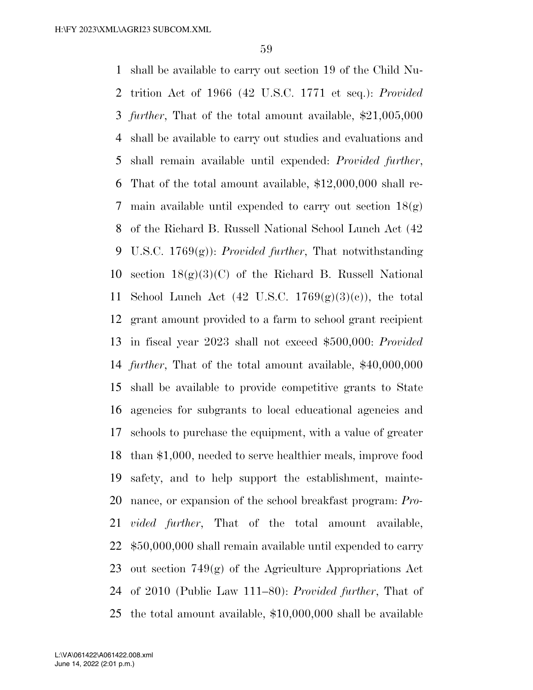shall be available to carry out section 19 of the Child Nu- trition Act of 1966 (42 U.S.C. 1771 et seq.): *Provided further*, That of the total amount available, \$21,005,000 shall be available to carry out studies and evaluations and shall remain available until expended: *Provided further*, That of the total amount available, \$12,000,000 shall re-7 main available until expended to carry out section  $18(g)$  of the Richard B. Russell National School Lunch Act (42 U.S.C. 1769(g)): *Provided further*, That notwithstanding 10 section  $18(g)(3)(C)$  of the Richard B. Russell National 11 School Lunch Act  $(42 \text{ U.S.C. } 1769(g)(3)(e))$ , the total grant amount provided to a farm to school grant recipient in fiscal year 2023 shall not exceed \$500,000: *Provided further*, That of the total amount available, \$40,000,000 shall be available to provide competitive grants to State agencies for subgrants to local educational agencies and schools to purchase the equipment, with a value of greater than \$1,000, needed to serve healthier meals, improve food safety, and to help support the establishment, mainte- nance, or expansion of the school breakfast program: *Pro- vided further*, That of the total amount available, \$50,000,000 shall remain available until expended to carry out section 749(g) of the Agriculture Appropriations Act of 2010 (Public Law 111–80): *Provided further*, That of the total amount available, \$10,000,000 shall be available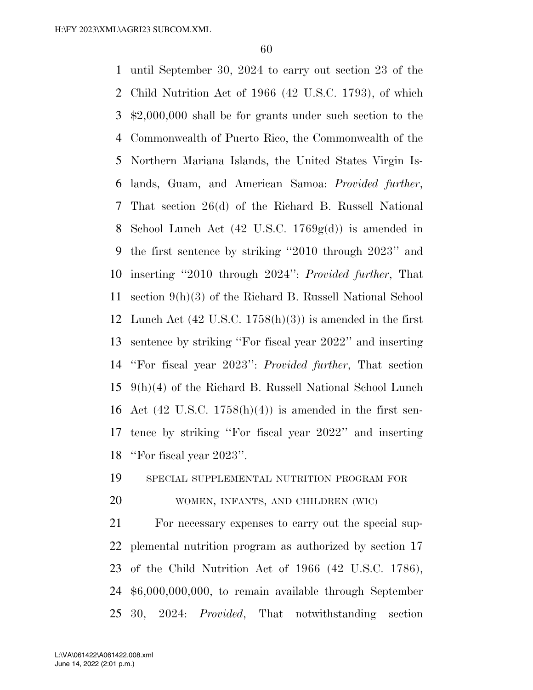until September 30, 2024 to carry out section 23 of the Child Nutrition Act of 1966 (42 U.S.C. 1793), of which \$2,000,000 shall be for grants under such section to the Commonwealth of Puerto Rico, the Commonwealth of the Northern Mariana Islands, the United States Virgin Is- lands, Guam, and American Samoa: *Provided further*, That section 26(d) of the Richard B. Russell National School Lunch Act (42 U.S.C. 1769g(d)) is amended in the first sentence by striking ''2010 through 2023'' and inserting ''2010 through 2024'': *Provided further*, That section 9(h)(3) of the Richard B. Russell National School Lunch Act (42 U.S.C. 1758(h)(3)) is amended in the first sentence by striking ''For fiscal year 2022'' and inserting ''For fiscal year 2023'': *Provided further*, That section 9(h)(4) of the Richard B. Russell National School Lunch 16 Act (42 U.S.C. 1758 $(h)(4)$ ) is amended in the first sen- tence by striking ''For fiscal year 2022'' and inserting ''For fiscal year 2023''.

# SPECIAL SUPPLEMENTAL NUTRITION PROGRAM FOR

## WOMEN, INFANTS, AND CHILDREN (WIC)

 For necessary expenses to carry out the special sup- plemental nutrition program as authorized by section 17 of the Child Nutrition Act of 1966 (42 U.S.C. 1786), \$6,000,000,000, to remain available through September 30, 2024: *Provided*, That notwithstanding section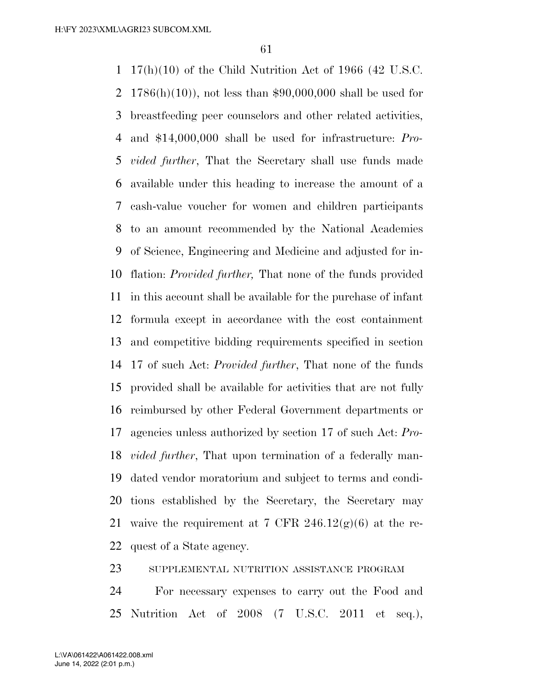17(h)(10) of the Child Nutrition Act of 1966 (42 U.S.C. 1786(h)(10)), not less than \$90,000,000 shall be used for breastfeeding peer counselors and other related activities, and \$14,000,000 shall be used for infrastructure: *Pro- vided further*, That the Secretary shall use funds made available under this heading to increase the amount of a cash-value voucher for women and children participants to an amount recommended by the National Academies of Science, Engineering and Medicine and adjusted for in- flation: *Provided further,* That none of the funds provided in this account shall be available for the purchase of infant formula except in accordance with the cost containment and competitive bidding requirements specified in section 17 of such Act: *Provided further*, That none of the funds provided shall be available for activities that are not fully reimbursed by other Federal Government departments or agencies unless authorized by section 17 of such Act: *Pro- vided further*, That upon termination of a federally man- dated vendor moratorium and subject to terms and condi- tions established by the Secretary, the Secretary may 21 waive the requirement at 7 CFR  $246.12(g)(6)$  at the re-quest of a State agency.

SUPPLEMENTAL NUTRITION ASSISTANCE PROGRAM

 For necessary expenses to carry out the Food and Nutrition Act of 2008 (7 U.S.C. 2011 et seq.),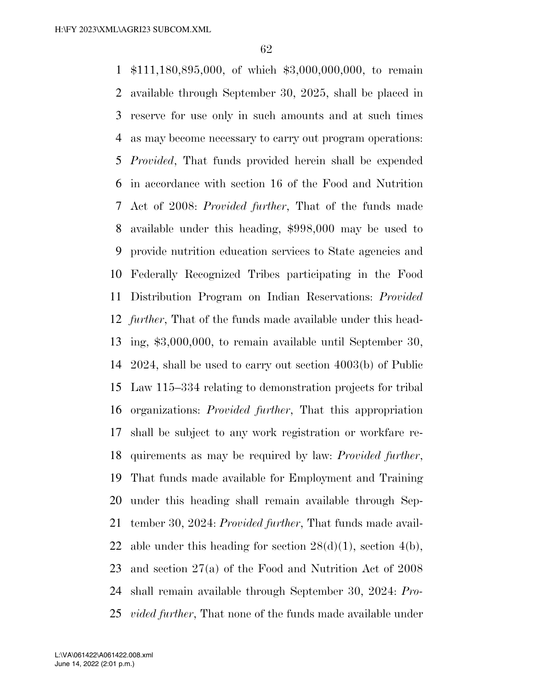\$111,180,895,000, of which \$3,000,000,000, to remain available through September 30, 2025, shall be placed in reserve for use only in such amounts and at such times as may become necessary to carry out program operations: *Provided*, That funds provided herein shall be expended in accordance with section 16 of the Food and Nutrition Act of 2008: *Provided further*, That of the funds made available under this heading, \$998,000 may be used to provide nutrition education services to State agencies and Federally Recognized Tribes participating in the Food Distribution Program on Indian Reservations: *Provided further*, That of the funds made available under this head- ing, \$3,000,000, to remain available until September 30, 2024, shall be used to carry out section 4003(b) of Public Law 115–334 relating to demonstration projects for tribal organizations: *Provided further*, That this appropriation shall be subject to any work registration or workfare re- quirements as may be required by law: *Provided further*, That funds made available for Employment and Training under this heading shall remain available through Sep- tember 30, 2024: *Provided further*, That funds made avail-22 able under this heading for section  $28(d)(1)$ , section  $4(b)$ , and section 27(a) of the Food and Nutrition Act of 2008 shall remain available through September 30, 2024: *Pro-vided further*, That none of the funds made available under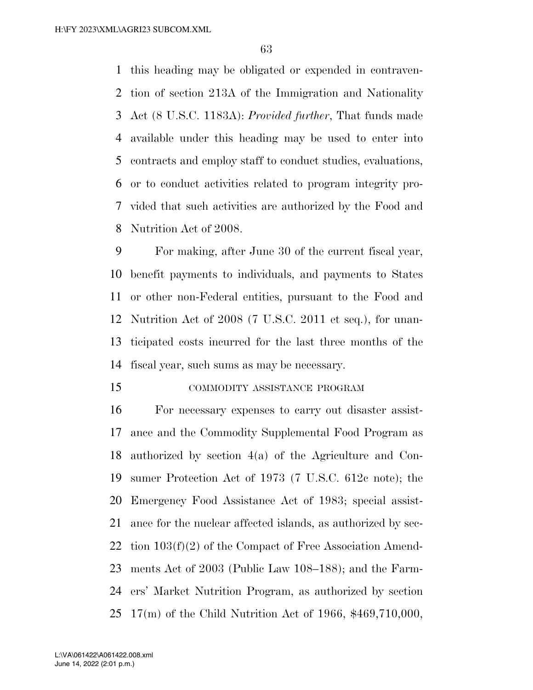this heading may be obligated or expended in contraven- tion of section 213A of the Immigration and Nationality Act (8 U.S.C. 1183A): *Provided further*, That funds made available under this heading may be used to enter into contracts and employ staff to conduct studies, evaluations, or to conduct activities related to program integrity pro- vided that such activities are authorized by the Food and Nutrition Act of 2008.

 For making, after June 30 of the current fiscal year, benefit payments to individuals, and payments to States or other non-Federal entities, pursuant to the Food and Nutrition Act of 2008 (7 U.S.C. 2011 et seq.), for unan- ticipated costs incurred for the last three months of the fiscal year, such sums as may be necessary.

#### COMMODITY ASSISTANCE PROGRAM

 For necessary expenses to carry out disaster assist- ance and the Commodity Supplemental Food Program as authorized by section 4(a) of the Agriculture and Con- sumer Protection Act of 1973 (7 U.S.C. 612c note); the Emergency Food Assistance Act of 1983; special assist- ance for the nuclear affected islands, as authorized by sec- tion 103(f)(2) of the Compact of Free Association Amend- ments Act of 2003 (Public Law 108–188); and the Farm- ers' Market Nutrition Program, as authorized by section 17(m) of the Child Nutrition Act of 1966, \$469,710,000,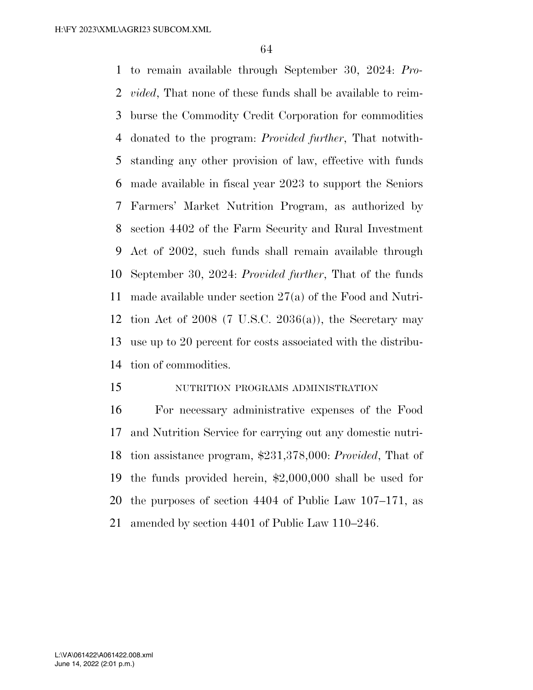to remain available through September 30, 2024: *Pro- vided*, That none of these funds shall be available to reim- burse the Commodity Credit Corporation for commodities donated to the program: *Provided further*, That notwith- standing any other provision of law, effective with funds made available in fiscal year 2023 to support the Seniors Farmers' Market Nutrition Program, as authorized by section 4402 of the Farm Security and Rural Investment Act of 2002, such funds shall remain available through September 30, 2024: *Provided further*, That of the funds made available under section 27(a) of the Food and Nutri-12 tion Act of (7 U.S.C.  $2036(a)$ ), the Secretary may use up to 20 percent for costs associated with the distribu-tion of commodities.

# NUTRITION PROGRAMS ADMINISTRATION

 For necessary administrative expenses of the Food and Nutrition Service for carrying out any domestic nutri- tion assistance program, \$231,378,000: *Provided*, That of the funds provided herein, \$2,000,000 shall be used for the purposes of section 4404 of Public Law 107–171, as amended by section 4401 of Public Law 110–246.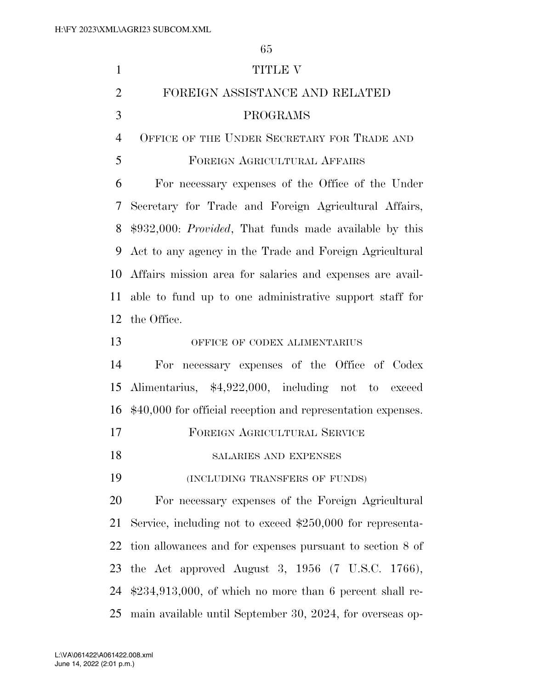| $\mathbf{1}$   | <b>TITLE V</b>                                                 |
|----------------|----------------------------------------------------------------|
| $\overline{2}$ | FOREIGN ASSISTANCE AND RELATED                                 |
| 3              | PROGRAMS                                                       |
| $\overline{4}$ | OFFICE OF THE UNDER SECRETARY FOR TRADE AND                    |
| 5              | FOREIGN AGRICULTURAL AFFAIRS                                   |
| 6              | For necessary expenses of the Office of the Under              |
| 7              | Secretary for Trade and Foreign Agricultural Affairs,          |
| 8              | \$932,000: <i>Provided</i> , That funds made available by this |
| 9              | Act to any agency in the Trade and Foreign Agricultural        |
| 10             | Affairs mission area for salaries and expenses are avail-      |
|                | 11 able to fund up to one administrative support staff for     |
| 12             | the Office.                                                    |
| 13             | OFFICE OF CODEX ALIMENTARIUS                                   |
| 14             | For necessary expenses of the Office of Codex                  |
| 15             | Alimentarius, \$4,922,000, including not to exceed             |
| 16             | \$40,000 for official reception and representation expenses.   |
| 17             | FOREIGN AGRICULTURAL SERVICE                                   |
| 18             | SALARIES AND EXPENSES                                          |
| 19             | (INCLUDING TRANSFERS OF FUNDS)                                 |
| 20             | For necessary expenses of the Foreign Agricultural             |
| 21             | Service, including not to exceed $$250,000$ for representa-    |
| 22             | tion allowances and for expenses pursuant to section 8 of      |
| 23             | the Act approved August 3, $1956$ (7 U.S.C. 1766),             |
| 24             | $$234,913,000$ , of which no more than 6 percent shall re-     |
| 25             | main available until September 30, 2024, for overseas op-      |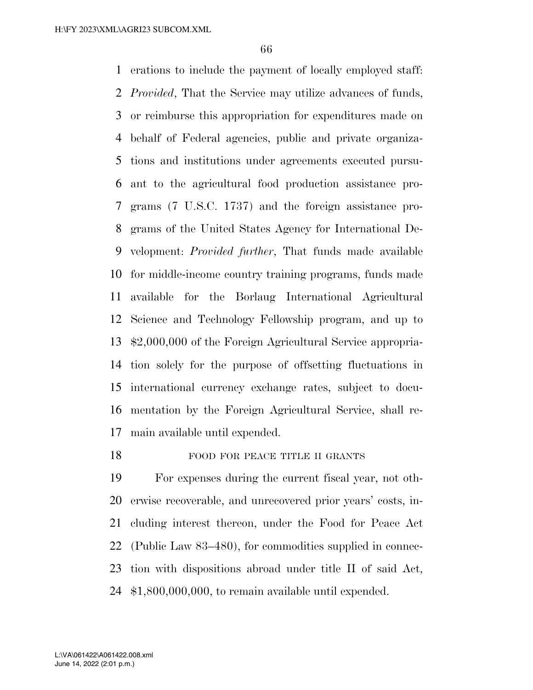erations to include the payment of locally employed staff: *Provided*, That the Service may utilize advances of funds, or reimburse this appropriation for expenditures made on behalf of Federal agencies, public and private organiza- tions and institutions under agreements executed pursu- ant to the agricultural food production assistance pro- grams (7 U.S.C. 1737) and the foreign assistance pro- grams of the United States Agency for International De- velopment: *Provided further*, That funds made available for middle-income country training programs, funds made available for the Borlaug International Agricultural Science and Technology Fellowship program, and up to \$2,000,000 of the Foreign Agricultural Service appropria- tion solely for the purpose of offsetting fluctuations in international currency exchange rates, subject to docu- mentation by the Foreign Agricultural Service, shall re-main available until expended.

## 18 FOOD FOR PEACE TITLE II GRANTS

 For expenses during the current fiscal year, not oth- erwise recoverable, and unrecovered prior years' costs, in- cluding interest thereon, under the Food for Peace Act (Public Law 83–480), for commodities supplied in connec- tion with dispositions abroad under title II of said Act, \$1,800,000,000, to remain available until expended.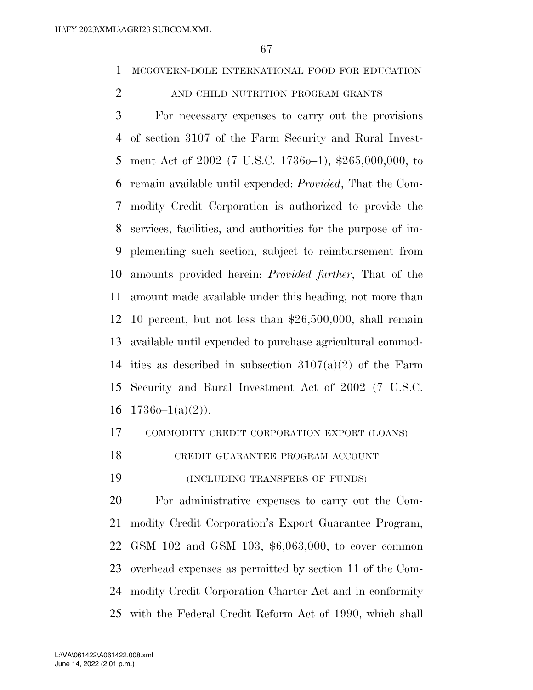MCGOVERN-DOLE INTERNATIONAL FOOD FOR EDUCATION

## 2 AND CHILD NUTRITION PROGRAM GRANTS

 For necessary expenses to carry out the provisions of section 3107 of the Farm Security and Rural Invest- ment Act of 2002 (7 U.S.C. 1736o–1), \$265,000,000, to remain available until expended: *Provided*, That the Com- modity Credit Corporation is authorized to provide the services, facilities, and authorities for the purpose of im- plementing such section, subject to reimbursement from amounts provided herein: *Provided further*, That of the amount made available under this heading, not more than 10 percent, but not less than \$26,500,000, shall remain available until expended to purchase agricultural commod-14 ities as described in subsection  $3107(a)(2)$  of the Farm Security and Rural Investment Act of 2002 (7 U.S.C.  $17360-1(a)(2)$ ).

# COMMODITY CREDIT CORPORATION EXPORT (LOANS)

CREDIT GUARANTEE PROGRAM ACCOUNT

(INCLUDING TRANSFERS OF FUNDS)

 For administrative expenses to carry out the Com- modity Credit Corporation's Export Guarantee Program, GSM 102 and GSM 103, \$6,063,000, to cover common overhead expenses as permitted by section 11 of the Com- modity Credit Corporation Charter Act and in conformity with the Federal Credit Reform Act of 1990, which shall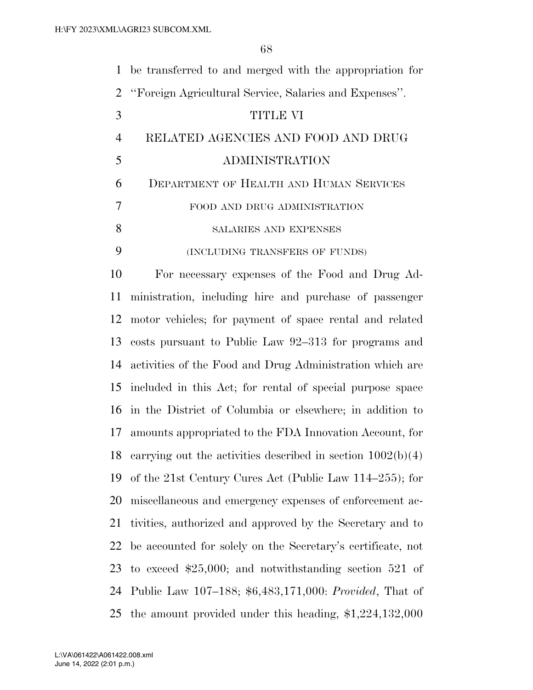| $\mathbf{1}$   | be transferred to and merged with the appropriation for       |
|----------------|---------------------------------------------------------------|
| $\overline{2}$ | "Foreign Agricultural Service, Salaries and Expenses".        |
| 3              | TITLE VI                                                      |
| $\overline{4}$ | RELATED AGENCIES AND FOOD AND DRUG                            |
| 5              | ADMINISTRATION                                                |
| 6              | DEPARTMENT OF HEALTH AND HUMAN SERVICES                       |
| 7              | FOOD AND DRUG ADMINISTRATION                                  |
| 8              | SALARIES AND EXPENSES                                         |
| 9              | (INCLUDING TRANSFERS OF FUNDS)                                |
| 10             | For necessary expenses of the Food and Drug Ad-               |
| 11             | ministration, including hire and purchase of passenger        |
| 12             | motor vehicles; for payment of space rental and related       |
| 13             | costs pursuant to Public Law 92–313 for programs and          |
| 14             | activities of the Food and Drug Administration which are      |
| 15             | included in this Act; for rental of special purpose space     |
| 16             | in the District of Columbia or elsewhere; in addition to      |
|                | 17 amounts appropriated to the FDA Innovation Account, for    |
| 18             | carrying out the activities described in section $1002(b)(4)$ |
| 19             | of the 21st Century Cures Act (Public Law $114-255$ ); for    |
| 20             | miscellaneous and emergency expenses of enforcement ac-       |
| 21             | tivities, authorized and approved by the Secretary and to     |
| 22             | be accounted for solely on the Secretary's certificate, not   |
| 23             | to exceed $$25,000$ ; and notwithstanding section 521 of      |
|                | 24 Public Law 107–188; \$6,483,171,000: Provided, That of     |
| 25             | the amount provided under this heading, $$1,224,132,000$      |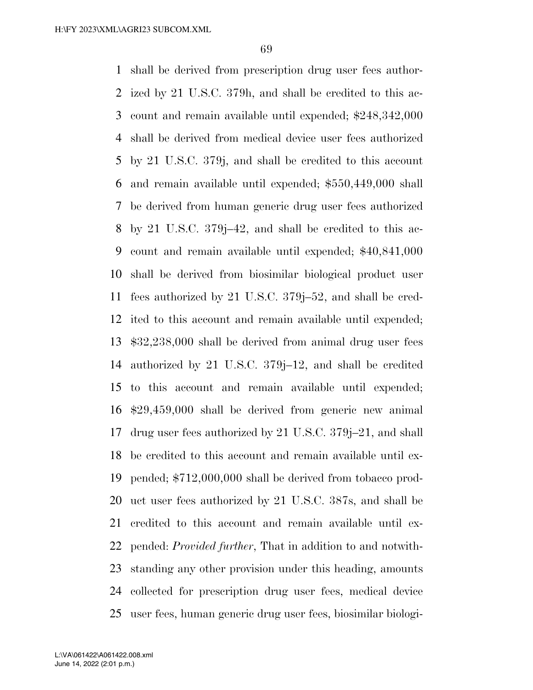shall be derived from prescription drug user fees author- ized by 21 U.S.C. 379h, and shall be credited to this ac- count and remain available until expended; \$248,342,000 shall be derived from medical device user fees authorized by 21 U.S.C. 379j, and shall be credited to this account and remain available until expended; \$550,449,000 shall be derived from human generic drug user fees authorized by 21 U.S.C. 379j–42, and shall be credited to this ac- count and remain available until expended; \$40,841,000 shall be derived from biosimilar biological product user fees authorized by 21 U.S.C. 379j–52, and shall be cred- ited to this account and remain available until expended; \$32,238,000 shall be derived from animal drug user fees authorized by 21 U.S.C. 379j–12, and shall be credited to this account and remain available until expended; \$29,459,000 shall be derived from generic new animal drug user fees authorized by 21 U.S.C. 379j–21, and shall be credited to this account and remain available until ex- pended; \$712,000,000 shall be derived from tobacco prod- uct user fees authorized by 21 U.S.C. 387s, and shall be credited to this account and remain available until ex- pended: *Provided further*, That in addition to and notwith- standing any other provision under this heading, amounts collected for prescription drug user fees, medical device user fees, human generic drug user fees, biosimilar biologi-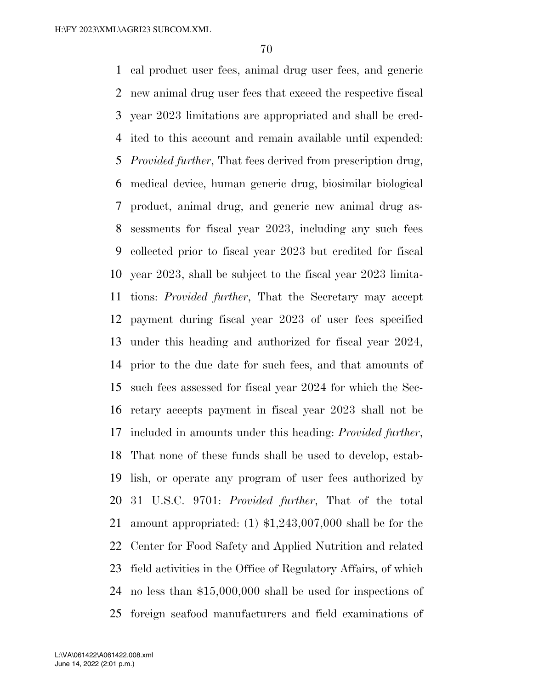cal product user fees, animal drug user fees, and generic new animal drug user fees that exceed the respective fiscal year 2023 limitations are appropriated and shall be cred- ited to this account and remain available until expended: *Provided further*, That fees derived from prescription drug, medical device, human generic drug, biosimilar biological product, animal drug, and generic new animal drug as- sessments for fiscal year 2023, including any such fees collected prior to fiscal year 2023 but credited for fiscal year 2023, shall be subject to the fiscal year 2023 limita- tions: *Provided further*, That the Secretary may accept payment during fiscal year 2023 of user fees specified under this heading and authorized for fiscal year 2024, prior to the due date for such fees, and that amounts of such fees assessed for fiscal year 2024 for which the Sec- retary accepts payment in fiscal year 2023 shall not be included in amounts under this heading: *Provided further*, That none of these funds shall be used to develop, estab- lish, or operate any program of user fees authorized by 31 U.S.C. 9701: *Provided further*, That of the total amount appropriated: (1) \$1,243,007,000 shall be for the Center for Food Safety and Applied Nutrition and related field activities in the Office of Regulatory Affairs, of which no less than \$15,000,000 shall be used for inspections of foreign seafood manufacturers and field examinations of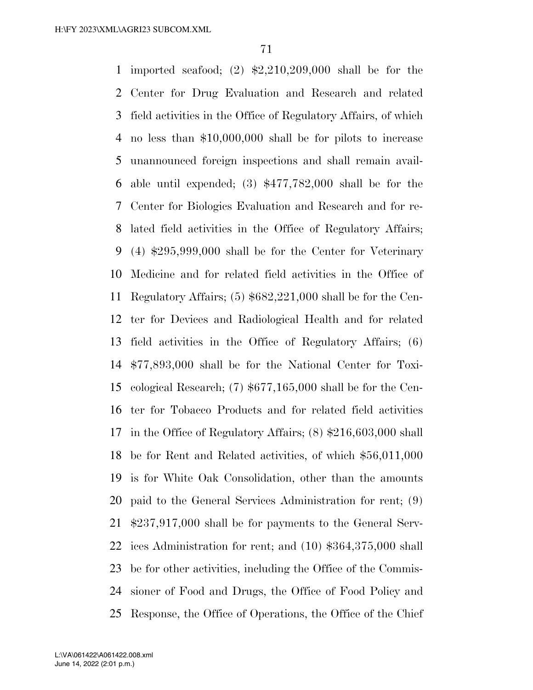imported seafood; (2) \$2,210,209,000 shall be for the Center for Drug Evaluation and Research and related field activities in the Office of Regulatory Affairs, of which no less than \$10,000,000 shall be for pilots to increase unannounced foreign inspections and shall remain avail- able until expended; (3) \$477,782,000 shall be for the Center for Biologics Evaluation and Research and for re- lated field activities in the Office of Regulatory Affairs; (4) \$295,999,000 shall be for the Center for Veterinary Medicine and for related field activities in the Office of Regulatory Affairs; (5) \$682,221,000 shall be for the Cen- ter for Devices and Radiological Health and for related field activities in the Office of Regulatory Affairs; (6) \$77,893,000 shall be for the National Center for Toxi- cological Research; (7) \$677,165,000 shall be for the Cen- ter for Tobacco Products and for related field activities in the Office of Regulatory Affairs; (8) \$216,603,000 shall be for Rent and Related activities, of which \$56,011,000 is for White Oak Consolidation, other than the amounts paid to the General Services Administration for rent; (9) \$237,917,000 shall be for payments to the General Serv- ices Administration for rent; and (10) \$364,375,000 shall be for other activities, including the Office of the Commis- sioner of Food and Drugs, the Office of Food Policy and Response, the Office of Operations, the Office of the Chief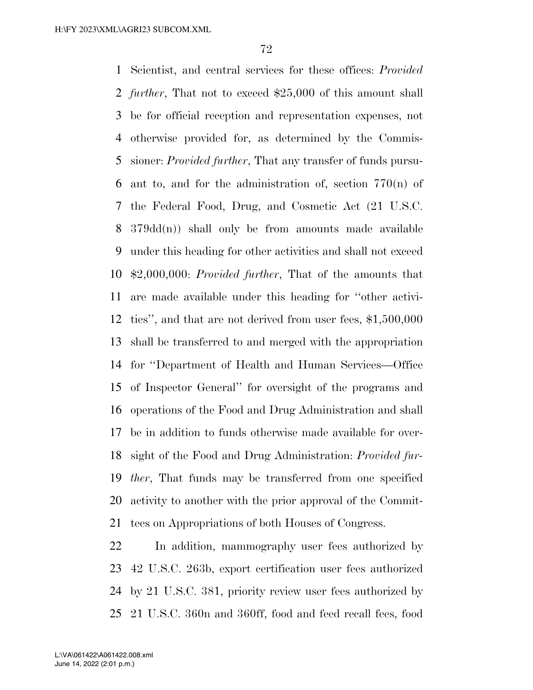Scientist, and central services for these offices: *Provided further*, That not to exceed \$25,000 of this amount shall be for official reception and representation expenses, not otherwise provided for, as determined by the Commis- sioner: *Provided further*, That any transfer of funds pursu- ant to, and for the administration of, section 770(n) of the Federal Food, Drug, and Cosmetic Act (21 U.S.C. 379dd(n)) shall only be from amounts made available under this heading for other activities and shall not exceed \$2,000,000: *Provided further*, That of the amounts that are made available under this heading for ''other activi- ties'', and that are not derived from user fees, \$1,500,000 shall be transferred to and merged with the appropriation for ''Department of Health and Human Services—Office of Inspector General'' for oversight of the programs and operations of the Food and Drug Administration and shall be in addition to funds otherwise made available for over- sight of the Food and Drug Administration: *Provided fur- ther*, That funds may be transferred from one specified activity to another with the prior approval of the Commit-tees on Appropriations of both Houses of Congress.

 In addition, mammography user fees authorized by 42 U.S.C. 263b, export certification user fees authorized by 21 U.S.C. 381, priority review user fees authorized by 21 U.S.C. 360n and 360ff, food and feed recall fees, food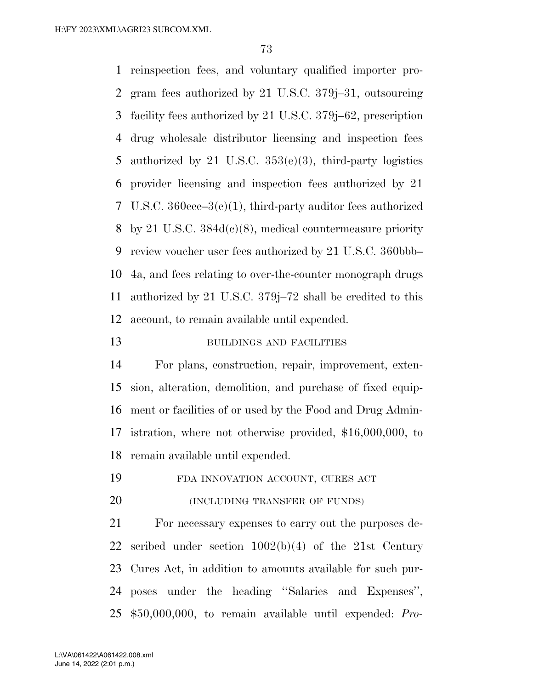reinspection fees, and voluntary qualified importer pro- gram fees authorized by 21 U.S.C. 379j–31, outsourcing facility fees authorized by 21 U.S.C. 379j–62, prescription drug wholesale distributor licensing and inspection fees authorized by 21 U.S.C. 353(e)(3), third-party logistics provider licensing and inspection fees authorized by 21 U.S.C. 360eee–3(c)(1), third-party auditor fees authorized by 21 U.S.C. 384d(c)(8), medical countermeasure priority review voucher user fees authorized by 21 U.S.C. 360bbb– 4a, and fees relating to over-the-counter monograph drugs authorized by 21 U.S.C. 379j–72 shall be credited to this account, to remain available until expended.

## 13 BUILDINGS AND FACILITIES

 For plans, construction, repair, improvement, exten- sion, alteration, demolition, and purchase of fixed equip- ment or facilities of or used by the Food and Drug Admin- istration, where not otherwise provided, \$16,000,000, to remain available until expended.

FDA INNOVATION ACCOUNT, CURES ACT

**(INCLUDING TRANSFER OF FUNDS)** 

 For necessary expenses to carry out the purposes de- scribed under section 1002(b)(4) of the 21st Century Cures Act, in addition to amounts available for such pur- poses under the heading ''Salaries and Expenses'', \$50,000,000, to remain available until expended: *Pro-*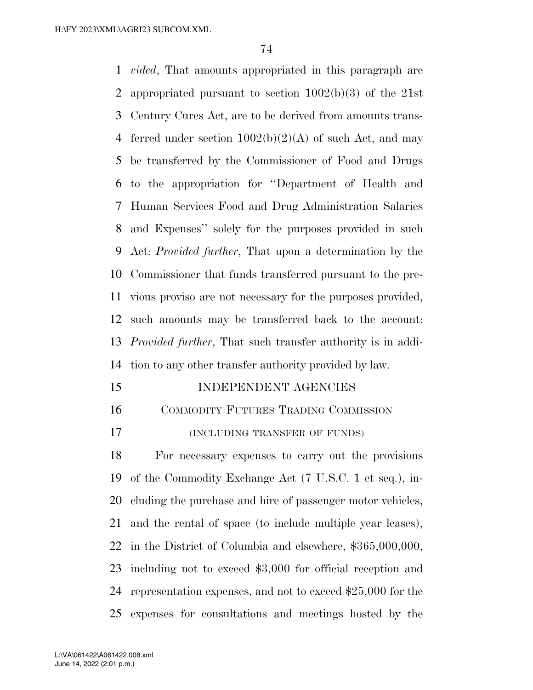*vided*, That amounts appropriated in this paragraph are appropriated pursuant to section 1002(b)(3) of the 21st Century Cures Act, are to be derived from amounts trans-4 ferred under section  $1002(b)(2)(A)$  of such Act, and may be transferred by the Commissioner of Food and Drugs to the appropriation for ''Department of Health and Human Services Food and Drug Administration Salaries and Expenses'' solely for the purposes provided in such Act: *Provided further*, That upon a determination by the Commissioner that funds transferred pursuant to the pre- vious proviso are not necessary for the purposes provided, such amounts may be transferred back to the account: *Provided further*, That such transfer authority is in addi-tion to any other transfer authority provided by law.

15 INDEPENDENT AGENCIES

COMMODITY FUTURES TRADING COMMISSION

(INCLUDING TRANSFER OF FUNDS)

 For necessary expenses to carry out the provisions of the Commodity Exchange Act (7 U.S.C. 1 et seq.), in- cluding the purchase and hire of passenger motor vehicles, and the rental of space (to include multiple year leases), in the District of Columbia and elsewhere, \$365,000,000, including not to exceed \$3,000 for official reception and representation expenses, and not to exceed \$25,000 for the expenses for consultations and meetings hosted by the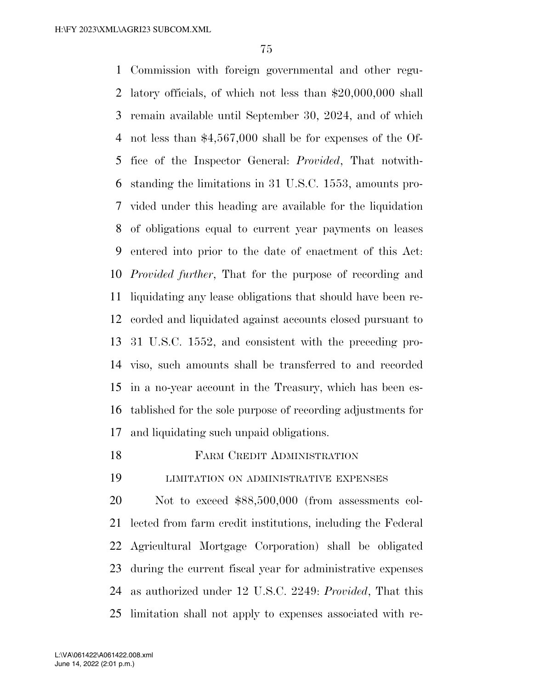Commission with foreign governmental and other regu- latory officials, of which not less than \$20,000,000 shall remain available until September 30, 2024, and of which not less than \$4,567,000 shall be for expenses of the Of- fice of the Inspector General: *Provided*, That notwith- standing the limitations in 31 U.S.C. 1553, amounts pro- vided under this heading are available for the liquidation of obligations equal to current year payments on leases entered into prior to the date of enactment of this Act: *Provided further*, That for the purpose of recording and liquidating any lease obligations that should have been re- corded and liquidated against accounts closed pursuant to 31 U.S.C. 1552, and consistent with the preceding pro- viso, such amounts shall be transferred to and recorded in a no-year account in the Treasury, which has been es- tablished for the sole purpose of recording adjustments for and liquidating such unpaid obligations.

FARM CREDIT ADMINISTRATION

LIMITATION ON ADMINISTRATIVE EXPENSES

 Not to exceed \$88,500,000 (from assessments col- lected from farm credit institutions, including the Federal Agricultural Mortgage Corporation) shall be obligated during the current fiscal year for administrative expenses as authorized under 12 U.S.C. 2249: *Provided*, That this limitation shall not apply to expenses associated with re-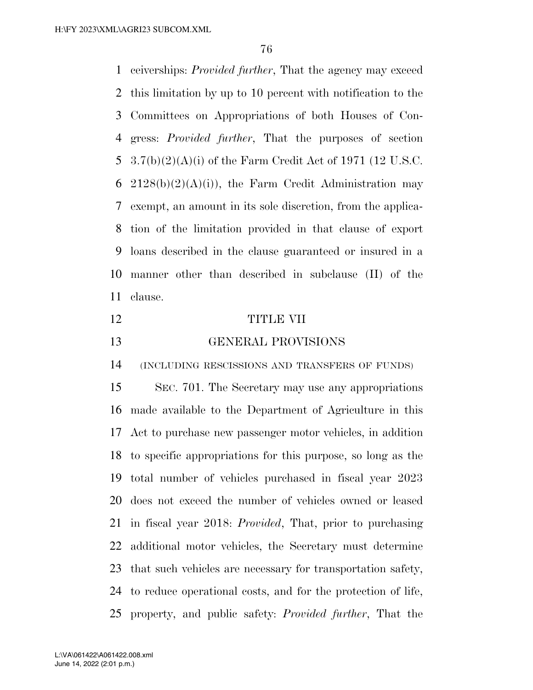ceiverships: *Provided further*, That the agency may exceed this limitation by up to 10 percent with notification to the Committees on Appropriations of both Houses of Con- gress: *Provided further*, That the purposes of section 3.7(b)(2)(A)(i) of the Farm Credit Act of 1971 (12 U.S.C. 6 2128(b)(2)(A)(i)), the Farm Credit Administration may exempt, an amount in its sole discretion, from the applica- tion of the limitation provided in that clause of export loans described in the clause guaranteed or insured in a manner other than described in subclause (II) of the clause.

- TITLE VII
- GENERAL PROVISIONS

(INCLUDING RESCISSIONS AND TRANSFERS OF FUNDS)

 SEC. 701. The Secretary may use any appropriations made available to the Department of Agriculture in this Act to purchase new passenger motor vehicles, in addition to specific appropriations for this purpose, so long as the total number of vehicles purchased in fiscal year 2023 does not exceed the number of vehicles owned or leased in fiscal year 2018: *Provided*, That, prior to purchasing additional motor vehicles, the Secretary must determine that such vehicles are necessary for transportation safety, to reduce operational costs, and for the protection of life, property, and public safety: *Provided further*, That the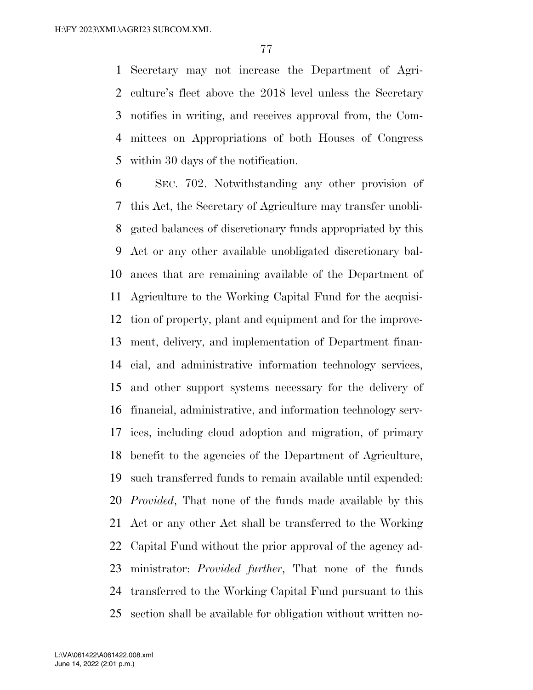Secretary may not increase the Department of Agri- culture's fleet above the 2018 level unless the Secretary notifies in writing, and receives approval from, the Com- mittees on Appropriations of both Houses of Congress within 30 days of the notification.

 SEC. 702. Notwithstanding any other provision of this Act, the Secretary of Agriculture may transfer unobli- gated balances of discretionary funds appropriated by this Act or any other available unobligated discretionary bal- ances that are remaining available of the Department of Agriculture to the Working Capital Fund for the acquisi- tion of property, plant and equipment and for the improve- ment, delivery, and implementation of Department finan- cial, and administrative information technology services, and other support systems necessary for the delivery of financial, administrative, and information technology serv- ices, including cloud adoption and migration, of primary benefit to the agencies of the Department of Agriculture, such transferred funds to remain available until expended: *Provided*, That none of the funds made available by this Act or any other Act shall be transferred to the Working Capital Fund without the prior approval of the agency ad- ministrator: *Provided further*, That none of the funds transferred to the Working Capital Fund pursuant to this section shall be available for obligation without written no-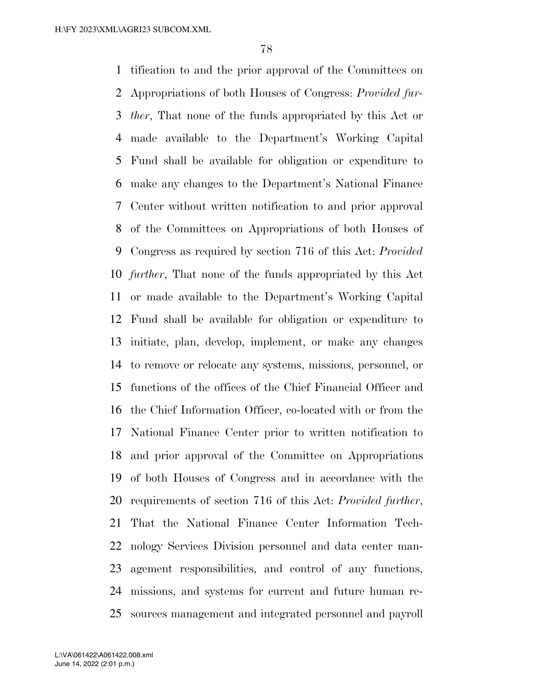tification to and the prior approval of the Committees on Appropriations of both Houses of Congress: *Provided fur- ther*, That none of the funds appropriated by this Act or made available to the Department's Working Capital Fund shall be available for obligation or expenditure to make any changes to the Department's National Finance Center without written notification to and prior approval of the Committees on Appropriations of both Houses of Congress as required by section 716 of this Act: *Provided further*, That none of the funds appropriated by this Act or made available to the Department's Working Capital Fund shall be available for obligation or expenditure to initiate, plan, develop, implement, or make any changes to remove or relocate any systems, missions, personnel, or functions of the offices of the Chief Financial Officer and the Chief Information Officer, co-located with or from the National Finance Center prior to written notification to and prior approval of the Committee on Appropriations of both Houses of Congress and in accordance with the requirements of section 716 of this Act: *Provided further*, That the National Finance Center Information Tech- nology Services Division personnel and data center man- agement responsibilities, and control of any functions, missions, and systems for current and future human re-sources management and integrated personnel and payroll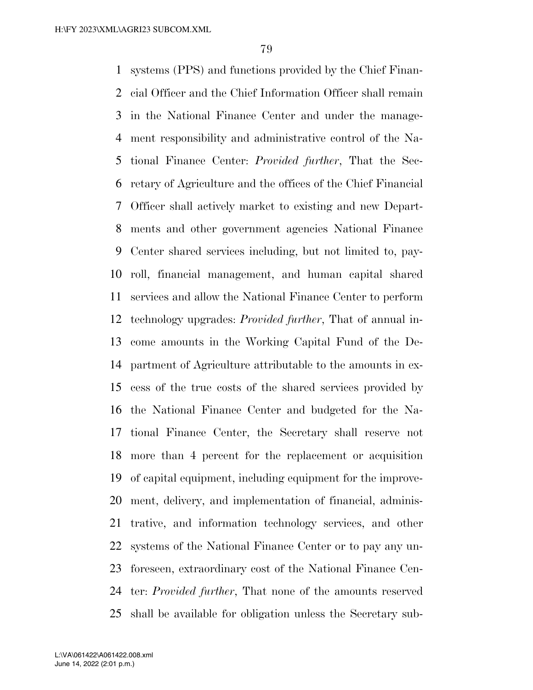systems (PPS) and functions provided by the Chief Finan- cial Officer and the Chief Information Officer shall remain in the National Finance Center and under the manage- ment responsibility and administrative control of the Na- tional Finance Center: *Provided further*, That the Sec- retary of Agriculture and the offices of the Chief Financial Officer shall actively market to existing and new Depart- ments and other government agencies National Finance Center shared services including, but not limited to, pay- roll, financial management, and human capital shared services and allow the National Finance Center to perform technology upgrades: *Provided further*, That of annual in- come amounts in the Working Capital Fund of the De- partment of Agriculture attributable to the amounts in ex- cess of the true costs of the shared services provided by the National Finance Center and budgeted for the Na- tional Finance Center, the Secretary shall reserve not more than 4 percent for the replacement or acquisition of capital equipment, including equipment for the improve- ment, delivery, and implementation of financial, adminis- trative, and information technology services, and other systems of the National Finance Center or to pay any un- foreseen, extraordinary cost of the National Finance Cen- ter: *Provided further*, That none of the amounts reserved shall be available for obligation unless the Secretary sub-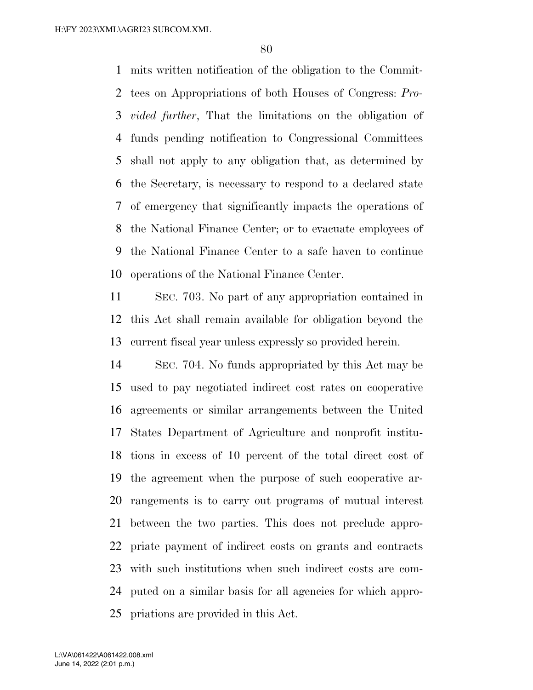mits written notification of the obligation to the Commit- tees on Appropriations of both Houses of Congress: *Pro- vided further*, That the limitations on the obligation of funds pending notification to Congressional Committees shall not apply to any obligation that, as determined by the Secretary, is necessary to respond to a declared state of emergency that significantly impacts the operations of the National Finance Center; or to evacuate employees of the National Finance Center to a safe haven to continue operations of the National Finance Center.

 SEC. 703. No part of any appropriation contained in this Act shall remain available for obligation beyond the current fiscal year unless expressly so provided herein.

 SEC. 704. No funds appropriated by this Act may be used to pay negotiated indirect cost rates on cooperative agreements or similar arrangements between the United States Department of Agriculture and nonprofit institu- tions in excess of 10 percent of the total direct cost of the agreement when the purpose of such cooperative ar- rangements is to carry out programs of mutual interest between the two parties. This does not preclude appro- priate payment of indirect costs on grants and contracts with such institutions when such indirect costs are com- puted on a similar basis for all agencies for which appro-priations are provided in this Act.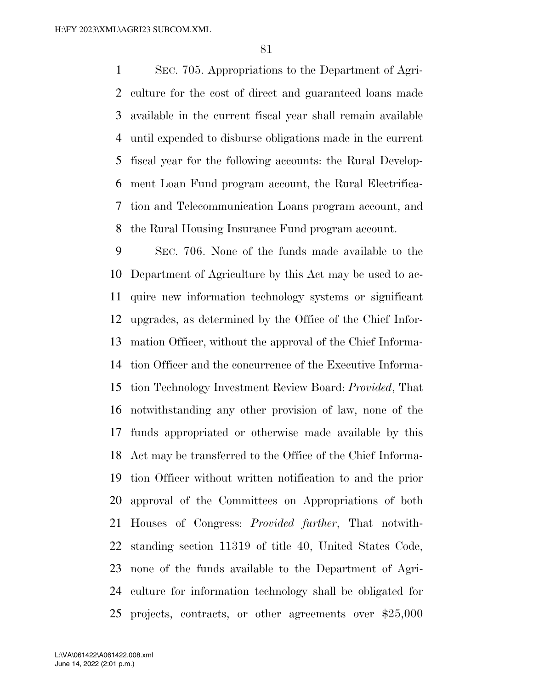SEC. 705. Appropriations to the Department of Agri- culture for the cost of direct and guaranteed loans made available in the current fiscal year shall remain available until expended to disburse obligations made in the current fiscal year for the following accounts: the Rural Develop- ment Loan Fund program account, the Rural Electrifica- tion and Telecommunication Loans program account, and the Rural Housing Insurance Fund program account.

 SEC. 706. None of the funds made available to the Department of Agriculture by this Act may be used to ac- quire new information technology systems or significant upgrades, as determined by the Office of the Chief Infor- mation Officer, without the approval of the Chief Informa- tion Officer and the concurrence of the Executive Informa- tion Technology Investment Review Board: *Provided*, That notwithstanding any other provision of law, none of the funds appropriated or otherwise made available by this Act may be transferred to the Office of the Chief Informa- tion Officer without written notification to and the prior approval of the Committees on Appropriations of both Houses of Congress: *Provided further*, That notwith- standing section 11319 of title 40, United States Code, none of the funds available to the Department of Agri- culture for information technology shall be obligated for projects, contracts, or other agreements over \$25,000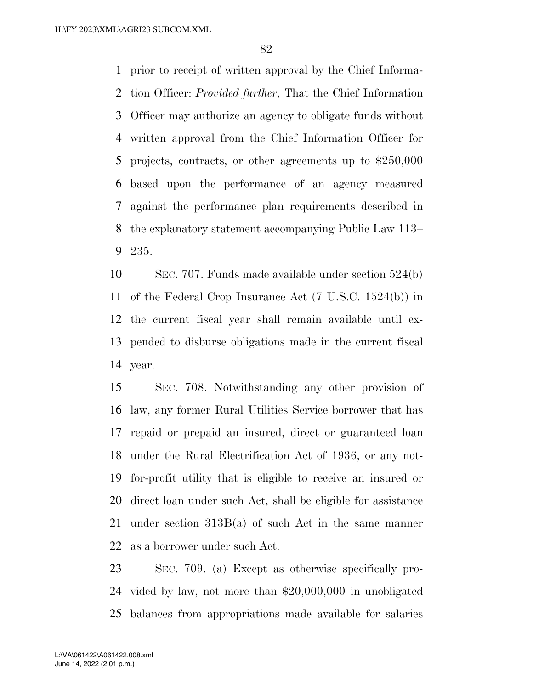prior to receipt of written approval by the Chief Informa- tion Officer: *Provided further*, That the Chief Information Officer may authorize an agency to obligate funds without written approval from the Chief Information Officer for projects, contracts, or other agreements up to \$250,000 based upon the performance of an agency measured against the performance plan requirements described in the explanatory statement accompanying Public Law 113– 235.

 SEC. 707. Funds made available under section 524(b) of the Federal Crop Insurance Act (7 U.S.C. 1524(b)) in the current fiscal year shall remain available until ex- pended to disburse obligations made in the current fiscal year.

 SEC. 708. Notwithstanding any other provision of law, any former Rural Utilities Service borrower that has repaid or prepaid an insured, direct or guaranteed loan under the Rural Electrification Act of 1936, or any not- for-profit utility that is eligible to receive an insured or direct loan under such Act, shall be eligible for assistance under section 313B(a) of such Act in the same manner as a borrower under such Act.

 SEC. 709. (a) Except as otherwise specifically pro- vided by law, not more than \$20,000,000 in unobligated balances from appropriations made available for salaries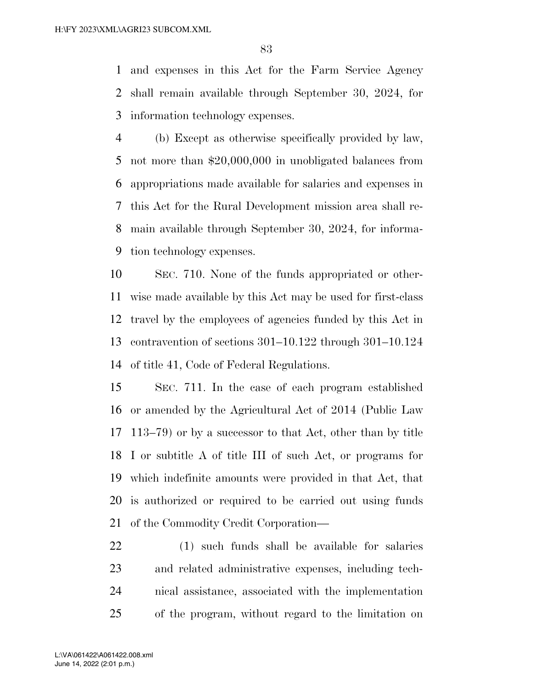and expenses in this Act for the Farm Service Agency shall remain available through September 30, 2024, for information technology expenses.

 (b) Except as otherwise specifically provided by law, not more than \$20,000,000 in unobligated balances from appropriations made available for salaries and expenses in this Act for the Rural Development mission area shall re- main available through September 30, 2024, for informa-tion technology expenses.

 SEC. 710. None of the funds appropriated or other- wise made available by this Act may be used for first-class travel by the employees of agencies funded by this Act in contravention of sections 301–10.122 through 301–10.124 of title 41, Code of Federal Regulations.

 SEC. 711. In the case of each program established or amended by the Agricultural Act of 2014 (Public Law 113–79) or by a successor to that Act, other than by title I or subtitle A of title III of such Act, or programs for which indefinite amounts were provided in that Act, that is authorized or required to be carried out using funds of the Commodity Credit Corporation—

 (1) such funds shall be available for salaries and related administrative expenses, including tech- nical assistance, associated with the implementation of the program, without regard to the limitation on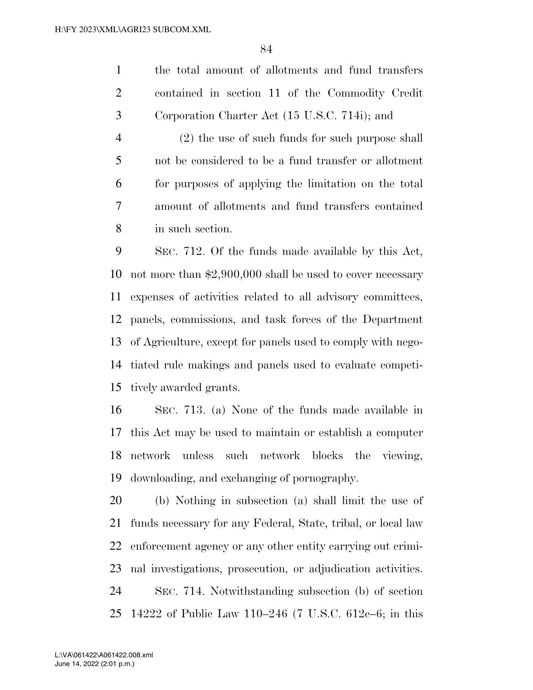the total amount of allotments and fund transfers contained in section 11 of the Commodity Credit Corporation Charter Act (15 U.S.C. 714i); and

 (2) the use of such funds for such purpose shall not be considered to be a fund transfer or allotment for purposes of applying the limitation on the total amount of allotments and fund transfers contained in such section.

 SEC. 712. Of the funds made available by this Act, not more than \$2,900,000 shall be used to cover necessary expenses of activities related to all advisory committees, panels, commissions, and task forces of the Department of Agriculture, except for panels used to comply with nego- tiated rule makings and panels used to evaluate competi-tively awarded grants.

 SEC. 713. (a) None of the funds made available in this Act may be used to maintain or establish a computer network unless such network blocks the viewing, downloading, and exchanging of pornography.

 (b) Nothing in subsection (a) shall limit the use of funds necessary for any Federal, State, tribal, or local law enforcement agency or any other entity carrying out crimi- nal investigations, prosecution, or adjudication activities. SEC. 714. Notwithstanding subsection (b) of section 14222 of Public Law 110–246 (7 U.S.C. 612c–6; in this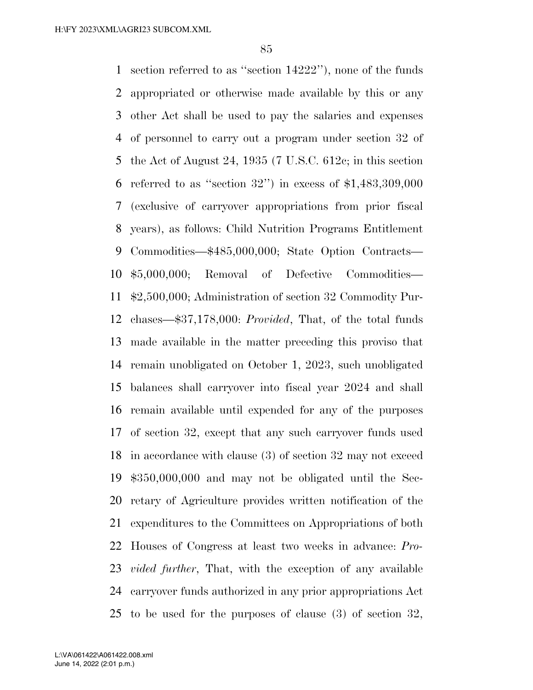section referred to as ''section 14222''), none of the funds appropriated or otherwise made available by this or any other Act shall be used to pay the salaries and expenses of personnel to carry out a program under section 32 of the Act of August 24, 1935 (7 U.S.C. 612c; in this section 6 referred to as "section ") in excess of  $$1,483,309,000$  (exclusive of carryover appropriations from prior fiscal years), as follows: Child Nutrition Programs Entitlement Commodities—\$485,000,000; State Option Contracts— \$5,000,000; Removal of Defective Commodities— \$2,500,000; Administration of section 32 Commodity Pur- chases—\$37,178,000: *Provided*, That, of the total funds made available in the matter preceding this proviso that remain unobligated on October 1, 2023, such unobligated balances shall carryover into fiscal year 2024 and shall remain available until expended for any of the purposes of section 32, except that any such carryover funds used in accordance with clause (3) of section 32 may not exceed \$350,000,000 and may not be obligated until the Sec- retary of Agriculture provides written notification of the expenditures to the Committees on Appropriations of both Houses of Congress at least two weeks in advance: *Pro- vided further*, That, with the exception of any available carryover funds authorized in any prior appropriations Act to be used for the purposes of clause (3) of section 32,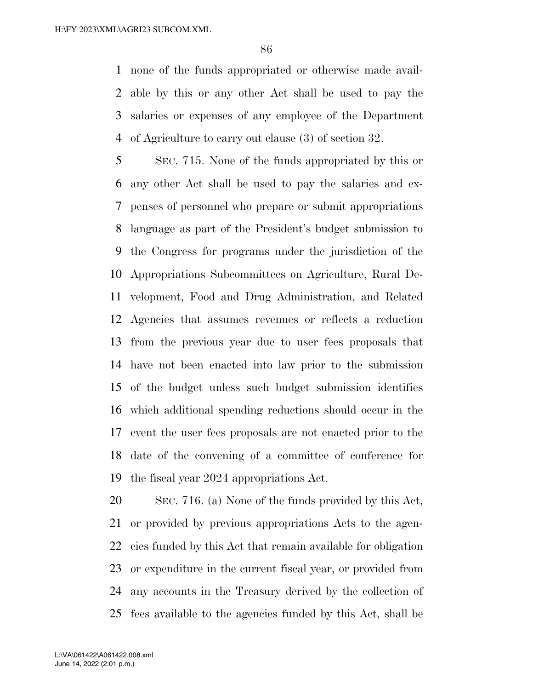none of the funds appropriated or otherwise made avail- able by this or any other Act shall be used to pay the salaries or expenses of any employee of the Department of Agriculture to carry out clause (3) of section 32.

 SEC. 715. None of the funds appropriated by this or any other Act shall be used to pay the salaries and ex- penses of personnel who prepare or submit appropriations language as part of the President's budget submission to the Congress for programs under the jurisdiction of the Appropriations Subcommittees on Agriculture, Rural De- velopment, Food and Drug Administration, and Related Agencies that assumes revenues or reflects a reduction from the previous year due to user fees proposals that have not been enacted into law prior to the submission of the budget unless such budget submission identifies which additional spending reductions should occur in the event the user fees proposals are not enacted prior to the date of the convening of a committee of conference for the fiscal year 2024 appropriations Act.

 SEC. 716. (a) None of the funds provided by this Act, or provided by previous appropriations Acts to the agen- cies funded by this Act that remain available for obligation or expenditure in the current fiscal year, or provided from any accounts in the Treasury derived by the collection of fees available to the agencies funded by this Act, shall be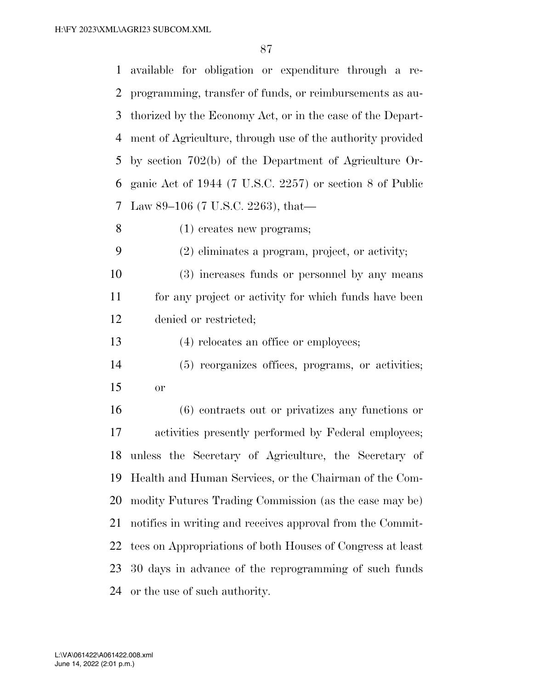available for obligation or expenditure through a re- programming, transfer of funds, or reimbursements as au- thorized by the Economy Act, or in the case of the Depart- ment of Agriculture, through use of the authority provided by section 702(b) of the Department of Agriculture Or- ganic Act of 1944 (7 U.S.C. 2257) or section 8 of Public Law 89–106 (7 U.S.C. 2263), that— (1) creates new programs; (2) eliminates a program, project, or activity; (3) increases funds or personnel by any means for any project or activity for which funds have been denied or restricted; (4) relocates an office or employees; (5) reorganizes offices, programs, or activities; or (6) contracts out or privatizes any functions or activities presently performed by Federal employees; unless the Secretary of Agriculture, the Secretary of Health and Human Services, or the Chairman of the Com- modity Futures Trading Commission (as the case may be) notifies in writing and receives approval from the Commit- tees on Appropriations of both Houses of Congress at least 30 days in advance of the reprogramming of such funds

or the use of such authority.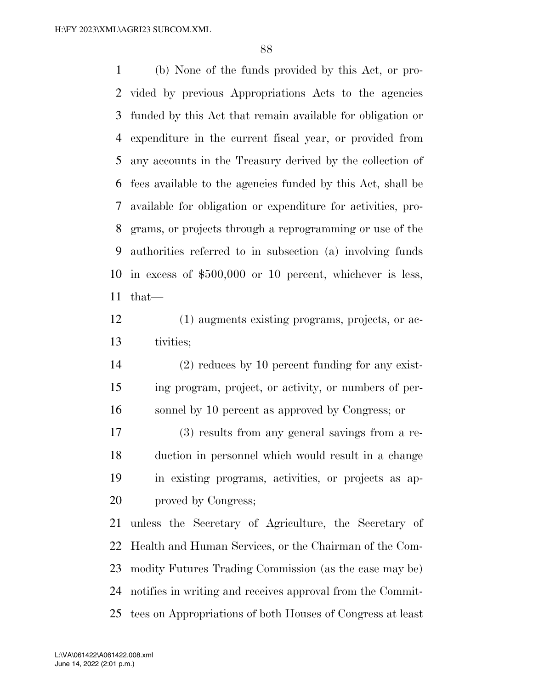(b) None of the funds provided by this Act, or pro- vided by previous Appropriations Acts to the agencies funded by this Act that remain available for obligation or expenditure in the current fiscal year, or provided from any accounts in the Treasury derived by the collection of fees available to the agencies funded by this Act, shall be available for obligation or expenditure for activities, pro- grams, or projects through a reprogramming or use of the authorities referred to in subsection (a) involving funds in excess of \$500,000 or 10 percent, whichever is less, that—

 (1) augments existing programs, projects, or ac-tivities;

 (2) reduces by 10 percent funding for any exist- ing program, project, or activity, or numbers of per-sonnel by 10 percent as approved by Congress; or

 (3) results from any general savings from a re- duction in personnel which would result in a change in existing programs, activities, or projects as ap-20 proved by Congress;

 unless the Secretary of Agriculture, the Secretary of Health and Human Services, or the Chairman of the Com- modity Futures Trading Commission (as the case may be) notifies in writing and receives approval from the Commit-tees on Appropriations of both Houses of Congress at least

June 14, 2022 (2:01 p.m.) L:\VA\061422\A061422.008.xml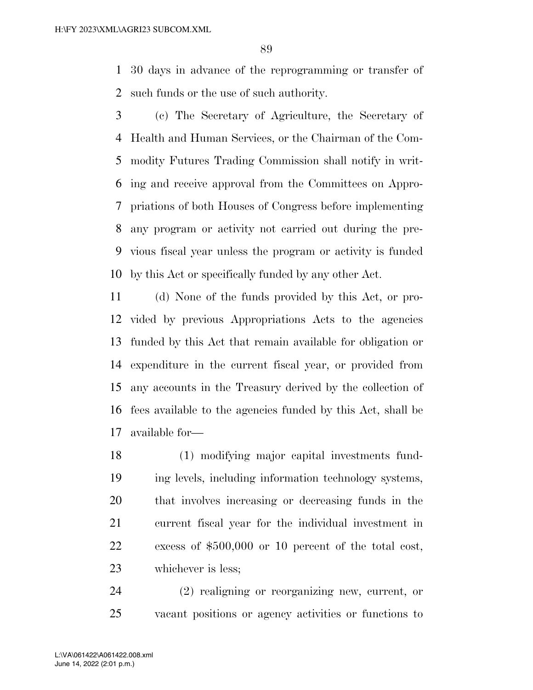30 days in advance of the reprogramming or transfer of such funds or the use of such authority.

 (c) The Secretary of Agriculture, the Secretary of Health and Human Services, or the Chairman of the Com- modity Futures Trading Commission shall notify in writ- ing and receive approval from the Committees on Appro- priations of both Houses of Congress before implementing any program or activity not carried out during the pre- vious fiscal year unless the program or activity is funded by this Act or specifically funded by any other Act.

 (d) None of the funds provided by this Act, or pro- vided by previous Appropriations Acts to the agencies funded by this Act that remain available for obligation or expenditure in the current fiscal year, or provided from any accounts in the Treasury derived by the collection of fees available to the agencies funded by this Act, shall be available for—

 (1) modifying major capital investments fund- ing levels, including information technology systems, that involves increasing or decreasing funds in the current fiscal year for the individual investment in excess of \$500,000 or 10 percent of the total cost, whichever is less;

 (2) realigning or reorganizing new, current, or vacant positions or agency activities or functions to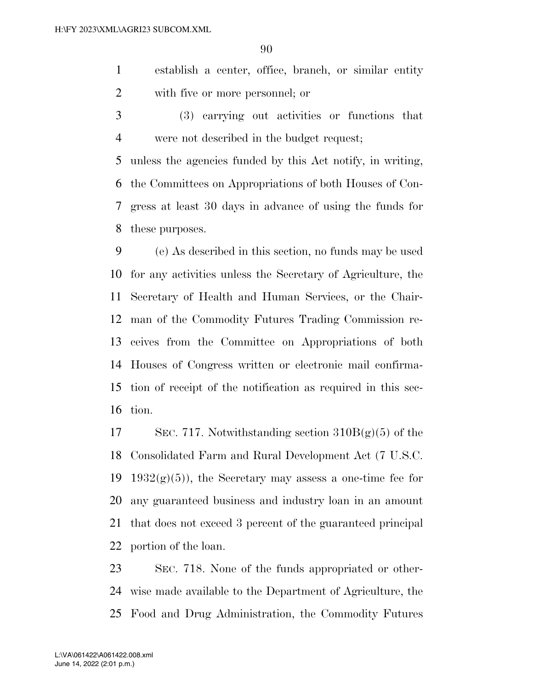establish a center, office, branch, or similar entity with five or more personnel; or

 (3) carrying out activities or functions that were not described in the budget request;

 unless the agencies funded by this Act notify, in writing, the Committees on Appropriations of both Houses of Con- gress at least 30 days in advance of using the funds for these purposes.

 (e) As described in this section, no funds may be used for any activities unless the Secretary of Agriculture, the Secretary of Health and Human Services, or the Chair- man of the Commodity Futures Trading Commission re- ceives from the Committee on Appropriations of both Houses of Congress written or electronic mail confirma- tion of receipt of the notification as required in this sec-tion.

17 SEC. 717. Notwithstanding section  $310B(g)(5)$  of the Consolidated Farm and Rural Development Act (7 U.S.C. 19 1932 $(g)(5)$ , the Secretary may assess a one-time fee for any guaranteed business and industry loan in an amount that does not exceed 3 percent of the guaranteed principal portion of the loan.

 SEC. 718. None of the funds appropriated or other- wise made available to the Department of Agriculture, the Food and Drug Administration, the Commodity Futures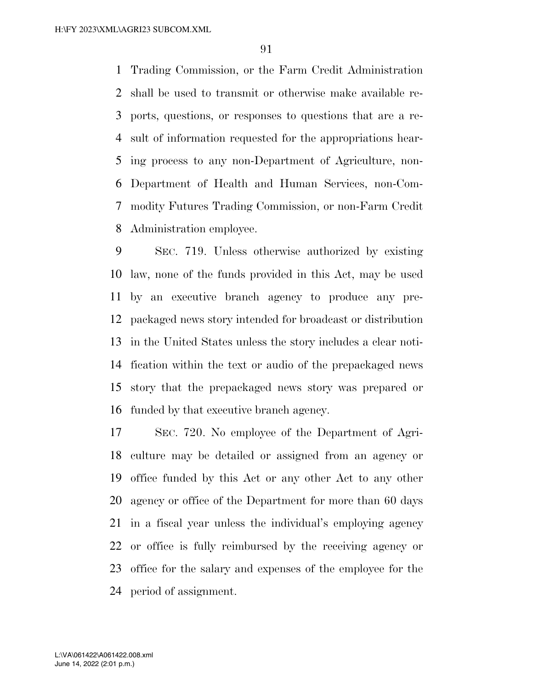Trading Commission, or the Farm Credit Administration shall be used to transmit or otherwise make available re- ports, questions, or responses to questions that are a re- sult of information requested for the appropriations hear- ing process to any non-Department of Agriculture, non- Department of Health and Human Services, non-Com- modity Futures Trading Commission, or non-Farm Credit Administration employee.

 SEC. 719. Unless otherwise authorized by existing law, none of the funds provided in this Act, may be used by an executive branch agency to produce any pre- packaged news story intended for broadcast or distribution in the United States unless the story includes a clear noti- fication within the text or audio of the prepackaged news story that the prepackaged news story was prepared or funded by that executive branch agency.

 SEC. 720. No employee of the Department of Agri- culture may be detailed or assigned from an agency or office funded by this Act or any other Act to any other agency or office of the Department for more than 60 days in a fiscal year unless the individual's employing agency or office is fully reimbursed by the receiving agency or office for the salary and expenses of the employee for the period of assignment.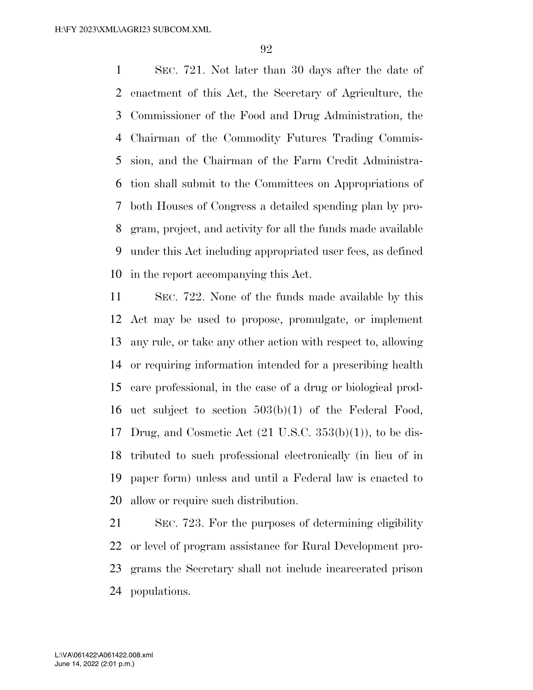SEC. 721. Not later than 30 days after the date of enactment of this Act, the Secretary of Agriculture, the Commissioner of the Food and Drug Administration, the Chairman of the Commodity Futures Trading Commis- sion, and the Chairman of the Farm Credit Administra- tion shall submit to the Committees on Appropriations of both Houses of Congress a detailed spending plan by pro- gram, project, and activity for all the funds made available under this Act including appropriated user fees, as defined in the report accompanying this Act.

 SEC. 722. None of the funds made available by this Act may be used to propose, promulgate, or implement any rule, or take any other action with respect to, allowing or requiring information intended for a prescribing health care professional, in the case of a drug or biological prod- uct subject to section 503(b)(1) of the Federal Food, Drug, and Cosmetic Act (21 U.S.C. 353(b)(1)), to be dis- tributed to such professional electronically (in lieu of in paper form) unless and until a Federal law is enacted to allow or require such distribution.

 SEC. 723. For the purposes of determining eligibility or level of program assistance for Rural Development pro- grams the Secretary shall not include incarcerated prison populations.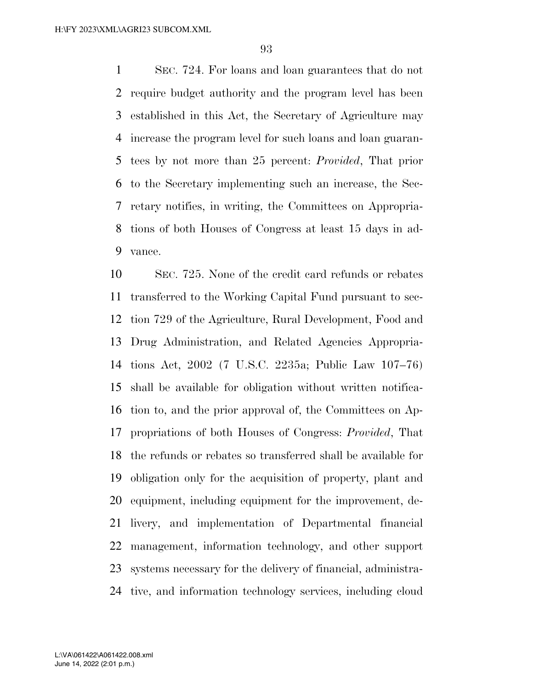SEC. 724. For loans and loan guarantees that do not require budget authority and the program level has been established in this Act, the Secretary of Agriculture may increase the program level for such loans and loan guaran- tees by not more than 25 percent: *Provided*, That prior to the Secretary implementing such an increase, the Sec- retary notifies, in writing, the Committees on Appropria- tions of both Houses of Congress at least 15 days in ad-vance.

 SEC. 725. None of the credit card refunds or rebates transferred to the Working Capital Fund pursuant to sec- tion 729 of the Agriculture, Rural Development, Food and Drug Administration, and Related Agencies Appropria- tions Act, 2002 (7 U.S.C. 2235a; Public Law 107–76) shall be available for obligation without written notifica- tion to, and the prior approval of, the Committees on Ap- propriations of both Houses of Congress: *Provided*, That the refunds or rebates so transferred shall be available for obligation only for the acquisition of property, plant and equipment, including equipment for the improvement, de- livery, and implementation of Departmental financial management, information technology, and other support systems necessary for the delivery of financial, administra-tive, and information technology services, including cloud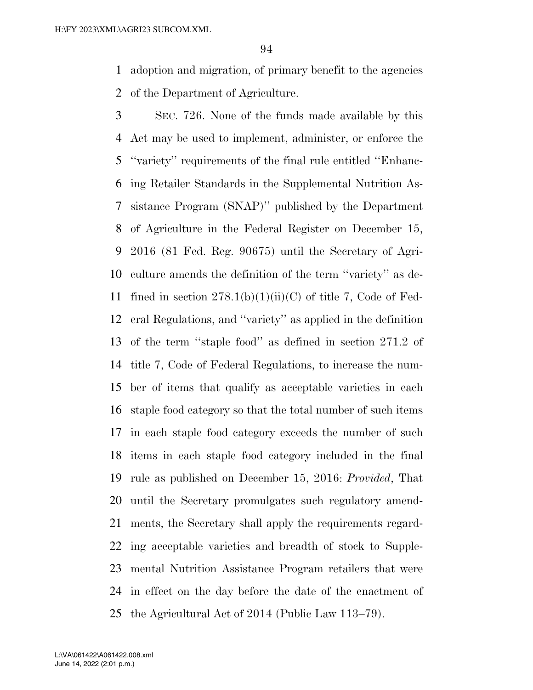adoption and migration, of primary benefit to the agencies of the Department of Agriculture.

 SEC. 726. None of the funds made available by this Act may be used to implement, administer, or enforce the ''variety'' requirements of the final rule entitled ''Enhanc- ing Retailer Standards in the Supplemental Nutrition As- sistance Program (SNAP)'' published by the Department of Agriculture in the Federal Register on December 15, 2016 (81 Fed. Reg. 90675) until the Secretary of Agri- culture amends the definition of the term ''variety'' as de-11 fined in section  $278.1(b)(1)(ii)(C)$  of title 7, Code of Fed- eral Regulations, and ''variety'' as applied in the definition of the term ''staple food'' as defined in section 271.2 of title 7, Code of Federal Regulations, to increase the num- ber of items that qualify as acceptable varieties in each staple food category so that the total number of such items in each staple food category exceeds the number of such items in each staple food category included in the final rule as published on December 15, 2016: *Provided*, That until the Secretary promulgates such regulatory amend- ments, the Secretary shall apply the requirements regard- ing acceptable varieties and breadth of stock to Supple- mental Nutrition Assistance Program retailers that were in effect on the day before the date of the enactment of the Agricultural Act of 2014 (Public Law 113–79).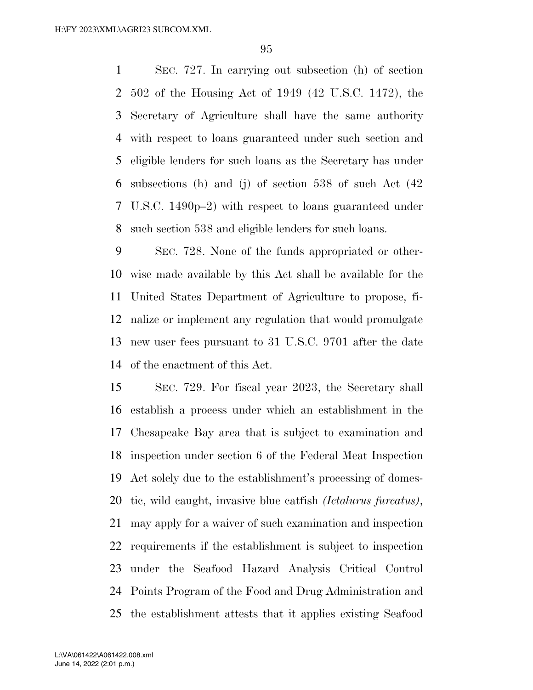SEC. 727. In carrying out subsection (h) of section 502 of the Housing Act of 1949 (42 U.S.C. 1472), the Secretary of Agriculture shall have the same authority with respect to loans guaranteed under such section and eligible lenders for such loans as the Secretary has under subsections (h) and (j) of section 538 of such Act (42 U.S.C. 1490p–2) with respect to loans guaranteed under such section 538 and eligible lenders for such loans.

 SEC. 728. None of the funds appropriated or other- wise made available by this Act shall be available for the United States Department of Agriculture to propose, fi- nalize or implement any regulation that would promulgate new user fees pursuant to 31 U.S.C. 9701 after the date of the enactment of this Act.

 SEC. 729. For fiscal year 2023, the Secretary shall establish a process under which an establishment in the Chesapeake Bay area that is subject to examination and inspection under section 6 of the Federal Meat Inspection Act solely due to the establishment's processing of domes- tic, wild caught, invasive blue catfish *(Ictalurus furcatus)*, may apply for a waiver of such examination and inspection requirements if the establishment is subject to inspection under the Seafood Hazard Analysis Critical Control Points Program of the Food and Drug Administration and the establishment attests that it applies existing Seafood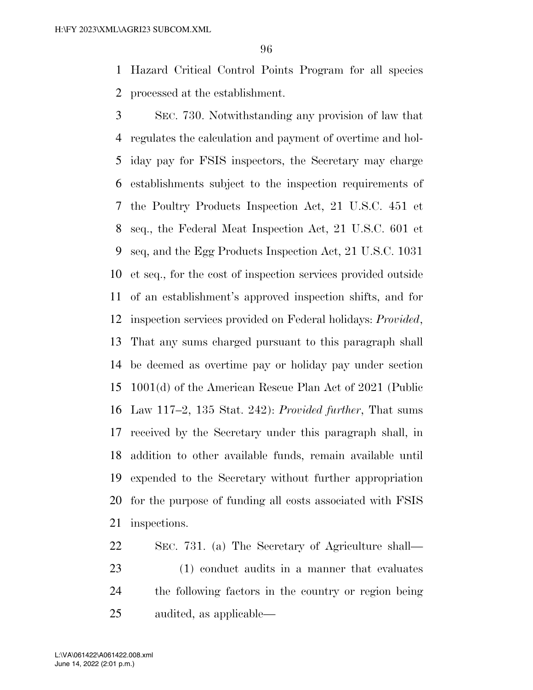Hazard Critical Control Points Program for all species processed at the establishment.

 SEC. 730. Notwithstanding any provision of law that regulates the calculation and payment of overtime and hol- iday pay for FSIS inspectors, the Secretary may charge establishments subject to the inspection requirements of the Poultry Products Inspection Act, 21 U.S.C. 451 et seq., the Federal Meat Inspection Act, 21 U.S.C. 601 et seq, and the Egg Products Inspection Act, 21 U.S.C. 1031 et seq., for the cost of inspection services provided outside of an establishment's approved inspection shifts, and for inspection services provided on Federal holidays: *Provided*, That any sums charged pursuant to this paragraph shall be deemed as overtime pay or holiday pay under section 1001(d) of the American Rescue Plan Act of 2021 (Public Law 117–2, 135 Stat. 242): *Provided further*, That sums received by the Secretary under this paragraph shall, in addition to other available funds, remain available until expended to the Secretary without further appropriation for the purpose of funding all costs associated with FSIS inspections.

 SEC. 731. (a) The Secretary of Agriculture shall— (1) conduct audits in a manner that evaluates the following factors in the country or region being audited, as applicable—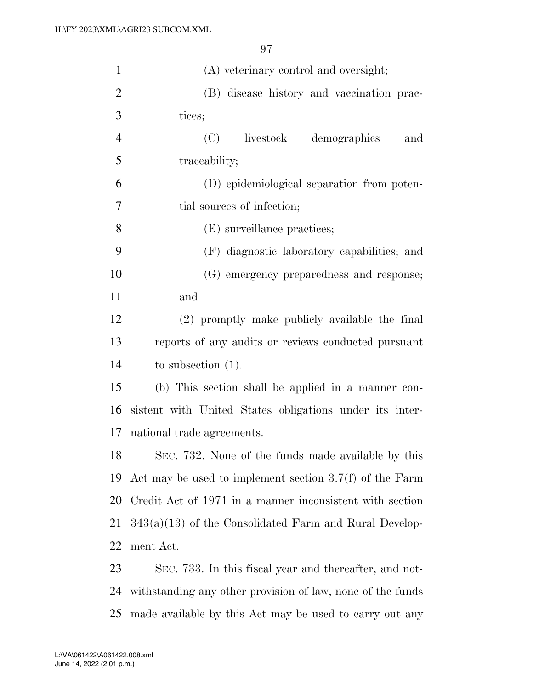| $\mathbf{1}$   | (A) veterinary control and oversight;                      |
|----------------|------------------------------------------------------------|
| $\overline{2}$ | (B) disease history and vaccination prac-                  |
| 3              | tices;                                                     |
| $\overline{4}$ | livestock<br>(C)<br>demographics<br>and                    |
| 5              | traceability;                                              |
| 6              | (D) epidemiological separation from poten-                 |
| 7              | tial sources of infection;                                 |
| 8              | (E) surveillance practices;                                |
| 9              | (F) diagnostic laboratory capabilities; and                |
| 10             | (G) emergency preparedness and response;                   |
| 11             | and                                                        |
| 12             | (2) promptly make publicly available the final             |
| 13             | reports of any audits or reviews conducted pursuant        |
| 14             | to subsection $(1)$ .                                      |
| 15             | (b) This section shall be applied in a manner con-         |
| 16             | sistent with United States obligations under its inter-    |
| 17             | national trade agreements.                                 |
| 18             | SEC. 732. None of the funds made available by this         |
| 19             | Act may be used to implement section $3.7(f)$ of the Farm  |
| 20             | Credit Act of 1971 in a manner inconsistent with section   |
| 21             | $343(a)(13)$ of the Consolidated Farm and Rural Develop-   |
| 22             | ment Act.                                                  |
| 23             | SEC. 733. In this fiscal year and thereafter, and not-     |
| 24             | withstanding any other provision of law, none of the funds |

made available by this Act may be used to carry out any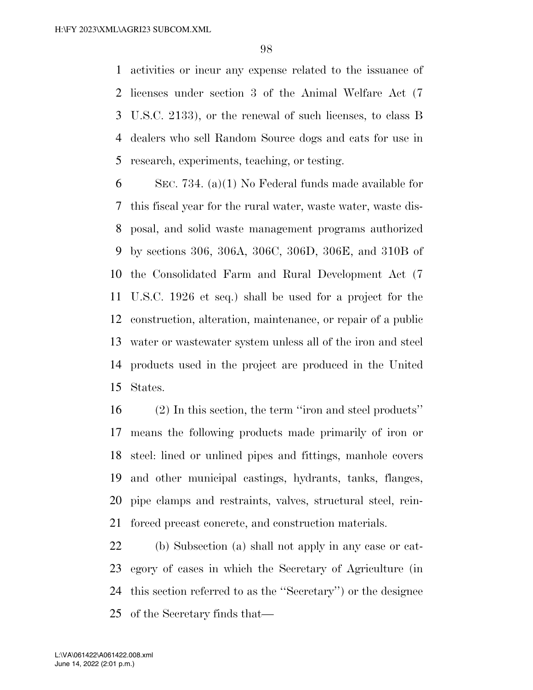activities or incur any expense related to the issuance of licenses under section 3 of the Animal Welfare Act (7 U.S.C. 2133), or the renewal of such licenses, to class B dealers who sell Random Source dogs and cats for use in research, experiments, teaching, or testing.

 SEC. 734. (a)(1) No Federal funds made available for this fiscal year for the rural water, waste water, waste dis- posal, and solid waste management programs authorized by sections 306, 306A, 306C, 306D, 306E, and 310B of the Consolidated Farm and Rural Development Act (7 U.S.C. 1926 et seq.) shall be used for a project for the construction, alteration, maintenance, or repair of a public water or wastewater system unless all of the iron and steel products used in the project are produced in the United States.

 (2) In this section, the term ''iron and steel products'' means the following products made primarily of iron or steel: lined or unlined pipes and fittings, manhole covers and other municipal castings, hydrants, tanks, flanges, pipe clamps and restraints, valves, structural steel, rein-forced precast concrete, and construction materials.

 (b) Subsection (a) shall not apply in any case or cat- egory of cases in which the Secretary of Agriculture (in this section referred to as the ''Secretary'') or the designee of the Secretary finds that—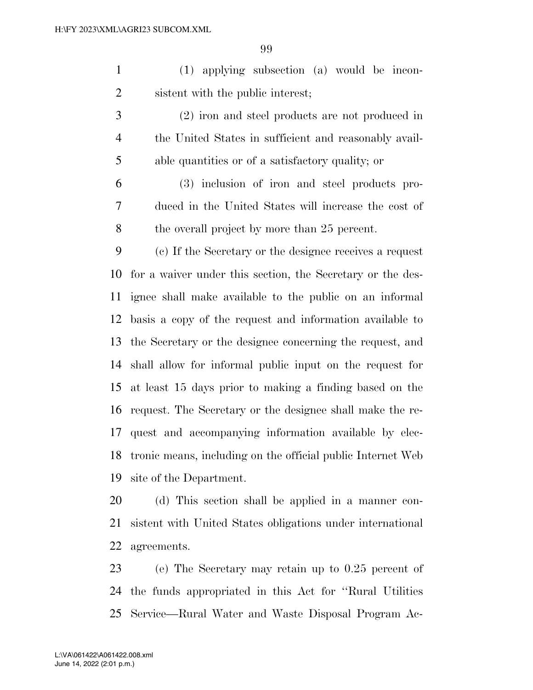(1) applying subsection (a) would be incon-sistent with the public interest;

 (2) iron and steel products are not produced in the United States in sufficient and reasonably avail-able quantities or of a satisfactory quality; or

 (3) inclusion of iron and steel products pro- duced in the United States will increase the cost of the overall project by more than 25 percent.

 (c) If the Secretary or the designee receives a request for a waiver under this section, the Secretary or the des- ignee shall make available to the public on an informal basis a copy of the request and information available to the Secretary or the designee concerning the request, and shall allow for informal public input on the request for at least 15 days prior to making a finding based on the request. The Secretary or the designee shall make the re- quest and accompanying information available by elec- tronic means, including on the official public Internet Web site of the Department.

 (d) This section shall be applied in a manner con- sistent with United States obligations under international agreements.

 (e) The Secretary may retain up to 0.25 percent of the funds appropriated in this Act for ''Rural Utilities Service—Rural Water and Waste Disposal Program Ac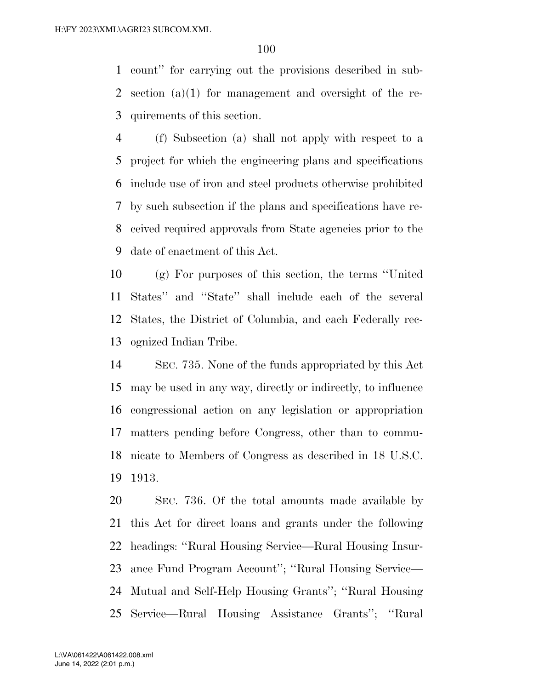count'' for carrying out the provisions described in sub- section (a)(1) for management and oversight of the re-quirements of this section.

 (f) Subsection (a) shall not apply with respect to a project for which the engineering plans and specifications include use of iron and steel products otherwise prohibited by such subsection if the plans and specifications have re- ceived required approvals from State agencies prior to the date of enactment of this Act.

 (g) For purposes of this section, the terms ''United States'' and ''State'' shall include each of the several States, the District of Columbia, and each Federally rec-ognized Indian Tribe.

 SEC. 735. None of the funds appropriated by this Act may be used in any way, directly or indirectly, to influence congressional action on any legislation or appropriation matters pending before Congress, other than to commu- nicate to Members of Congress as described in 18 U.S.C. 1913.

 SEC. 736. Of the total amounts made available by this Act for direct loans and grants under the following headings: ''Rural Housing Service—Rural Housing Insur- ance Fund Program Account''; ''Rural Housing Service— Mutual and Self-Help Housing Grants''; ''Rural Housing Service—Rural Housing Assistance Grants''; ''Rural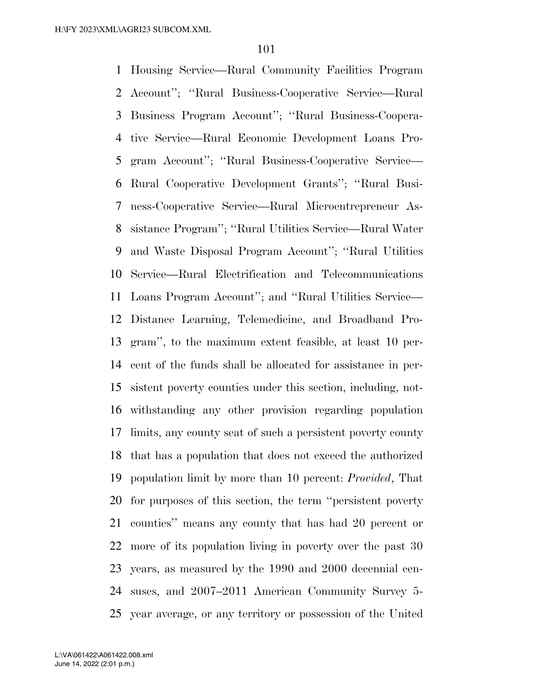Housing Service—Rural Community Facilities Program Account''; ''Rural Business-Cooperative Service—Rural Business Program Account''; ''Rural Business-Coopera- tive Service—Rural Economic Development Loans Pro- gram Account''; ''Rural Business-Cooperative Service— Rural Cooperative Development Grants''; ''Rural Busi- ness-Cooperative Service—Rural Microentrepreneur As- sistance Program''; ''Rural Utilities Service—Rural Water and Waste Disposal Program Account''; ''Rural Utilities Service—Rural Electrification and Telecommunications Loans Program Account''; and ''Rural Utilities Service— Distance Learning, Telemedicine, and Broadband Pro- gram'', to the maximum extent feasible, at least 10 per- cent of the funds shall be allocated for assistance in per- sistent poverty counties under this section, including, not- withstanding any other provision regarding population limits, any county seat of such a persistent poverty county that has a population that does not exceed the authorized population limit by more than 10 percent: *Provided*, That for purposes of this section, the term ''persistent poverty counties'' means any county that has had 20 percent or more of its population living in poverty over the past 30 years, as measured by the 1990 and 2000 decennial cen- suses, and 2007–2011 American Community Survey 5- year average, or any territory or possession of the United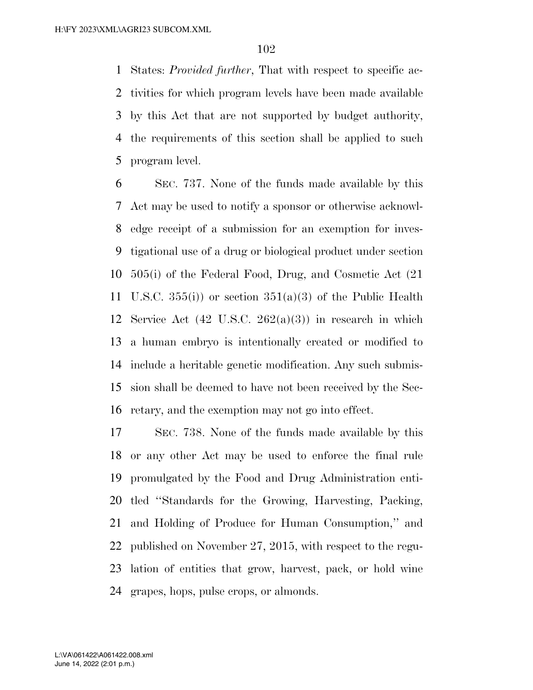States: *Provided further*, That with respect to specific ac- tivities for which program levels have been made available by this Act that are not supported by budget authority, the requirements of this section shall be applied to such program level.

 SEC. 737. None of the funds made available by this Act may be used to notify a sponsor or otherwise acknowl- edge receipt of a submission for an exemption for inves- tigational use of a drug or biological product under section 505(i) of the Federal Food, Drug, and Cosmetic Act (21 11 U.S.C.  $355(i)$  or section  $351(a)(3)$  of the Public Health 12 Service Act  $(42 \text{ U.S.C. } 262(a)(3))$  in research in which a human embryo is intentionally created or modified to include a heritable genetic modification. Any such submis- sion shall be deemed to have not been received by the Sec-retary, and the exemption may not go into effect.

 SEC. 738. None of the funds made available by this or any other Act may be used to enforce the final rule promulgated by the Food and Drug Administration enti- tled ''Standards for the Growing, Harvesting, Packing, and Holding of Produce for Human Consumption,'' and published on November 27, 2015, with respect to the regu- lation of entities that grow, harvest, pack, or hold wine grapes, hops, pulse crops, or almonds.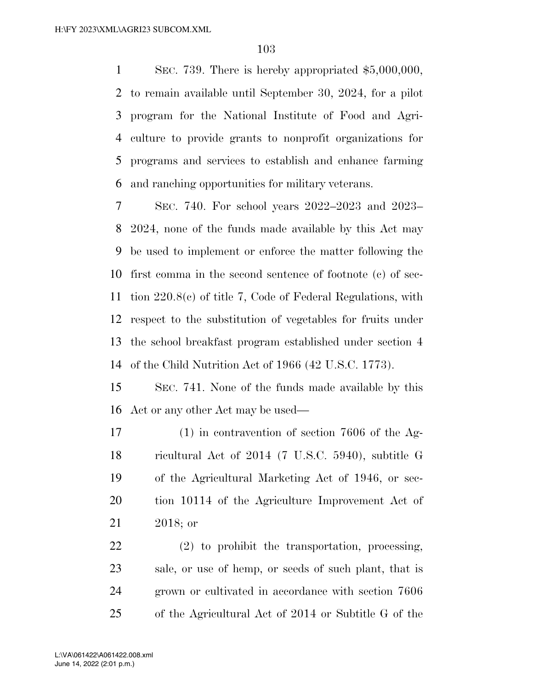SEC. 739. There is hereby appropriated \$5,000,000, to remain available until September 30, 2024, for a pilot program for the National Institute of Food and Agri- culture to provide grants to nonprofit organizations for programs and services to establish and enhance farming and ranching opportunities for military veterans.

 SEC. 740. For school years 2022–2023 and 2023– 2024, none of the funds made available by this Act may be used to implement or enforce the matter following the first comma in the second sentence of footnote (c) of sec- tion 220.8(c) of title 7, Code of Federal Regulations, with respect to the substitution of vegetables for fruits under the school breakfast program established under section 4 of the Child Nutrition Act of 1966 (42 U.S.C. 1773).

 SEC. 741. None of the funds made available by this Act or any other Act may be used—

 (1) in contravention of section 7606 of the Ag- ricultural Act of 2014 (7 U.S.C. 5940), subtitle G of the Agricultural Marketing Act of 1946, or sec- tion 10114 of the Agriculture Improvement Act of 2018; or

 (2) to prohibit the transportation, processing, sale, or use of hemp, or seeds of such plant, that is grown or cultivated in accordance with section 7606 of the Agricultural Act of 2014 or Subtitle G of the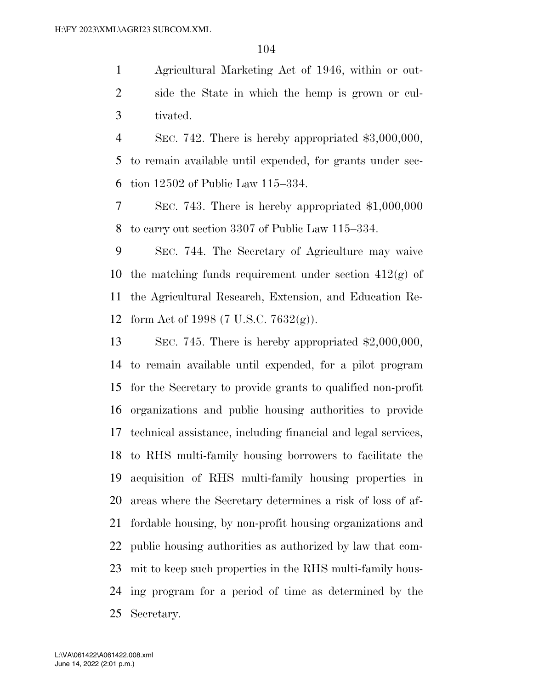Agricultural Marketing Act of 1946, within or out- side the State in which the hemp is grown or cul-tivated.

 SEC. 742. There is hereby appropriated \$3,000,000, to remain available until expended, for grants under sec-tion 12502 of Public Law 115–334.

 SEC. 743. There is hereby appropriated \$1,000,000 to carry out section 3307 of Public Law 115–334.

 SEC. 744. The Secretary of Agriculture may waive 10 the matching funds requirement under section  $412(g)$  of the Agricultural Research, Extension, and Education Re-form Act of 1998 (7 U.S.C. 7632(g)).

 SEC. 745. There is hereby appropriated \$2,000,000, to remain available until expended, for a pilot program for the Secretary to provide grants to qualified non-profit organizations and public housing authorities to provide technical assistance, including financial and legal services, to RHS multi-family housing borrowers to facilitate the acquisition of RHS multi-family housing properties in areas where the Secretary determines a risk of loss of af- fordable housing, by non-profit housing organizations and public housing authorities as authorized by law that com- mit to keep such properties in the RHS multi-family hous- ing program for a period of time as determined by the Secretary.

June 14, 2022 (2:01 p.m.) L:\VA\061422\A061422.008.xml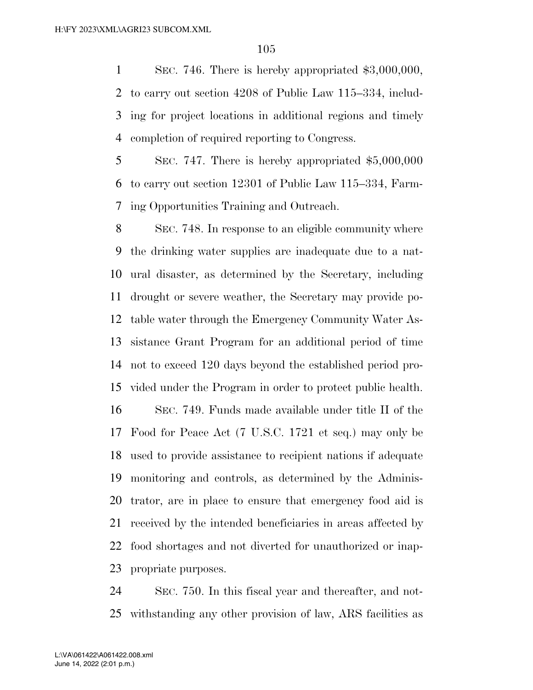SEC. 746. There is hereby appropriated \$3,000,000, to carry out section 4208 of Public Law 115–334, includ- ing for project locations in additional regions and timely completion of required reporting to Congress.

 SEC. 747. There is hereby appropriated \$5,000,000 to carry out section 12301 of Public Law 115–334, Farm-ing Opportunities Training and Outreach.

 SEC. 748. In response to an eligible community where the drinking water supplies are inadequate due to a nat- ural disaster, as determined by the Secretary, including drought or severe weather, the Secretary may provide po- table water through the Emergency Community Water As- sistance Grant Program for an additional period of time not to exceed 120 days beyond the established period pro-vided under the Program in order to protect public health.

 SEC. 749. Funds made available under title II of the Food for Peace Act (7 U.S.C. 1721 et seq.) may only be used to provide assistance to recipient nations if adequate monitoring and controls, as determined by the Adminis- trator, are in place to ensure that emergency food aid is received by the intended beneficiaries in areas affected by food shortages and not diverted for unauthorized or inap-propriate purposes.

 SEC. 750. In this fiscal year and thereafter, and not-withstanding any other provision of law, ARS facilities as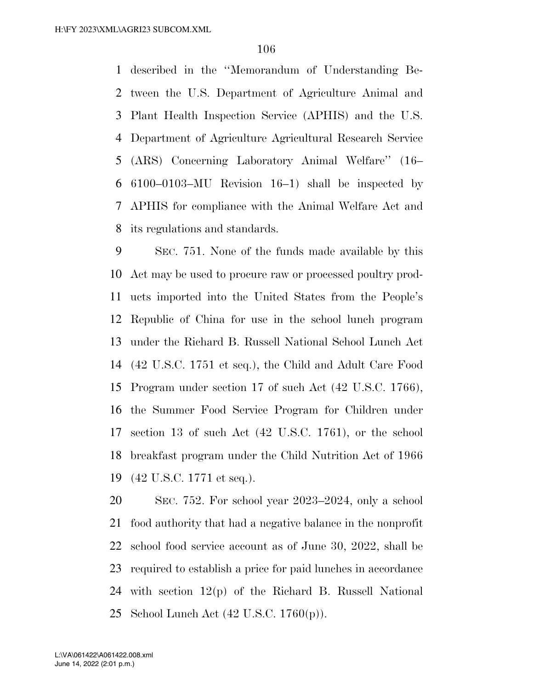described in the ''Memorandum of Understanding Be- tween the U.S. Department of Agriculture Animal and Plant Health Inspection Service (APHIS) and the U.S. Department of Agriculture Agricultural Research Service (ARS) Concerning Laboratory Animal Welfare'' (16– 6100–0103–MU Revision 16–1) shall be inspected by APHIS for compliance with the Animal Welfare Act and its regulations and standards.

 SEC. 751. None of the funds made available by this Act may be used to procure raw or processed poultry prod- ucts imported into the United States from the People's Republic of China for use in the school lunch program under the Richard B. Russell National School Lunch Act (42 U.S.C. 1751 et seq.), the Child and Adult Care Food Program under section 17 of such Act (42 U.S.C. 1766), the Summer Food Service Program for Children under section 13 of such Act (42 U.S.C. 1761), or the school breakfast program under the Child Nutrition Act of 1966 (42 U.S.C. 1771 et seq.).

 SEC. 752. For school year 2023–2024, only a school food authority that had a negative balance in the nonprofit school food service account as of June 30, 2022, shall be required to establish a price for paid lunches in accordance with section 12(p) of the Richard B. Russell National School Lunch Act (42 U.S.C. 1760(p)).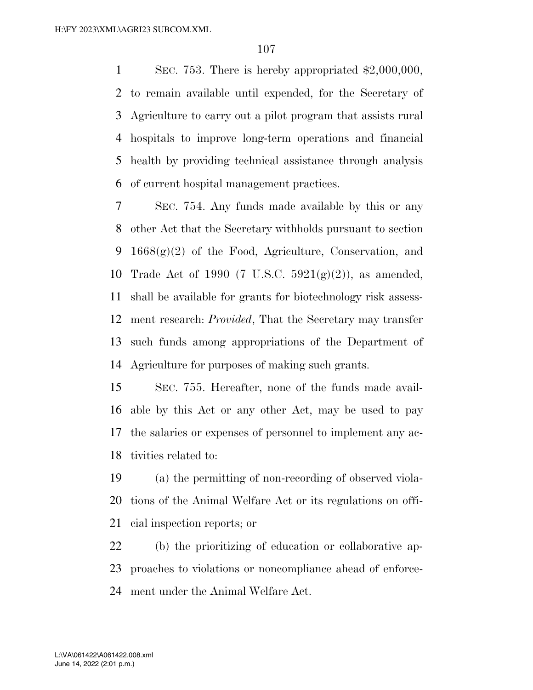SEC. 753. There is hereby appropriated \$2,000,000, to remain available until expended, for the Secretary of Agriculture to carry out a pilot program that assists rural hospitals to improve long-term operations and financial health by providing technical assistance through analysis of current hospital management practices.

 SEC. 754. Any funds made available by this or any other Act that the Secretary withholds pursuant to section 9 1668 $(g)(2)$  of the Food, Agriculture, Conservation, and 10 Trade Act of 1990 (7 U.S.C.  $5921(g)(2)$ ), as amended, shall be available for grants for biotechnology risk assess- ment research: *Provided*, That the Secretary may transfer such funds among appropriations of the Department of Agriculture for purposes of making such grants.

 SEC. 755. Hereafter, none of the funds made avail- able by this Act or any other Act, may be used to pay the salaries or expenses of personnel to implement any ac-tivities related to:

 (a) the permitting of non-recording of observed viola- tions of the Animal Welfare Act or its regulations on offi-cial inspection reports; or

 (b) the prioritizing of education or collaborative ap- proaches to violations or noncompliance ahead of enforce-ment under the Animal Welfare Act.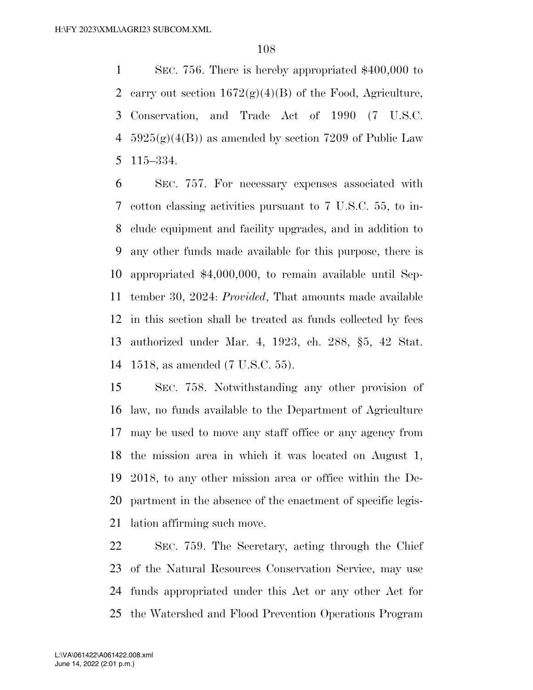SEC. 756. There is hereby appropriated \$400,000 to 2 carry out section  $1672(g)(4)(B)$  of the Food, Agriculture, Conservation, and Trade Act of 1990 (7 U.S.C. 4 5925(g)(4(B)) as amended by section 7209 of Public Law 115–334.

 SEC. 757. For necessary expenses associated with cotton classing activities pursuant to 7 U.S.C. 55, to in- clude equipment and facility upgrades, and in addition to any other funds made available for this purpose, there is appropriated \$4,000,000, to remain available until Sep- tember 30, 2024: *Provided*, That amounts made available in this section shall be treated as funds collected by fees authorized under Mar. 4, 1923, ch. 288, §5, 42 Stat. 1518, as amended (7 U.S.C. 55).

 SEC. 758. Notwithstanding any other provision of law, no funds available to the Department of Agriculture may be used to move any staff office or any agency from the mission area in which it was located on August 1, 2018, to any other mission area or office within the De- partment in the absence of the enactment of specific legis-lation affirming such move.

 SEC. 759. The Secretary, acting through the Chief of the Natural Resources Conservation Service, may use funds appropriated under this Act or any other Act for the Watershed and Flood Prevention Operations Program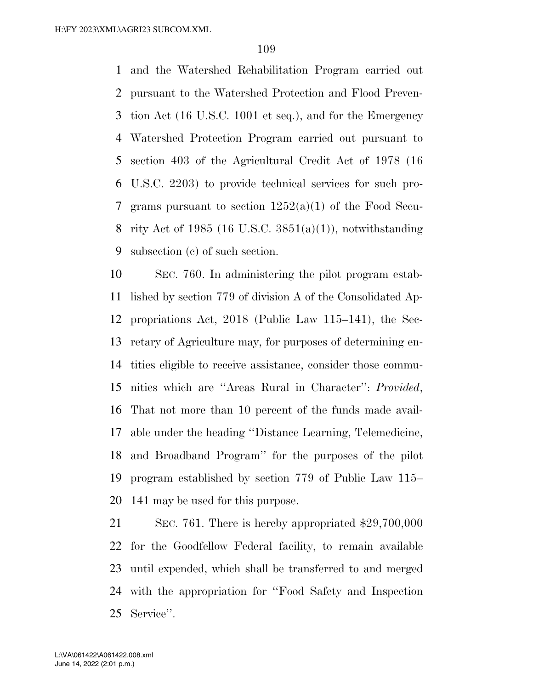and the Watershed Rehabilitation Program carried out pursuant to the Watershed Protection and Flood Preven- tion Act (16 U.S.C. 1001 et seq.), and for the Emergency Watershed Protection Program carried out pursuant to section 403 of the Agricultural Credit Act of 1978 (16 U.S.C. 2203) to provide technical services for such pro- grams pursuant to section 1252(a)(1) of the Food Secu- rity Act of 1985 (16 U.S.C. 3851(a)(1)), notwithstanding subsection (c) of such section.

 SEC. 760. In administering the pilot program estab- lished by section 779 of division A of the Consolidated Ap- propriations Act, 2018 (Public Law 115–141), the Sec- retary of Agriculture may, for purposes of determining en- tities eligible to receive assistance, consider those commu- nities which are ''Areas Rural in Character'': *Provided*, That not more than 10 percent of the funds made avail- able under the heading ''Distance Learning, Telemedicine, and Broadband Program'' for the purposes of the pilot program established by section 779 of Public Law 115– 141 may be used for this purpose.

 SEC. 761. There is hereby appropriated \$29,700,000 for the Goodfellow Federal facility, to remain available until expended, which shall be transferred to and merged with the appropriation for ''Food Safety and Inspection Service''.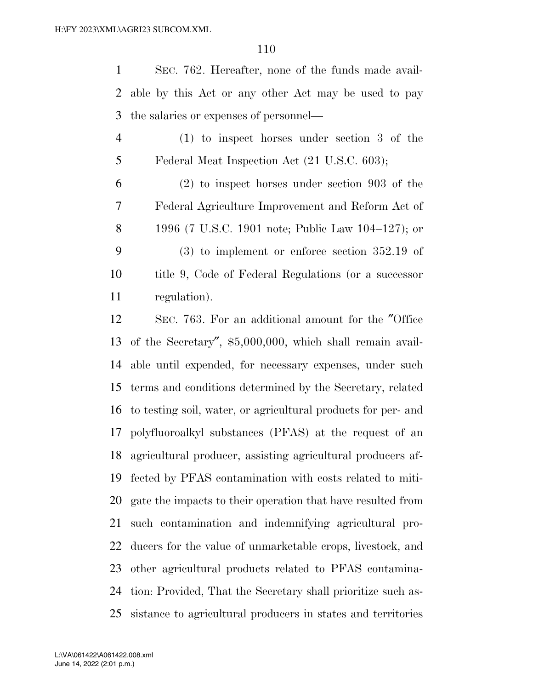SEC. 762. Hereafter, none of the funds made avail- able by this Act or any other Act may be used to pay the salaries or expenses of personnel—

- (1) to inspect horses under section 3 of the Federal Meat Inspection Act (21 U.S.C. 603);
- (2) to inspect horses under section 903 of the Federal Agriculture Improvement and Reform Act of 1996 (7 U.S.C. 1901 note; Public Law 104–127); or (3) to implement or enforce section 352.19 of title 9, Code of Federal Regulations (or a successor regulation).

 SEC. 763. For an additional amount for the ″Office of the Secretary″, \$5,000,000, which shall remain avail- able until expended, for necessary expenses, under such terms and conditions determined by the Secretary, related to testing soil, water, or agricultural products for per- and polyfluoroalkyl substances (PFAS) at the request of an agricultural producer, assisting agricultural producers af- fected by PFAS contamination with costs related to miti- gate the impacts to their operation that have resulted from such contamination and indemnifying agricultural pro- ducers for the value of unmarketable crops, livestock, and other agricultural products related to PFAS contamina- tion: Provided, That the Secretary shall prioritize such as-sistance to agricultural producers in states and territories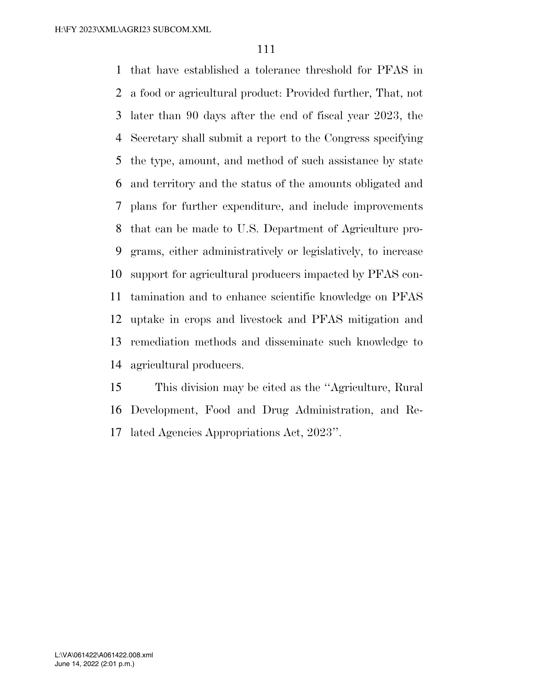that have established a tolerance threshold for PFAS in a food or agricultural product: Provided further, That, not later than 90 days after the end of fiscal year 2023, the Secretary shall submit a report to the Congress specifying the type, amount, and method of such assistance by state and territory and the status of the amounts obligated and plans for further expenditure, and include improvements that can be made to U.S. Department of Agriculture pro- grams, either administratively or legislatively, to increase support for agricultural producers impacted by PFAS con- tamination and to enhance scientific knowledge on PFAS uptake in crops and livestock and PFAS mitigation and remediation methods and disseminate such knowledge to agricultural producers.

 This division may be cited as the ''Agriculture, Rural Development, Food and Drug Administration, and Re-lated Agencies Appropriations Act, 2023''.